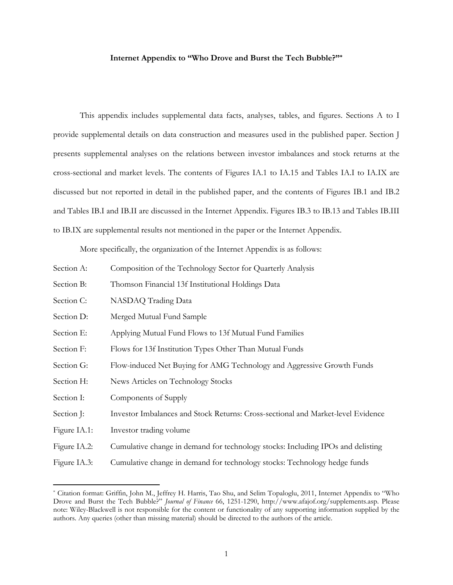# **Internet Appendix to "Who Drove and Burst the Tech Bubble?"\***

This appendix includes supplemental data facts, analyses, tables, and figures. Sections A to I provide supplemental details on data construction and measures used in the published paper. Section J presents supplemental analyses on the relations between investor imbalances and stock returns at the cross-sectional and market levels. The contents of Figures IA.1 to IA.15 and Tables IA.I to IA.IX are discussed but not reported in detail in the published paper, and the contents of Figures IB.1 and IB.2 and Tables IB.I and IB.II are discussed in the Internet Appendix. Figures IB.3 to IB.13 and Tables IB.III to IB.IX are supplemental results not mentioned in the paper or the Internet Appendix.

More specifically, the organization of the Internet Appendix is as follows:

- Section A: Composition of the Technology Sector for Quarterly Analysis
- Section B: Thomson Financial 13f Institutional Holdings Data
- Section C: NASDAQ Trading Data
- Section D: Merged Mutual Fund Sample
- Section E: Applying Mutual Fund Flows to 13f Mutual Fund Families
- Section F: Flows for 13f Institution Types Other Than Mutual Funds
- Section G: Flow-induced Net Buying for AMG Technology and Aggressive Growth Funds
- Section H: News Articles on Technology Stocks
- Section I: Components of Supply
- Section J: Investor Imbalances and Stock Returns: Cross-sectional and Market-level Evidence
- Figure IA.1: Investor trading volume

 $\overline{a}$ 

- Figure IA.2: Cumulative change in demand for technology stocks: Including IPOs and delisting
- Figure IA.3: Cumulative change in demand for technology stocks: Technology hedge funds

<sup>\*</sup> Citation format: Griffin, John M., Jeffrey H. Harris, Tao Shu, and Selim Topaloglu, 2011, Internet Appendix to "Who Drove and Burst the Tech Bubble?" *Journal of Finance* 66, 1251-1290, http://www.afajof.org/supplements.asp. Please note: Wiley-Blackwell is not responsible for the content or functionality of any supporting information supplied by the authors. Any queries (other than missing material) should be directed to the authors of the article.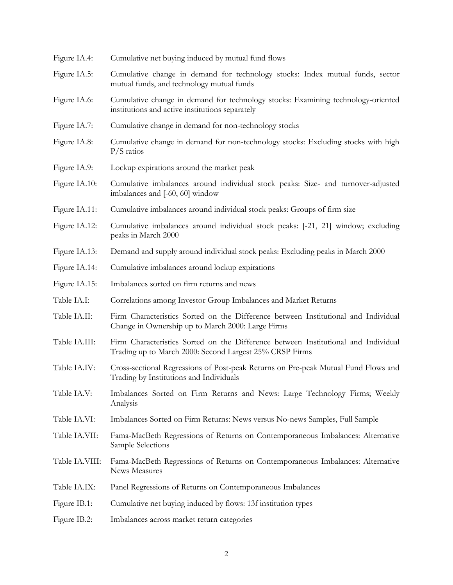| Figure IA.4:   | Cumulative net buying induced by mutual fund flows                                                                                            |
|----------------|-----------------------------------------------------------------------------------------------------------------------------------------------|
| Figure IA.5:   | Cumulative change in demand for technology stocks: Index mutual funds, sector<br>mutual funds, and technology mutual funds                    |
| Figure IA.6:   | Cumulative change in demand for technology stocks: Examining technology-oriented<br>institutions and active institutions separately           |
| Figure IA.7:   | Cumulative change in demand for non-technology stocks                                                                                         |
| Figure IA.8:   | Cumulative change in demand for non-technology stocks: Excluding stocks with high<br>$P/S$ ratios                                             |
| Figure IA.9:   | Lockup expirations around the market peak                                                                                                     |
| Figure IA.10:  | Cumulative imbalances around individual stock peaks: Size- and turnover-adjusted<br>imbalances and [-60, 60] window                           |
| Figure IA.11:  | Cumulative imbalances around individual stock peaks: Groups of firm size                                                                      |
| Figure IA.12:  | Cumulative imbalances around individual stock peaks: [-21, 21] window; excluding<br>peaks in March 2000                                       |
| Figure IA.13:  | Demand and supply around individual stock peaks: Excluding peaks in March 2000                                                                |
| Figure IA.14:  | Cumulative imbalances around lockup expirations                                                                                               |
| Figure IA.15:  | Imbalances sorted on firm returns and news                                                                                                    |
| Table IA.I:    | Correlations among Investor Group Imbalances and Market Returns                                                                               |
| Table IA.II:   | Firm Characteristics Sorted on the Difference between Institutional and Individual<br>Change in Ownership up to March 2000: Large Firms       |
| Table IA.III:  | Firm Characteristics Sorted on the Difference between Institutional and Individual<br>Trading up to March 2000: Second Largest 25% CRSP Firms |
| Table IA.IV:   | Cross-sectional Regressions of Post-peak Returns on Pre-peak Mutual Fund Flows and<br>Trading by Institutions and Individuals                 |
| Table IA.V:    | Imbalances Sorted on Firm Returns and News: Large Technology Firms; Weekly<br>Analysis                                                        |
| Table IA.VI:   | Imbalances Sorted on Firm Returns: News versus No-news Samples, Full Sample                                                                   |
| Table IA.VII:  | Fama-MacBeth Regressions of Returns on Contemporaneous Imbalances: Alternative<br>Sample Selections                                           |
| Table IA.VIII: | Fama-MacBeth Regressions of Returns on Contemporaneous Imbalances: Alternative<br>News Measures                                               |
| Table IA.IX:   | Panel Regressions of Returns on Contemporaneous Imbalances                                                                                    |
| Figure IB.1:   | Cumulative net buying induced by flows: 13f institution types                                                                                 |
| Figure IB.2:   | Imbalances across market return categories                                                                                                    |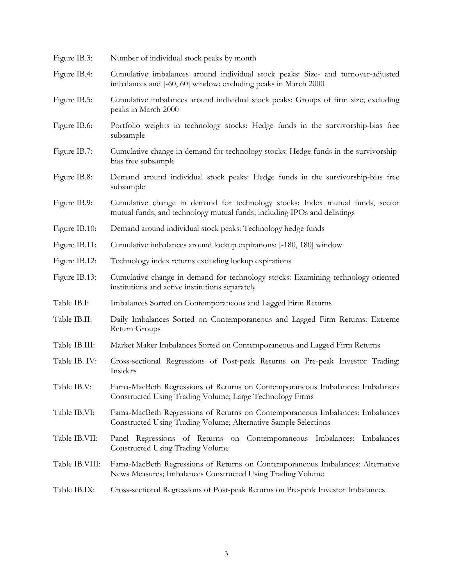| Number of individual stock peaks by month                                                                                                                 |
|-----------------------------------------------------------------------------------------------------------------------------------------------------------|
| Cumulative imbalances around individual stock peaks: Size- and turnover-adjusted<br>imbalances and [-60, 60] window; excluding peaks in March 2000        |
| Cumulative imbalances around individual stock peaks: Groups of firm size; excluding<br>peaks in March 2000                                                |
| Portfolio weights in technology stocks: Hedge funds in the survivorship-bias free<br>subsample                                                            |
| Cumulative change in demand for technology stocks: Hedge funds in the survivorship-<br>bias free subsample                                                |
| Demand around individual stock peaks: Hedge funds in the survivorship-bias free<br>subsample                                                              |
| Cumulative change in demand for technology stocks: Index mutual funds, sector<br>mutual funds, and technology mutual funds; including IPOs and delistings |
| Demand around individual stock peaks: Technology hedge funds                                                                                              |
| Cumulative imbalances around lockup expirations: [-180, 180] window                                                                                       |
| Technology index returns excluding lockup expirations                                                                                                     |
| Cumulative change in demand for technology stocks: Examining technology-oriented<br>institutions and active institutions separately                       |
| Imbalances Sorted on Contemporaneous and Lagged Firm Returns                                                                                              |
| Daily Imbalances Sorted on Contemporaneous and Lagged Firm Returns: Extreme<br>Return Groups                                                              |
| Market Maker Imbalances Sorted on Contemporaneous and Lagged Firm Returns                                                                                 |
| Cross-sectional Regressions of Post-peak Returns on Pre-peak Investor Trading:<br>Insiders                                                                |
| Fama-MacBeth Regressions of Returns on Contemporaneous Imbalances: Imbalances<br>Constructed Using Trading Volume; Large Technology Firms                 |
| Fama-MacBeth Regressions of Returns on Contemporaneous Imbalances: Imbalances<br>Constructed Using Trading Volume; Alternative Sample Selections          |
| Panel Regressions of Returns on Contemporaneous Imbalances: Imbalances<br>Constructed Using Trading Volume                                                |
| Fama-MacBeth Regressions of Returns on Contemporaneous Imbalances: Alternative<br>News Measures; Imbalances Constructed Using Trading Volume              |
| Cross-sectional Regressions of Post-peak Returns on Pre-peak Investor Imbalances                                                                          |
|                                                                                                                                                           |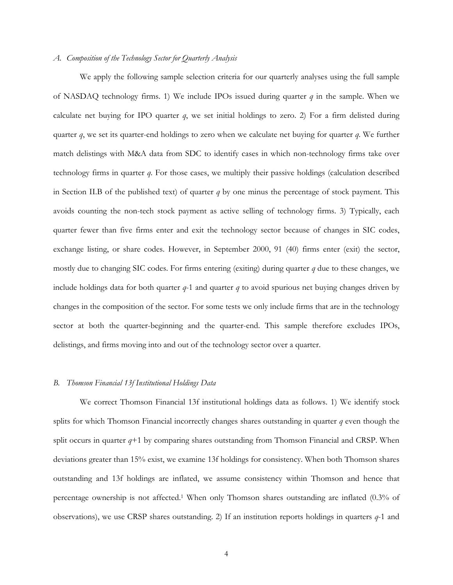### *A. Composition of the Technology Sector for Quarterly Analysis*

We apply the following sample selection criteria for our quarterly analyses using the full sample of NASDAQ technology firms. 1) We include IPOs issued during quarter *q* in the sample. When we calculate net buying for IPO quarter *q*, we set initial holdings to zero. 2) For a firm delisted during quarter *q*, we set its quarter-end holdings to zero when we calculate net buying for quarter *q*. We further match delistings with M&A data from SDC to identify cases in which non-technology firms take over technology firms in quarter *q*. For those cases, we multiply their passive holdings (calculation described in Section II.B of the published text) of quarter *q* by one minus the percentage of stock payment. This avoids counting the non-tech stock payment as active selling of technology firms. 3) Typically, each quarter fewer than five firms enter and exit the technology sector because of changes in SIC codes, exchange listing, or share codes. However, in September 2000, 91 (40) firms enter (exit) the sector, mostly due to changing SIC codes. For firms entering (exiting) during quarter *q* due to these changes, we include holdings data for both quarter  $q$ -1 and quarter  $q$  to avoid spurious net buying changes driven by changes in the composition of the sector. For some tests we only include firms that are in the technology sector at both the quarter-beginning and the quarter-end. This sample therefore excludes IPOs, delistings, and firms moving into and out of the technology sector over a quarter.

## *B. Thomson Financial 13f Institutional Holdings Data*

We correct Thomson Financial 13f institutional holdings data as follows. 1) We identify stock splits for which Thomson Financial incorrectly changes shares outstanding in quarter *q* even though the split occurs in quarter  $q+1$  by comparing shares outstanding from Thomson Financial and CRSP. When deviations greater than 15% exist, we examine 13f holdings for consistency. When both Thomson shares outstanding and 13f holdings are inflated, we assume consistency within Thomson and hence that percentage ownership is not affected.1 When only Thomson shares outstanding are inflated (0.3% of observations), we use CRSP shares outstanding. 2) If an institution reports holdings in quarters *q*-1 and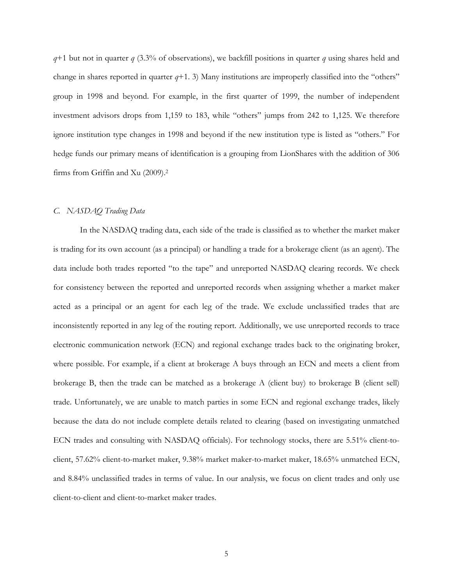*q*+1 but not in quarter *q* (3.3% of observations), we backfill positions in quarter *q* using shares held and change in shares reported in quarter  $q+1$ . 3) Many institutions are improperly classified into the "others" group in 1998 and beyond. For example, in the first quarter of 1999, the number of independent investment advisors drops from 1,159 to 183, while "others" jumps from 242 to 1,125. We therefore ignore institution type changes in 1998 and beyond if the new institution type is listed as "others." For hedge funds our primary means of identification is a grouping from LionShares with the addition of 306 firms from Griffin and Xu (2009).2

## *C. NASDAQ Trading Data*

In the NASDAQ trading data, each side of the trade is classified as to whether the market maker is trading for its own account (as a principal) or handling a trade for a brokerage client (as an agent). The data include both trades reported "to the tape" and unreported NASDAQ clearing records. We check for consistency between the reported and unreported records when assigning whether a market maker acted as a principal or an agent for each leg of the trade. We exclude unclassified trades that are inconsistently reported in any leg of the routing report. Additionally, we use unreported records to trace electronic communication network (ECN) and regional exchange trades back to the originating broker, where possible. For example, if a client at brokerage A buys through an ECN and meets a client from brokerage B, then the trade can be matched as a brokerage A (client buy) to brokerage B (client sell) trade. Unfortunately, we are unable to match parties in some ECN and regional exchange trades, likely because the data do not include complete details related to clearing (based on investigating unmatched ECN trades and consulting with NASDAQ officials). For technology stocks, there are 5.51% client-toclient, 57.62% client-to-market maker, 9.38% market maker-to-market maker, 18.65% unmatched ECN, and 8.84% unclassified trades in terms of value. In our analysis, we focus on client trades and only use client-to-client and client-to-market maker trades.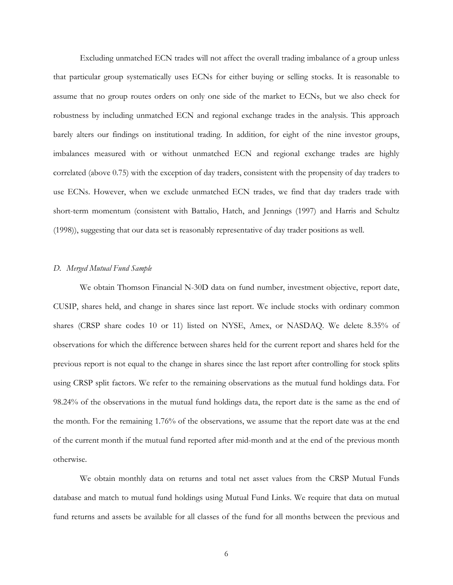Excluding unmatched ECN trades will not affect the overall trading imbalance of a group unless that particular group systematically uses ECNs for either buying or selling stocks. It is reasonable to assume that no group routes orders on only one side of the market to ECNs, but we also check for robustness by including unmatched ECN and regional exchange trades in the analysis. This approach barely alters our findings on institutional trading. In addition, for eight of the nine investor groups, imbalances measured with or without unmatched ECN and regional exchange trades are highly correlated (above 0.75) with the exception of day traders, consistent with the propensity of day traders to use ECNs. However, when we exclude unmatched ECN trades, we find that day traders trade with short-term momentum (consistent with Battalio, Hatch, and Jennings (1997) and Harris and Schultz (1998)), suggesting that our data set is reasonably representative of day trader positions as well.

#### *D. Merged Mutual Fund Sample*

We obtain Thomson Financial N-30D data on fund number, investment objective, report date, CUSIP, shares held, and change in shares since last report. We include stocks with ordinary common shares (CRSP share codes 10 or 11) listed on NYSE, Amex, or NASDAQ. We delete 8.35% of observations for which the difference between shares held for the current report and shares held for the previous report is not equal to the change in shares since the last report after controlling for stock splits using CRSP split factors. We refer to the remaining observations as the mutual fund holdings data. For 98.24% of the observations in the mutual fund holdings data, the report date is the same as the end of the month. For the remaining 1.76% of the observations, we assume that the report date was at the end of the current month if the mutual fund reported after mid-month and at the end of the previous month otherwise.

We obtain monthly data on returns and total net asset values from the CRSP Mutual Funds database and match to mutual fund holdings using Mutual Fund Links. We require that data on mutual fund returns and assets be available for all classes of the fund for all months between the previous and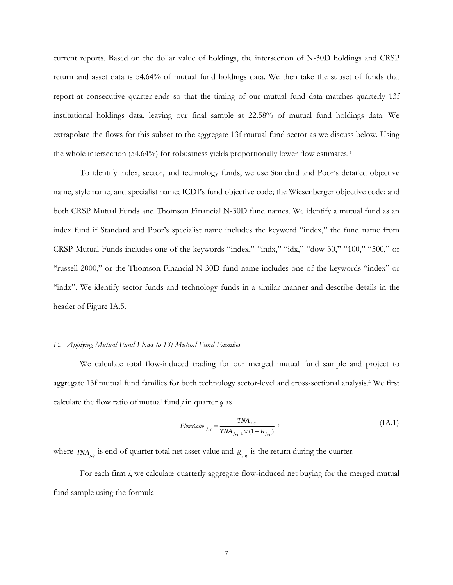current reports. Based on the dollar value of holdings, the intersection of N-30D holdings and CRSP return and asset data is 54.64% of mutual fund holdings data. We then take the subset of funds that report at consecutive quarter-ends so that the timing of our mutual fund data matches quarterly 13f institutional holdings data, leaving our final sample at 22.58% of mutual fund holdings data. We extrapolate the flows for this subset to the aggregate 13f mutual fund sector as we discuss below. Using the whole intersection (54.64%) for robustness yields proportionally lower flow estimates.3

To identify index, sector, and technology funds, we use Standard and Poor's detailed objective name, style name, and specialist name; ICDI's fund objective code; the Wiesenberger objective code; and both CRSP Mutual Funds and Thomson Financial N-30D fund names. We identify a mutual fund as an index fund if Standard and Poor's specialist name includes the keyword "index," the fund name from CRSP Mutual Funds includes one of the keywords "index," "indx," "idx," "dow 30," "100," "500," or "russell 2000," or the Thomson Financial N-30D fund name includes one of the keywords "index" or "indx". We identify sector funds and technology funds in a similar manner and describe details in the header of Figure IA.5.

## *E. Applying Mutual Fund Flows to 13f Mutual Fund Families*

We calculate total flow-induced trading for our merged mutual fund sample and project to aggregate 13f mutual fund families for both technology sector-level and cross-sectional analysis.4 We first calculate the flow ratio of mutual fund  $j$  in quarter  $q$  as

$$
FlowRatio_{j,q} = \frac{TNA_{j,q}}{TNA_{j,q-1} \times (1 + R_{j,q})},
$$
\n
$$
(IA.1)
$$

where  $TNA_{i,q}$  is end-of-quarter total net asset value and  $R_{i,q}$  is the return during the quarter.

For each firm *i*, we calculate quarterly aggregate flow-induced net buying for the merged mutual fund sample using the formula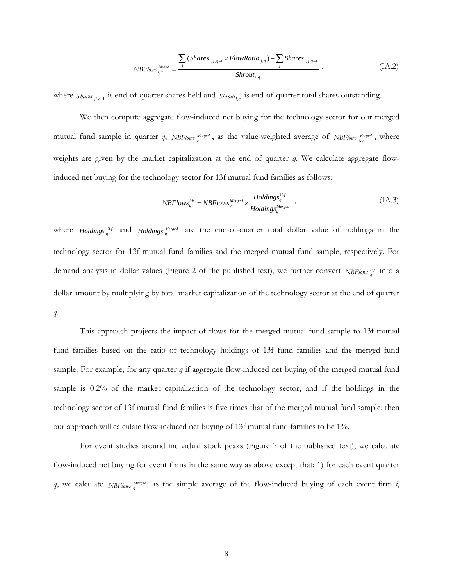$$
NBFlows_{i,q}^{Merged} = \frac{\sum_{j} (Shares_{i,j,q-1} \times FlowRatio_{j,q}) - \sum_{j} Shares_{i,j,q-1}}{Shrout_{i,q}}, \qquad (IA.2)
$$

where *Shares*<sub>*i*,*i*, $q$ -1</sub> is end-of-quarter shares held and *Shrout*<sub>i,*q*</sub> is end-of-quarter total shares outstanding.

We then compute aggregate flow-induced net buying for the technology sector for our merged mutual fund sample in quarter *q*, *NBFlows*  $_q^{Merged}$ , as the value-weighted average of *NBFlows*  $_{i,q}^{Merged}$ , where weights are given by the market capitalization at the end of quarter *q*. We calculate aggregate flowinduced net buying for the technology sector for 13f mutual fund families as follows:

$$
NBFlows_q^{13f} = NBFlows_q^{Merged} \times \frac{Holdings_q^{13f}}{Holdings_q^{Merged}} \tag{IA.3}
$$

where *Holdings*  $_q^{13f}$  and *Holdings*  $_q^{Perged}$  are the end-of-quarter total dollar value of holdings in the technology sector for 13f mutual fund families and the merged mutual fund sample, respectively. For demand analysis in dollar values (Figure 2 of the published text), we further convert *NBFlows*<sup>13f</sup> into a dollar amount by multiplying by total market capitalization of the technology sector at the end of quarter *q*.

This approach projects the impact of flows for the merged mutual fund sample to 13f mutual fund families based on the ratio of technology holdings of 13f fund families and the merged fund sample. For example, for any quarter *q* if aggregate flow-induced net buying of the merged mutual fund sample is 0.2% of the market capitalization of the technology sector, and if the holdings in the technology sector of 13f mutual fund families is five times that of the merged mutual fund sample, then our approach will calculate flow-induced net buying of 13f mutual fund families to be 1%.

For event studies around individual stock peaks (Figure 7 of the published text), we calculate flow-induced net buying for event firms in the same way as above except that: 1) for each event quarter  $q$ , we calculate *NBFlows Merged* as the simple average of the flow-induced buying of each event firm *i*,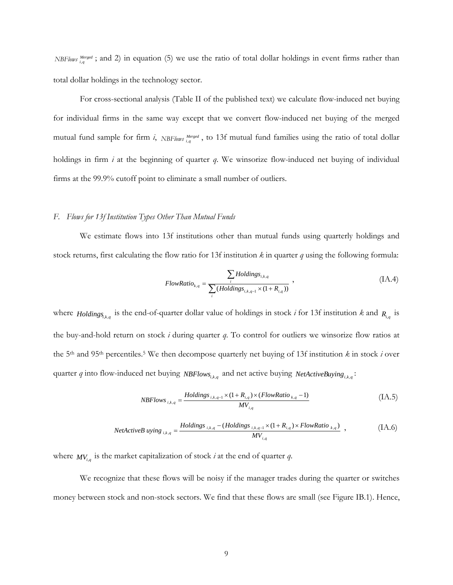*NBFlows i*<sub>iq</sub> i<sub>iq</sub> i and 2) in equation (5) we use the ratio of total dollar holdings in event firms rather than total dollar holdings in the technology sector.

For cross-sectional analysis (Table II of the published text) we calculate flow-induced net buying for individual firms in the same way except that we convert flow-induced net buying of the merged mutual fund sample for firm  $i$ , *NBFlows*  $^{Merged}_{i,q}$ , to 13f mutual fund families using the ratio of total dollar holdings in firm *i* at the beginning of quarter *q*. We winsorize flow-induced net buying of individual firms at the 99.9% cutoff point to eliminate a small number of outliers.

## *F. Flows for 13f Institution Types Other Than Mutual Funds*

We estimate flows into 13f institutions other than mutual funds using quarterly holdings and stock returns, first calculating the flow ratio for 13f institution *k* in quarter *q* using the following formula:

FlowRatio<sub>k,q</sub> = 
$$
\frac{\sum_{i} Holdings_{i,k,q}}{\sum_{i} (Holdings_{i,k,q-1} \times (1 + R_{i,q}))}
$$
, (IA.4)

where *Holdings<sub>i,k,q</sub>* is the end-of-quarter dollar value of holdings in stock *i* for 13f institution *k* and  $R_{i,q}$  is the buy-and-hold return on stock *i* during quarter *q*. To control for outliers we winsorize flow ratios at the 5th and 95th percentiles.5 We then decompose quarterly net buying of 13f institution *k* in stock *i* over quarter *q* into flow-induced net buying *NBFlows*<sub>*ik,q*</sub> and net active buying *NetActiveBuying*<sub>*ik,q*</sub>:

$$
NBFlows_{i,k,q} = \frac{Holdings_{i,k,q-1} \times (1 + R_{i,q}) \times (FlowRatio_{k,q} - 1)}{MV_{i,q}}
$$
(IA.5)

NetActiveB uying 
$$
_{i,k,q}
$$
 = 
$$
\frac{Holdings_{i,k,q} - (Holdings_{i,k,q-1} \times (1 + R_{i,q}) \times FlowRatio_{k,q})}{MV_{i,q}}
$$
, (IA.6)

where  $MV_{i,q}$  is the market capitalization of stock *i* at the end of quarter *q*.

We recognize that these flows will be noisy if the manager trades during the quarter or switches money between stock and non-stock sectors. We find that these flows are small (see Figure IB.1). Hence,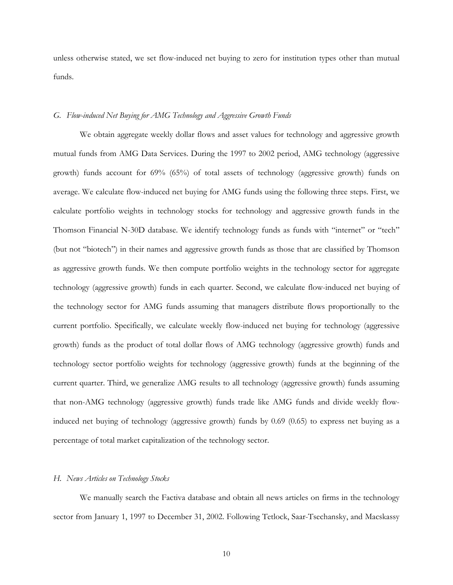unless otherwise stated, we set flow-induced net buying to zero for institution types other than mutual funds.

## *G. Flow-induced Net Buying for AMG Technology and Aggressive Growth Funds*

We obtain aggregate weekly dollar flows and asset values for technology and aggressive growth mutual funds from AMG Data Services. During the 1997 to 2002 period, AMG technology (aggressive growth) funds account for 69% (65%) of total assets of technology (aggressive growth) funds on average. We calculate flow-induced net buying for AMG funds using the following three steps. First, we calculate portfolio weights in technology stocks for technology and aggressive growth funds in the Thomson Financial N-30D database. We identify technology funds as funds with "internet" or "tech" (but not "biotech") in their names and aggressive growth funds as those that are classified by Thomson as aggressive growth funds. We then compute portfolio weights in the technology sector for aggregate technology (aggressive growth) funds in each quarter. Second, we calculate flow-induced net buying of the technology sector for AMG funds assuming that managers distribute flows proportionally to the current portfolio. Specifically, we calculate weekly flow-induced net buying for technology (aggressive growth) funds as the product of total dollar flows of AMG technology (aggressive growth) funds and technology sector portfolio weights for technology (aggressive growth) funds at the beginning of the current quarter. Third, we generalize AMG results to all technology (aggressive growth) funds assuming that non-AMG technology (aggressive growth) funds trade like AMG funds and divide weekly flowinduced net buying of technology (aggressive growth) funds by 0.69 (0.65) to express net buying as a percentage of total market capitalization of the technology sector.

#### *H. News Articles on Technology Stocks*

We manually search the Factiva database and obtain all news articles on firms in the technology sector from January 1, 1997 to December 31, 2002. Following Tetlock, Saar-Tsechansky, and Macskassy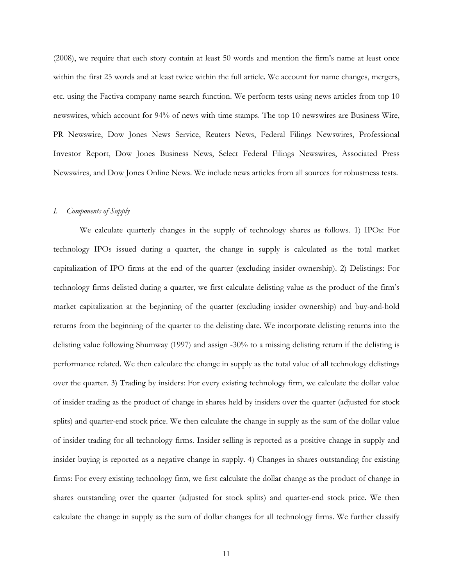(2008), we require that each story contain at least 50 words and mention the firm's name at least once within the first 25 words and at least twice within the full article. We account for name changes, mergers, etc. using the Factiva company name search function. We perform tests using news articles from top 10 newswires, which account for 94% of news with time stamps. The top 10 newswires are Business Wire, PR Newswire, Dow Jones News Service, Reuters News, Federal Filings Newswires, Professional Investor Report, Dow Jones Business News, Select Federal Filings Newswires, Associated Press Newswires, and Dow Jones Online News. We include news articles from all sources for robustness tests.

## *I. Components of Supply*

We calculate quarterly changes in the supply of technology shares as follows. 1) IPOs: For technology IPOs issued during a quarter, the change in supply is calculated as the total market capitalization of IPO firms at the end of the quarter (excluding insider ownership). 2) Delistings: For technology firms delisted during a quarter, we first calculate delisting value as the product of the firm's market capitalization at the beginning of the quarter (excluding insider ownership) and buy-and-hold returns from the beginning of the quarter to the delisting date. We incorporate delisting returns into the delisting value following Shumway (1997) and assign -30% to a missing delisting return if the delisting is performance related. We then calculate the change in supply as the total value of all technology delistings over the quarter. 3) Trading by insiders: For every existing technology firm, we calculate the dollar value of insider trading as the product of change in shares held by insiders over the quarter (adjusted for stock splits) and quarter-end stock price. We then calculate the change in supply as the sum of the dollar value of insider trading for all technology firms. Insider selling is reported as a positive change in supply and insider buying is reported as a negative change in supply. 4) Changes in shares outstanding for existing firms: For every existing technology firm, we first calculate the dollar change as the product of change in shares outstanding over the quarter (adjusted for stock splits) and quarter-end stock price. We then calculate the change in supply as the sum of dollar changes for all technology firms. We further classify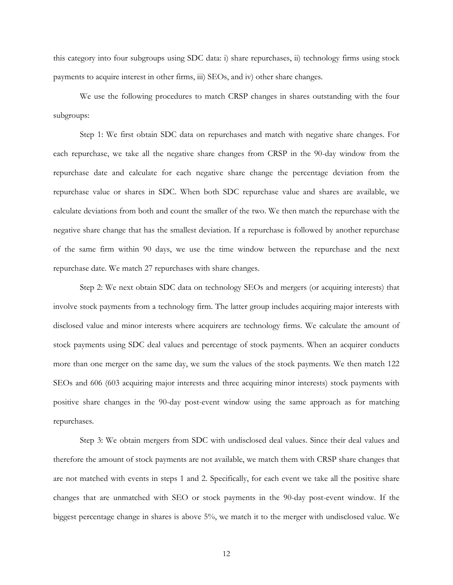this category into four subgroups using SDC data: i) share repurchases, ii) technology firms using stock payments to acquire interest in other firms, iii) SEOs, and iv) other share changes.

We use the following procedures to match CRSP changes in shares outstanding with the four subgroups:

Step 1: We first obtain SDC data on repurchases and match with negative share changes. For each repurchase, we take all the negative share changes from CRSP in the 90-day window from the repurchase date and calculate for each negative share change the percentage deviation from the repurchase value or shares in SDC. When both SDC repurchase value and shares are available, we calculate deviations from both and count the smaller of the two. We then match the repurchase with the negative share change that has the smallest deviation. If a repurchase is followed by another repurchase of the same firm within 90 days, we use the time window between the repurchase and the next repurchase date. We match 27 repurchases with share changes.

Step 2: We next obtain SDC data on technology SEOs and mergers (or acquiring interests) that involve stock payments from a technology firm. The latter group includes acquiring major interests with disclosed value and minor interests where acquirers are technology firms. We calculate the amount of stock payments using SDC deal values and percentage of stock payments. When an acquirer conducts more than one merger on the same day, we sum the values of the stock payments. We then match 122 SEOs and 606 (603 acquiring major interests and three acquiring minor interests) stock payments with positive share changes in the 90-day post-event window using the same approach as for matching repurchases.

Step 3: We obtain mergers from SDC with undisclosed deal values. Since their deal values and therefore the amount of stock payments are not available, we match them with CRSP share changes that are not matched with events in steps 1 and 2. Specifically, for each event we take all the positive share changes that are unmatched with SEO or stock payments in the 90-day post-event window. If the biggest percentage change in shares is above 5%, we match it to the merger with undisclosed value. We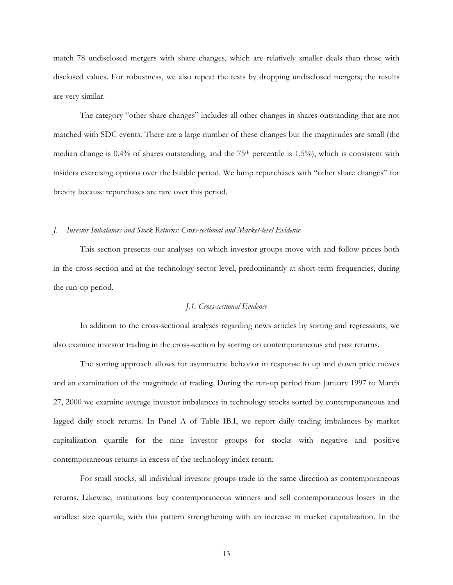match 78 undisclosed mergers with share changes, which are relatively smaller deals than those with disclosed values. For robustness, we also repeat the tests by dropping undisclosed mergers; the results are very similar.

The category "other share changes" includes all other changes in shares outstanding that are not matched with SDC events. There are a large number of these changes but the magnitudes are small (the median change is  $0.4\%$  of shares outstanding, and the 75<sup>th</sup> percentile is 1.5%), which is consistent with insiders exercising options over the bubble period. We lump repurchases with "other share changes" for brevity because repurchases are rare over this period.

#### *J. Investor Imbalances and Stock Returns: Cross-sectional and Market-level Evidence*

This section presents our analyses on which investor groups move with and follow prices both in the cross-section and at the technology sector level, predominantly at short-term frequencies, during the run-up period.

## *J.1. Cross-sectional Evidence*

In addition to the cross-sectional analyses regarding news articles by sorting and regressions, we also examine investor trading in the cross-section by sorting on contemporaneous and past returns.

The sorting approach allows for asymmetric behavior in response to up and down price moves and an examination of the magnitude of trading. During the run-up period from January 1997 to March 27, 2000 we examine average investor imbalances in technology stocks sorted by contemporaneous and lagged daily stock returns. In Panel A of Table IB.I, we report daily trading imbalances by market capitalization quartile for the nine investor groups for stocks with negative and positive contemporaneous returns in excess of the technology index return.

For small stocks, all individual investor groups trade in the same direction as contemporaneous returns. Likewise, institutions buy contemporaneous winners and sell contemporaneous losers in the smallest size quartile, with this pattern strengthening with an increase in market capitalization. In the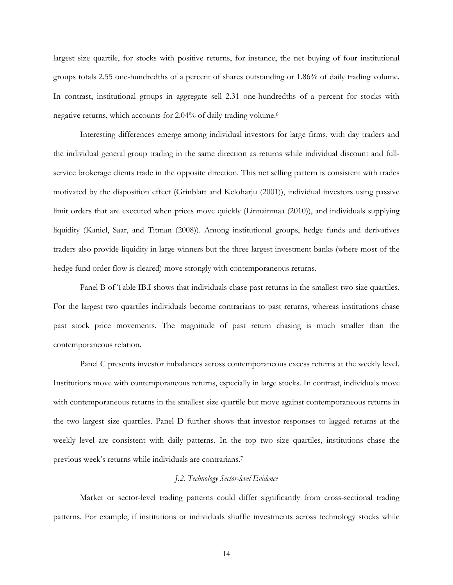largest size quartile, for stocks with positive returns, for instance, the net buying of four institutional groups totals 2.55 one-hundredths of a percent of shares outstanding or 1.86% of daily trading volume. In contrast, institutional groups in aggregate sell 2.31 one-hundredths of a percent for stocks with negative returns, which accounts for 2.04% of daily trading volume.6

Interesting differences emerge among individual investors for large firms, with day traders and the individual general group trading in the same direction as returns while individual discount and fullservice brokerage clients trade in the opposite direction. This net selling pattern is consistent with trades motivated by the disposition effect (Grinblatt and Keloharju (2001)), individual investors using passive limit orders that are executed when prices move quickly (Linnainmaa (2010)), and individuals supplying liquidity (Kaniel, Saar, and Titman (2008)). Among institutional groups, hedge funds and derivatives traders also provide liquidity in large winners but the three largest investment banks (where most of the hedge fund order flow is cleared) move strongly with contemporaneous returns.

Panel B of Table IB.I shows that individuals chase past returns in the smallest two size quartiles. For the largest two quartiles individuals become contrarians to past returns, whereas institutions chase past stock price movements. The magnitude of past return chasing is much smaller than the contemporaneous relation.

Panel C presents investor imbalances across contemporaneous excess returns at the weekly level. Institutions move with contemporaneous returns, especially in large stocks. In contrast, individuals move with contemporaneous returns in the smallest size quartile but move against contemporaneous returns in the two largest size quartiles. Panel D further shows that investor responses to lagged returns at the weekly level are consistent with daily patterns. In the top two size quartiles, institutions chase the previous week's returns while individuals are contrarians.7

#### *J.2. Technology Sector-level Evidence*

Market or sector-level trading patterns could differ significantly from cross-sectional trading patterns. For example, if institutions or individuals shuffle investments across technology stocks while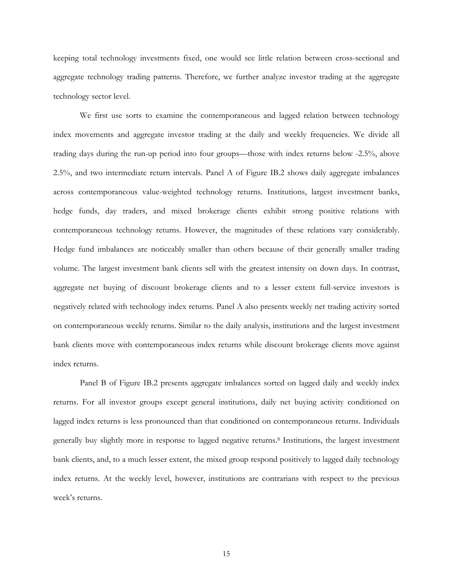keeping total technology investments fixed, one would see little relation between cross-sectional and aggregate technology trading patterns. Therefore, we further analyze investor trading at the aggregate technology sector level.

We first use sorts to examine the contemporaneous and lagged relation between technology index movements and aggregate investor trading at the daily and weekly frequencies. We divide all trading days during the run-up period into four groups—those with index returns below -2.5%, above 2.5%, and two intermediate return intervals. Panel A of Figure IB.2 shows daily aggregate imbalances across contemporaneous value-weighted technology returns. Institutions, largest investment banks, hedge funds, day traders, and mixed brokerage clients exhibit strong positive relations with contemporaneous technology returns. However, the magnitudes of these relations vary considerably. Hedge fund imbalances are noticeably smaller than others because of their generally smaller trading volume. The largest investment bank clients sell with the greatest intensity on down days. In contrast, aggregate net buying of discount brokerage clients and to a lesser extent full-service investors is negatively related with technology index returns. Panel A also presents weekly net trading activity sorted on contemporaneous weekly returns. Similar to the daily analysis, institutions and the largest investment bank clients move with contemporaneous index returns while discount brokerage clients move against index returns.

Panel B of Figure IB.2 presents aggregate imbalances sorted on lagged daily and weekly index returns. For all investor groups except general institutions, daily net buying activity conditioned on lagged index returns is less pronounced than that conditioned on contemporaneous returns. Individuals generally buy slightly more in response to lagged negative returns.8 Institutions, the largest investment bank clients, and, to a much lesser extent, the mixed group respond positively to lagged daily technology index returns. At the weekly level, however, institutions are contrarians with respect to the previous week's returns.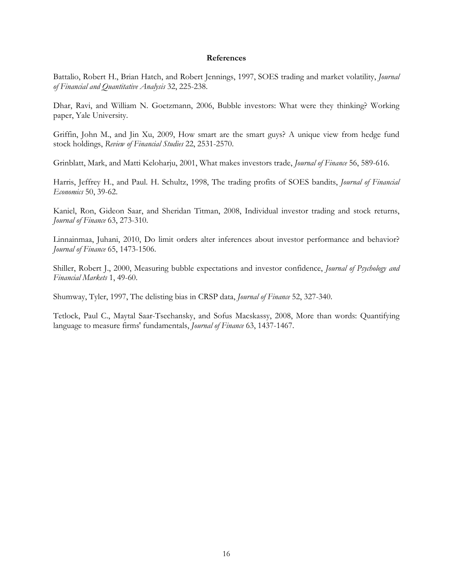## **References**

Battalio, Robert H., Brian Hatch, and Robert Jennings, 1997, SOES trading and market volatility, *Journal of Financial and Quantitative Analysis* 32, 225-238.

Dhar, Ravi, and William N. Goetzmann, 2006, Bubble investors: What were they thinking? Working paper, Yale University.

Griffin, John M., and Jin Xu, 2009, How smart are the smart guys? A unique view from hedge fund stock holdings, *Review of Financial Studies* 22, 2531-2570.

Grinblatt, Mark, and Matti Keloharju, 2001, What makes investors trade, *Journal of Finance* 56, 589-616.

Harris, Jeffrey H., and Paul. H. Schultz, 1998, The trading profits of SOES bandits, *Journal of Financial Economics* 50, 39-62.

Kaniel, Ron, Gideon Saar, and Sheridan Titman, 2008, Individual investor trading and stock returns, *Journal of Finance* 63, 273-310.

Linnainmaa, Juhani, 2010, Do limit orders alter inferences about investor performance and behavior? *Journal of Finance* 65, 1473-1506.

Shiller, Robert J., 2000, Measuring bubble expectations and investor confidence, *Journal of Psychology and Financial Markets* 1, 49-60.

Shumway, Tyler, 1997, The delisting bias in CRSP data, *Journal of Finance* 52, 327-340.

Tetlock, Paul C., Maytal Saar-Tsechansky, and Sofus Macskassy, 2008, More than words: Quantifying language to measure firms' fundamentals, *Journal of Finance* 63, 1437-1467.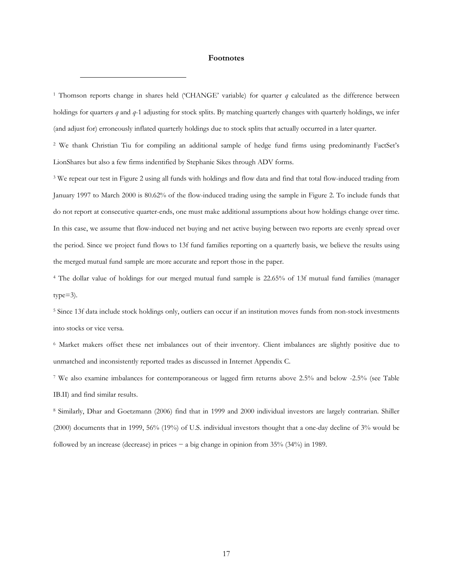#### **Footnotes**

 $\overline{a}$ 

1 Thomson reports change in shares held ('CHANGE' variable) for quarter *q* calculated as the difference between holdings for quarters *q* and *q*-1 adjusting for stock splits. By matching quarterly changes with quarterly holdings, we infer (and adjust for) erroneously inflated quarterly holdings due to stock splits that actually occurred in a later quarter.

2 We thank Christian Tiu for compiling an additional sample of hedge fund firms using predominantly FactSet's LionShares but also a few firms indentified by Stephanie Sikes through ADV forms.

<sup>3</sup> We repeat our test in Figure 2 using all funds with holdings and flow data and find that total flow-induced trading from January 1997 to March 2000 is 80.62% of the flow-induced trading using the sample in Figure 2. To include funds that do not report at consecutive quarter-ends, one must make additional assumptions about how holdings change over time. In this case, we assume that flow-induced net buying and net active buying between two reports are evenly spread over the period. Since we project fund flows to 13f fund families reporting on a quarterly basis, we believe the results using the merged mutual fund sample are more accurate and report those in the paper.

4 The dollar value of holdings for our merged mutual fund sample is 22.65% of 13f mutual fund families (manager  $type=3$ ).

5 Since 13f data include stock holdings only, outliers can occur if an institution moves funds from non-stock investments into stocks or vice versa.

6 Market makers offset these net imbalances out of their inventory. Client imbalances are slightly positive due to unmatched and inconsistently reported trades as discussed in Internet Appendix C.

7 We also examine imbalances for contemporaneous or lagged firm returns above 2.5% and below -2.5% (see Table IB.II) and find similar results.

8 Similarly, Dhar and Goetzmann (2006) find that in 1999 and 2000 individual investors are largely contrarian. Shiller (2000) documents that in 1999, 56% (19%) of U.S. individual investors thought that a one-day decline of 3% would be followed by an increase (decrease) in prices − a big change in opinion from 35% (34%) in 1989.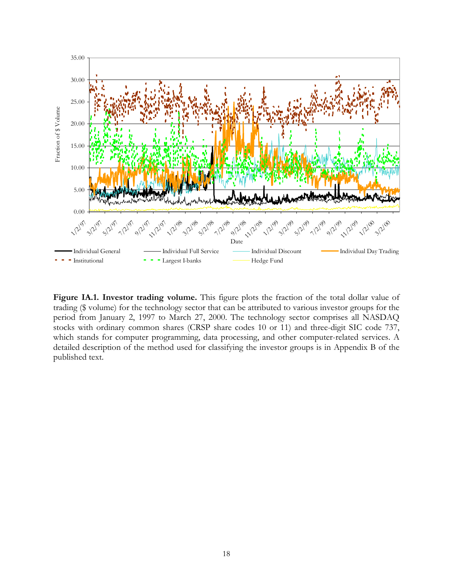

**Figure IA.1. Investor trading volume.** This figure plots the fraction of the total dollar value of trading (\$ volume) for the technology sector that can be attributed to various investor groups for the period from January 2, 1997 to March 27, 2000. The technology sector comprises all NASDAQ stocks with ordinary common shares (CRSP share codes 10 or 11) and three-digit SIC code 737, which stands for computer programming, data processing, and other computer-related services. A detailed description of the method used for classifying the investor groups is in Appendix B of the published text.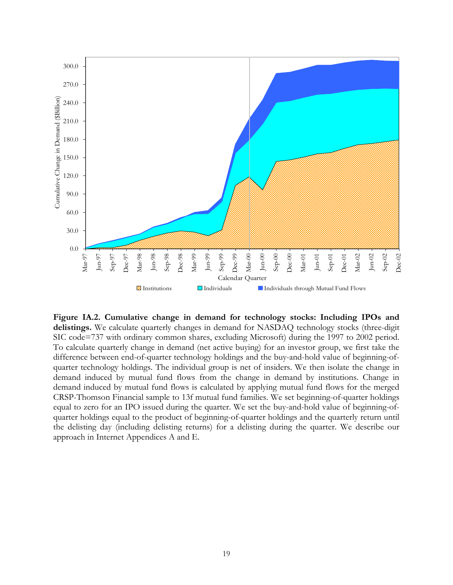

**Figure IA.2. Cumulative change in demand for technology stocks: Including IPOs and delistings.** We calculate quarterly changes in demand for NASDAQ technology stocks (three-digit SIC code=737 with ordinary common shares, excluding Microsoft) during the 1997 to 2002 period. To calculate quarterly change in demand (net active buying) for an investor group, we first take the difference between end-of-quarter technology holdings and the buy-and-hold value of beginning-ofquarter technology holdings. The individual group is net of insiders. We then isolate the change in demand induced by mutual fund flows from the change in demand by institutions. Change in demand induced by mutual fund flows is calculated by applying mutual fund flows for the merged CRSP-Thomson Financial sample to 13f mutual fund families. We set beginning-of-quarter holdings equal to zero for an IPO issued during the quarter. We set the buy-and-hold value of beginning-ofquarter holdings equal to the product of beginning-of-quarter holdings and the quarterly return until the delisting day (including delisting returns) for a delisting during the quarter. We describe our approach in Internet Appendices A and E.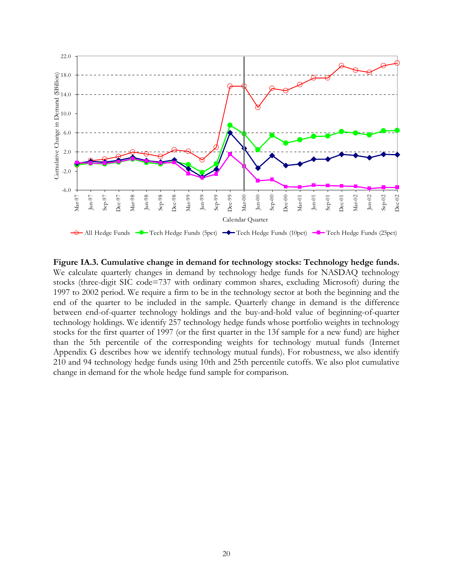

**Figure IA.3. Cumulative change in demand for technology stocks: Technology hedge funds.** We calculate quarterly changes in demand by technology hedge funds for NASDAQ technology stocks (three-digit SIC code=737 with ordinary common shares, excluding Microsoft) during the 1997 to 2002 period. We require a firm to be in the technology sector at both the beginning and the end of the quarter to be included in the sample. Quarterly change in demand is the difference between end-of-quarter technology holdings and the buy-and-hold value of beginning-of-quarter technology holdings. We identify 257 technology hedge funds whose portfolio weights in technology stocks for the first quarter of 1997 (or the first quarter in the 13f sample for a new fund) are higher than the 5th percentile of the corresponding weights for technology mutual funds (Internet Appendix G describes how we identify technology mutual funds). For robustness, we also identify 210 and 94 technology hedge funds using 10th and 25th percentile cutoffs. We also plot cumulative change in demand for the whole hedge fund sample for comparison.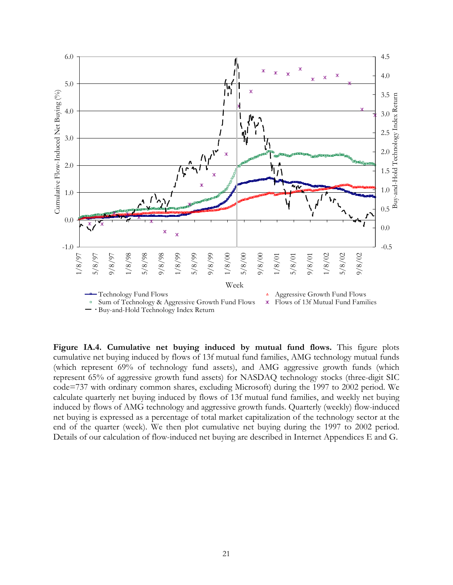

**Figure IA.4. Cumulative net buying induced by mutual fund flows.** This figure plots cumulative net buying induced by flows of 13f mutual fund families, AMG technology mutual funds (which represent 69% of technology fund assets), and AMG aggressive growth funds (which represent 65% of aggressive growth fund assets) for NASDAQ technology stocks (three-digit SIC code=737 with ordinary common shares, excluding Microsoft) during the 1997 to 2002 period. We calculate quarterly net buying induced by flows of 13f mutual fund families, and weekly net buying induced by flows of AMG technology and aggressive growth funds. Quarterly (weekly) flow-induced net buying is expressed as a percentage of total market capitalization of the technology sector at the end of the quarter (week). We then plot cumulative net buying during the 1997 to 2002 period. Details of our calculation of flow-induced net buying are described in Internet Appendices E and G.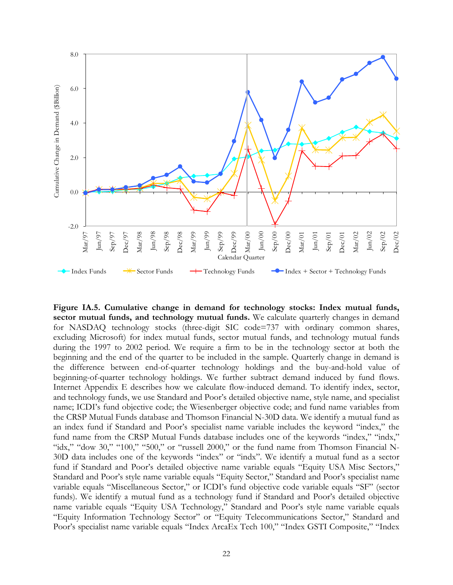

**Figure IA.5. Cumulative change in demand for technology stocks: Index mutual funds, sector mutual funds, and technology mutual funds.** We calculate quarterly changes in demand for NASDAQ technology stocks (three-digit SIC code=737 with ordinary common shares, excluding Microsoft) for index mutual funds, sector mutual funds, and technology mutual funds during the 1997 to 2002 period. We require a firm to be in the technology sector at both the beginning and the end of the quarter to be included in the sample. Quarterly change in demand is the difference between end-of-quarter technology holdings and the buy-and-hold value of beginning-of-quarter technology holdings. We further subtract demand induced by fund flows. Internet Appendix E describes how we calculate flow-induced demand. To identify index, sector, and technology funds, we use Standard and Poor's detailed objective name, style name, and specialist name; ICDI's fund objective code; the Wiesenberger objective code; and fund name variables from the CRSP Mutual Funds database and Thomson Financial N-30D data. We identify a mutual fund as an index fund if Standard and Poor's specialist name variable includes the keyword "index," the fund name from the CRSP Mutual Funds database includes one of the keywords "index," "indx," "idx," "dow 30," "100," "500," or "russell 2000," or the fund name from Thomson Financial N-30D data includes one of the keywords "index" or "indx". We identify a mutual fund as a sector fund if Standard and Poor's detailed objective name variable equals "Equity USA Misc Sectors," Standard and Poor's style name variable equals "Equity Sector," Standard and Poor's specialist name variable equals "Miscellaneous Sector," or ICDI's fund objective code variable equals "SF" (sector funds). We identify a mutual fund as a technology fund if Standard and Poor's detailed objective name variable equals "Equity USA Technology," Standard and Poor's style name variable equals "Equity Information Technology Sector" or "Equity Telecommunications Sector," Standard and Poor's specialist name variable equals "Index ArcaEx Tech 100," "Index GSTI Composite," "Index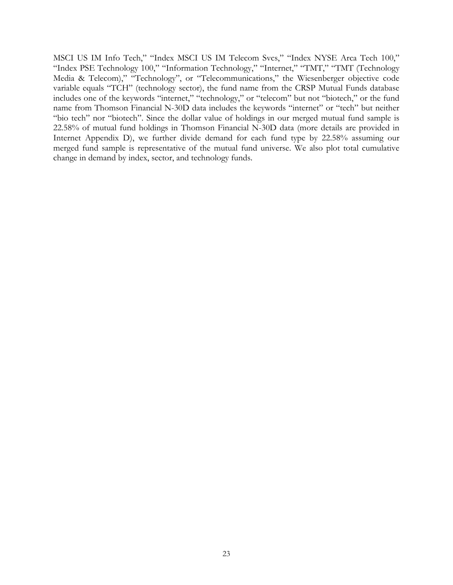MSCI US IM Info Tech," "Index MSCI US IM Telecom Svcs," "Index NYSE Arca Tech 100," "Index PSE Technology 100," "Information Technology," "Internet," "TMT," "TMT (Technology Media & Telecom)," "Technology", or "Telecommunications," the Wiesenberger objective code variable equals "TCH" (technology sector), the fund name from the CRSP Mutual Funds database includes one of the keywords "internet," "technology," or "telecom" but not "biotech," or the fund name from Thomson Financial N-30D data includes the keywords "internet" or "tech" but neither "bio tech" nor "biotech". Since the dollar value of holdings in our merged mutual fund sample is 22.58% of mutual fund holdings in Thomson Financial N-30D data (more details are provided in Internet Appendix D), we further divide demand for each fund type by 22.58% assuming our merged fund sample is representative of the mutual fund universe. We also plot total cumulative change in demand by index, sector, and technology funds.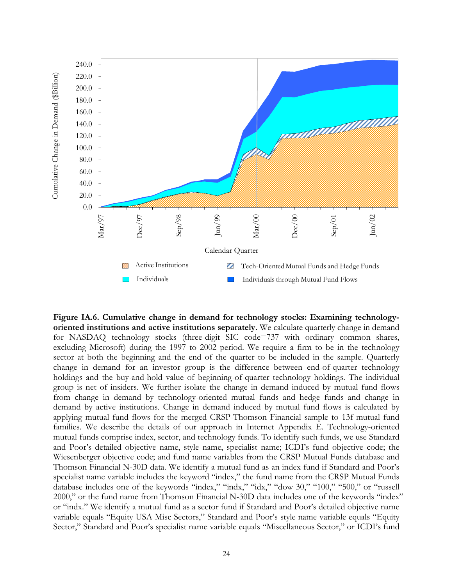

**Figure IA.6. Cumulative change in demand for technology stocks: Examining technologyoriented institutions and active institutions separately.** We calculate quarterly change in demand for NASDAQ technology stocks (three-digit SIC code=737 with ordinary common shares, excluding Microsoft) during the 1997 to 2002 period. We require a firm to be in the technology sector at both the beginning and the end of the quarter to be included in the sample. Quarterly change in demand for an investor group is the difference between end-of-quarter technology holdings and the buy-and-hold value of beginning-of-quarter technology holdings. The individual group is net of insiders. We further isolate the change in demand induced by mutual fund flows from change in demand by technology-oriented mutual funds and hedge funds and change in demand by active institutions. Change in demand induced by mutual fund flows is calculated by applying mutual fund flows for the merged CRSP-Thomson Financial sample to 13f mutual fund families. We describe the details of our approach in Internet Appendix E. Technology-oriented mutual funds comprise index, sector, and technology funds. To identify such funds, we use Standard and Poor's detailed objective name, style name, specialist name; ICDI's fund objective code; the Wiesenberger objective code; and fund name variables from the CRSP Mutual Funds database and Thomson Financial N-30D data. We identify a mutual fund as an index fund if Standard and Poor's specialist name variable includes the keyword "index," the fund name from the CRSP Mutual Funds database includes one of the keywords "index," "indx," "idx," "dow 30," "100," "500," or "russell 2000," or the fund name from Thomson Financial N-30D data includes one of the keywords "index" or "indx." We identify a mutual fund as a sector fund if Standard and Poor's detailed objective name variable equals "Equity USA Misc Sectors," Standard and Poor's style name variable equals "Equity Sector," Standard and Poor's specialist name variable equals "Miscellaneous Sector," or ICDI's fund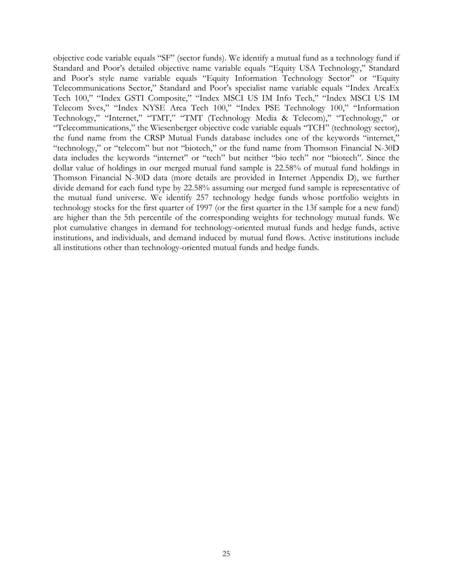objective code variable equals "SF" (sector funds). We identify a mutual fund as a technology fund if Standard and Poor's detailed objective name variable equals "Equity USA Technology," Standard and Poor's style name variable equals "Equity Information Technology Sector" or "Equity Telecommunications Sector," Standard and Poor's specialist name variable equals "Index ArcaEx Tech 100," "Index GSTI Composite," "Index MSCI US IM Info Tech," "Index MSCI US IM Telecom Svcs," "Index NYSE Arca Tech 100," "Index PSE Technology 100," "Information Technology," "Internet," "TMT," "TMT (Technology Media & Telecom)," "Technology," or "Telecommunications," the Wiesenberger objective code variable equals "TCH" (technology sector), the fund name from the CRSP Mutual Funds database includes one of the keywords "internet," "technology," or "telecom" but not "biotech," or the fund name from Thomson Financial N-30D data includes the keywords "internet" or "tech" but neither "bio tech" nor "biotech". Since the dollar value of holdings in our merged mutual fund sample is 22.58% of mutual fund holdings in Thomson Financial N-30D data (more details are provided in Internet Appendix D), we further divide demand for each fund type by 22.58% assuming our merged fund sample is representative of the mutual fund universe. We identify 257 technology hedge funds whose portfolio weights in technology stocks for the first quarter of 1997 (or the first quarter in the 13f sample for a new fund) are higher than the 5th percentile of the corresponding weights for technology mutual funds. We plot cumulative changes in demand for technology-oriented mutual funds and hedge funds, active institutions, and individuals, and demand induced by mutual fund flows. Active institutions include all institutions other than technology-oriented mutual funds and hedge funds.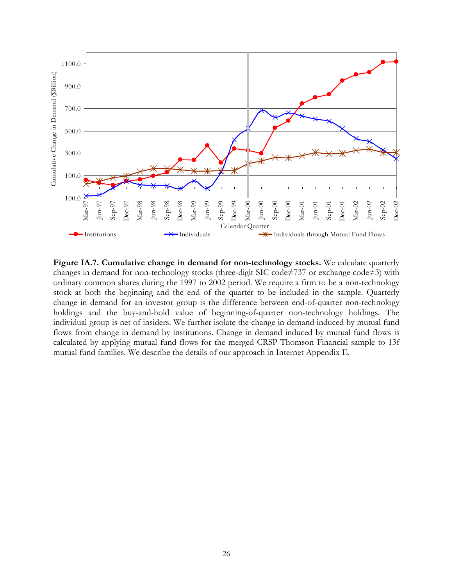

**Figure IA.7. Cumulative change in demand for non-technology stocks.** We calculate quarterly changes in demand for non-technology stocks (three-digit SIC code≠737 or exchange code≠3) with ordinary common shares during the 1997 to 2002 period. We require a firm to be a non-technology stock at both the beginning and the end of the quarter to be included in the sample. Quarterly change in demand for an investor group is the difference between end-of-quarter non-technology holdings and the buy-and-hold value of beginning-of-quarter non-technology holdings. The individual group is net of insiders. We further isolate the change in demand induced by mutual fund flows from change in demand by institutions. Change in demand induced by mutual fund flows is calculated by applying mutual fund flows for the merged CRSP-Thomson Financial sample to 13f mutual fund families. We describe the details of our approach in Internet Appendix E.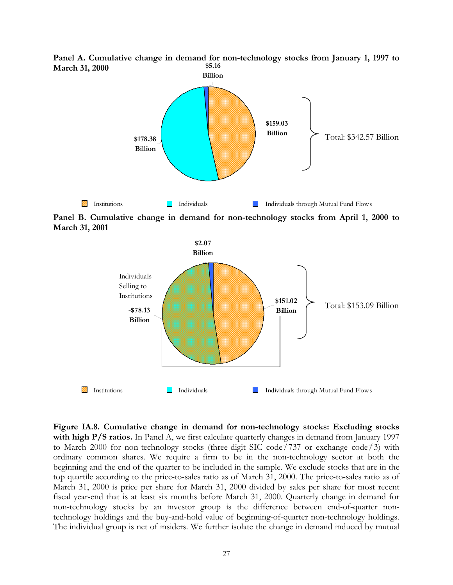

**\$5.16 Panel A. Cumulative change in demand for non-technology stocks from January 1, 1997 to March 31, 2000** 

**Panel B. Cumulative change in demand for non-technology stocks from April 1, 2000 to March 31, 2001** 



**Figure IA.8. Cumulative change in demand for non-technology stocks: Excluding stocks with high P/S ratios.** In Panel A, we first calculate quarterly changes in demand from January 1997 to March 2000 for non-technology stocks (three-digit SIC code≠737 or exchange code≠3) with ordinary common shares. We require a firm to be in the non-technology sector at both the beginning and the end of the quarter to be included in the sample. We exclude stocks that are in the top quartile according to the price-to-sales ratio as of March 31, 2000. The price-to-sales ratio as of March 31, 2000 is price per share for March 31, 2000 divided by sales per share for most recent fiscal year-end that is at least six months before March 31, 2000. Quarterly change in demand for non-technology stocks by an investor group is the difference between end-of-quarter nontechnology holdings and the buy-and-hold value of beginning-of-quarter non-technology holdings. The individual group is net of insiders. We further isolate the change in demand induced by mutual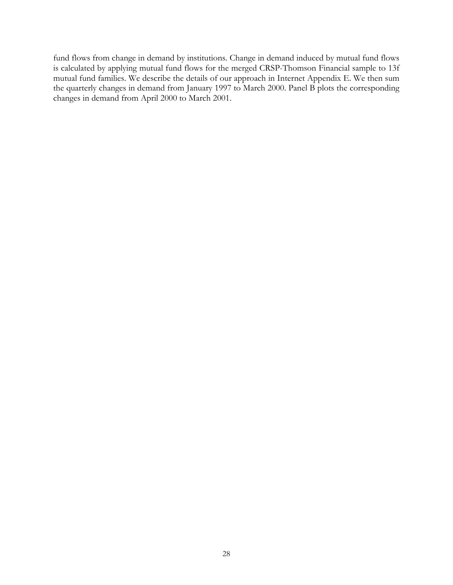fund flows from change in demand by institutions. Change in demand induced by mutual fund flows is calculated by applying mutual fund flows for the merged CRSP-Thomson Financial sample to 13f mutual fund families. We describe the details of our approach in Internet Appendix E. We then sum the quarterly changes in demand from January 1997 to March 2000. Panel B plots the corresponding changes in demand from April 2000 to March 2001.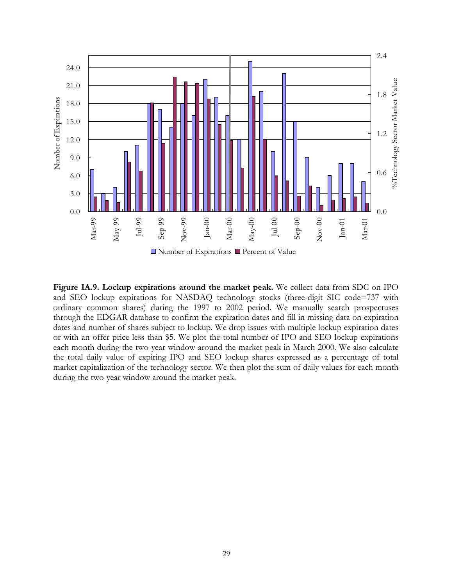

**Figure IA.9. Lockup expirations around the market peak.** We collect data from SDC on IPO and SEO lockup expirations for NASDAQ technology stocks (three-digit SIC code=737 with ordinary common shares) during the 1997 to 2002 period. We manually search prospectuses through the EDGAR database to confirm the expiration dates and fill in missing data on expiration dates and number of shares subject to lockup. We drop issues with multiple lockup expiration dates or with an offer price less than \$5. We plot the total number of IPO and SEO lockup expirations each month during the two-year window around the market peak in March 2000. We also calculate the total daily value of expiring IPO and SEO lockup shares expressed as a percentage of total market capitalization of the technology sector. We then plot the sum of daily values for each month during the two-year window around the market peak.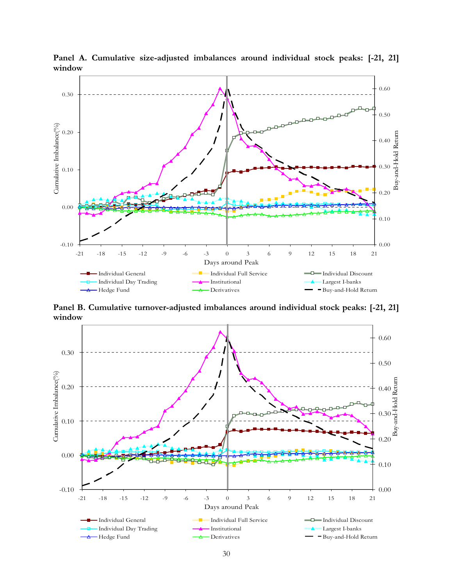

**Panel A. Cumulative size-adjusted imbalances around individual stock peaks: [-21, 21] window** 

**Panel B. Cumulative turnover-adjusted imbalances around individual stock peaks: [-21, 21] window** 

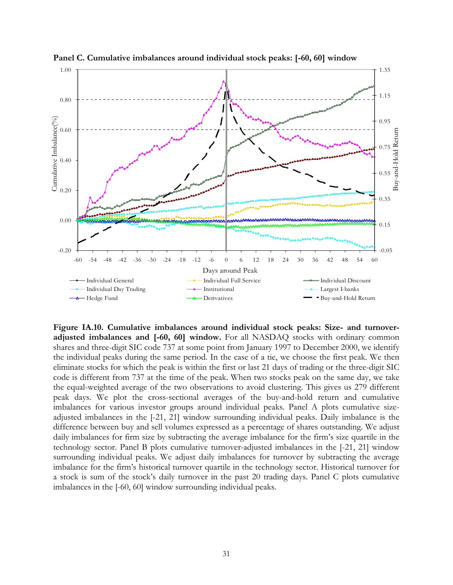

**Panel C. Cumulative imbalances around individual stock peaks: [-60, 60] window** 

**Figure IA.10. Cumulative imbalances around individual stock peaks: Size- and turnoveradjusted imbalances and [-60, 60] window.** For all NASDAQ stocks with ordinary common shares and three-digit SIC code 737 at some point from January 1997 to December 2000, we identify the individual peaks during the same period. In the case of a tie, we choose the first peak. We then eliminate stocks for which the peak is within the first or last 21 days of trading or the three-digit SIC code is different from 737 at the time of the peak. When two stocks peak on the same day, we take the equal-weighted average of the two observations to avoid clustering. This gives us 279 different peak days. We plot the cross-sectional averages of the buy-and-hold return and cumulative imbalances for various investor groups around individual peaks. Panel A plots cumulative sizeadjusted imbalances in the [-21, 21] window surrounding individual peaks. Daily imbalance is the difference between buy and sell volumes expressed as a percentage of shares outstanding. We adjust daily imbalances for firm size by subtracting the average imbalance for the firm's size quartile in the technology sector. Panel B plots cumulative turnover-adjusted imbalances in the [-21, 21] window surrounding individual peaks. We adjust daily imbalances for turnover by subtracting the average imbalance for the firm's historical turnover quartile in the technology sector. Historical turnover for a stock is sum of the stock's daily turnover in the past 20 trading days. Panel C plots cumulative imbalances in the [-60, 60] window surrounding individual peaks.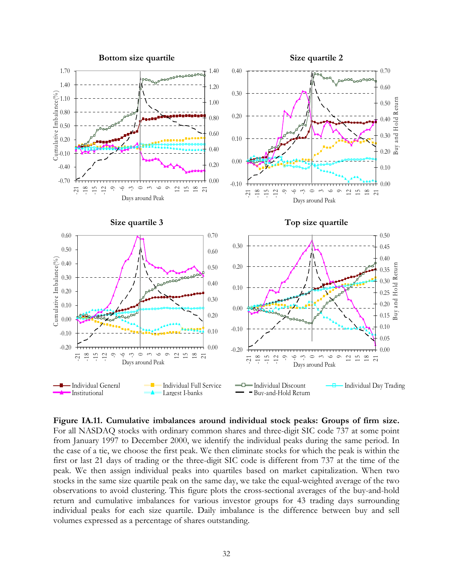

**Figure IA.11. Cumulative imbalances around individual stock peaks: Groups of firm size.** For all NASDAQ stocks with ordinary common shares and three-digit SIC code 737 at some point from January 1997 to December 2000, we identify the individual peaks during the same period. In the case of a tie, we choose the first peak. We then eliminate stocks for which the peak is within the first or last 21 days of trading or the three-digit SIC code is different from 737 at the time of the peak. We then assign individual peaks into quartiles based on market capitalization. When two stocks in the same size quartile peak on the same day, we take the equal-weighted average of the two observations to avoid clustering. This figure plots the cross-sectional averages of the buy-and-hold return and cumulative imbalances for various investor groups for 43 trading days surrounding individual peaks for each size quartile. Daily imbalance is the difference between buy and sell volumes expressed as a percentage of shares outstanding.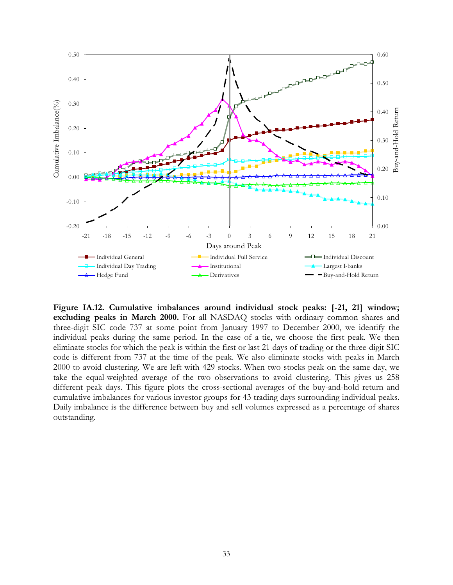

**Figure IA.12. Cumulative imbalances around individual stock peaks: [-21, 21] window; excluding peaks in March 2000.** For all NASDAQ stocks with ordinary common shares and three-digit SIC code 737 at some point from January 1997 to December 2000, we identify the individual peaks during the same period. In the case of a tie, we choose the first peak. We then eliminate stocks for which the peak is within the first or last 21 days of trading or the three-digit SIC code is different from 737 at the time of the peak. We also eliminate stocks with peaks in March 2000 to avoid clustering. We are left with 429 stocks. When two stocks peak on the same day, we take the equal-weighted average of the two observations to avoid clustering. This gives us 258 different peak days. This figure plots the cross-sectional averages of the buy-and-hold return and cumulative imbalances for various investor groups for 43 trading days surrounding individual peaks. Daily imbalance is the difference between buy and sell volumes expressed as a percentage of shares outstanding.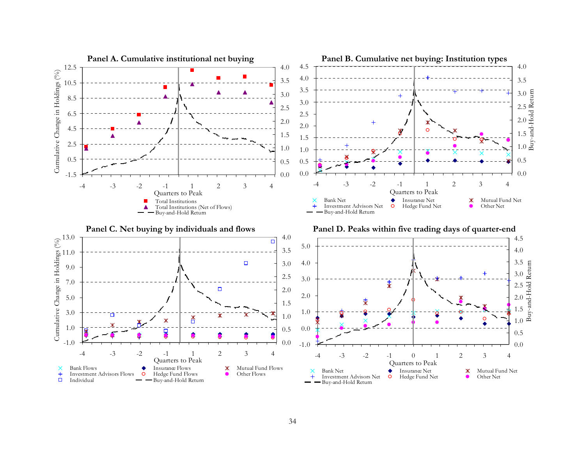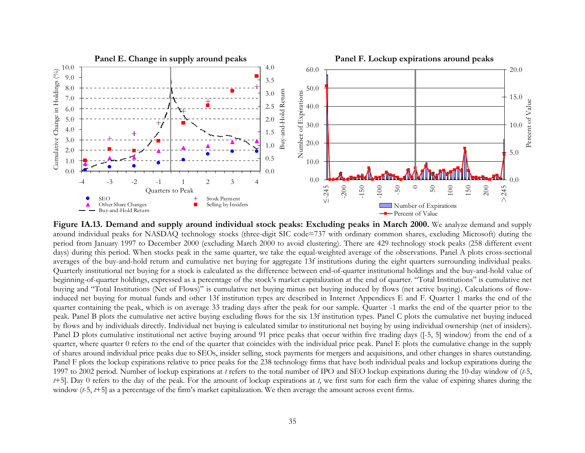

**Figure IA.13. Demand and supply around individual stock peaks: Excluding peaks in March 2000.** We analyze demand and supply around individual peaks for NASDAQ technology stocks (three-digit SIC code=737 with ordinary common shares, excluding Microsoft) during the period from January 1997 to December 2000 (excluding March 2000 to avoid clustering). There are 429 technology stock peaks (258 different event days) during this period. When stocks peak in the same quarter, we take the equal-weighted average of the observations. Panel A plots cross-sectional averages of the buy-and-hold return and cumulative net buying for aggregate 13f institutions during the eight quarters surrounding individual peaks. Quarterly institutional net buying for a stock is calculated as the difference between end-of-quarter institutional holdings and the buy-and-hold value of beginning-of-quarter holdings, expressed as a percentage of the stock's market capitalization at the end of quarter. "Total Institutions" is cumulative net buying and "Total Institutions (Net of Flows)" is cumulative net buying minus net buying induced by flows (net active buying). Calculations of flowinduced net buying for mutual funds and other 13f institution types are described in Internet Appendices E and F. Quarter 1 marks the end of the quarter containing the peak, which is on average 33 trading days after the peak for our sample. Quarter -1 marks the end of the quarter prior to the peak. Panel B plots the cumulative net active buying excluding flows for the six 13f institution types. Panel C plots the cumulative net buying induced by flows and by individuals directly. Individual net buying is calculated similar to institutional net buying by using individual ownership (net of insiders). Panel D plots cumulative institutional net active buying around 91 price peaks that occur within five trading days ([-5, 5] window) from the end of a quarter, where quarter 0 refers to the end of the quarter that coincides with the individual price peak. Panel E plots the cumulative change in the supply of shares around individual price peaks due to SEOs, insider selling, stock payments for mergers and acquisitions, and other changes in shares outstanding. Panel F plots the lockup expirations relative to price peaks for the 238 technology firms that have both individual peaks and lockup expirations during the 1997 to 2002 period. Number of lockup expirations at *t* refers to the total number of IPO and SEO lockup expirations during the 10-day window of (*t*-5, *<sup>t</sup>*+5]. Day 0 refers to the day of the peak. For the amount of lockup expirations at *<sup>t</sup>*, we first sum for each firm the value of expiring shares during the window (*t*-5, *t*+5] as a percentage of the firm's market capitalization. We then average the amount across event firms.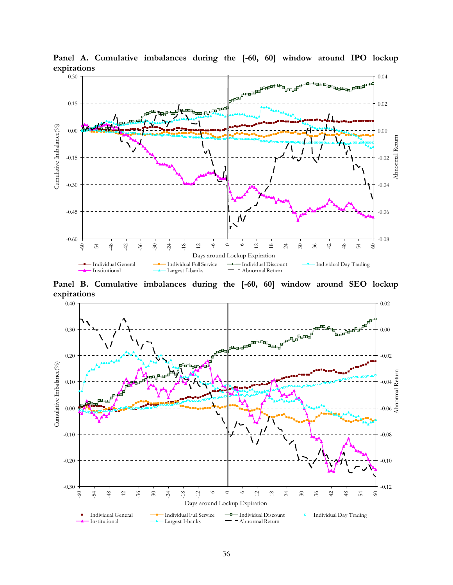

**Panel A. Cumulative imbalances during the [-60, 60] window around IPO lockup expirations** 

**Panel B. Cumulative imbalances during the [-60, 60] window around SEO lockup expirations** 

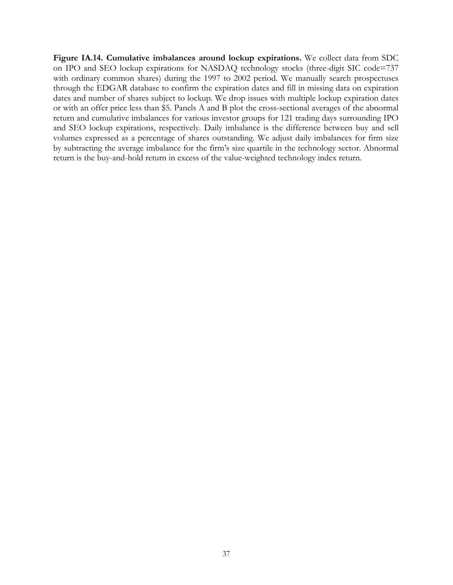**Figure IA.14. Cumulative imbalances around lockup expirations.** We collect data from SDC on IPO and SEO lockup expirations for NASDAQ technology stocks (three-digit SIC code=737 with ordinary common shares) during the 1997 to 2002 period. We manually search prospectuses through the EDGAR database to confirm the expiration dates and fill in missing data on expiration dates and number of shares subject to lockup. We drop issues with multiple lockup expiration dates or with an offer price less than \$5. Panels A and B plot the cross-sectional averages of the abnormal return and cumulative imbalances for various investor groups for 121 trading days surrounding IPO and SEO lockup expirations, respectively. Daily imbalance is the difference between buy and sell volumes expressed as a percentage of shares outstanding. We adjust daily imbalances for firm size by subtracting the average imbalance for the firm's size quartile in the technology sector. Abnormal return is the buy-and-hold return in excess of the value-weighted technology index return.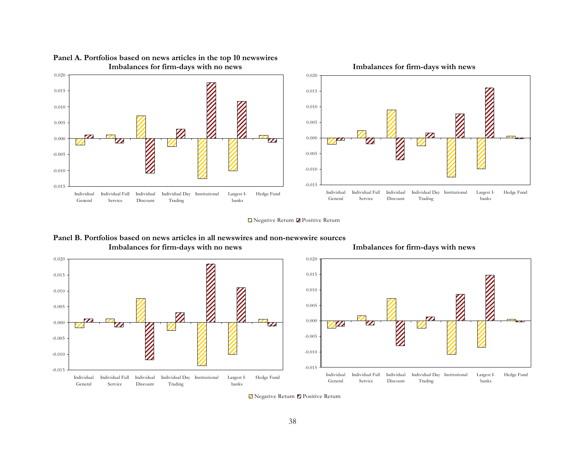

**Panel A. Portfolios based on news articles in the top 10 newswires** 

■ Negative Return ■ Positive Return

**Panel B. Portfolios based on news articles in all newswires and non-newswire sources Imbalances for firm-days with no news Imbalances for firm-days with news**





**Z** Negative Return **Z** Positive Return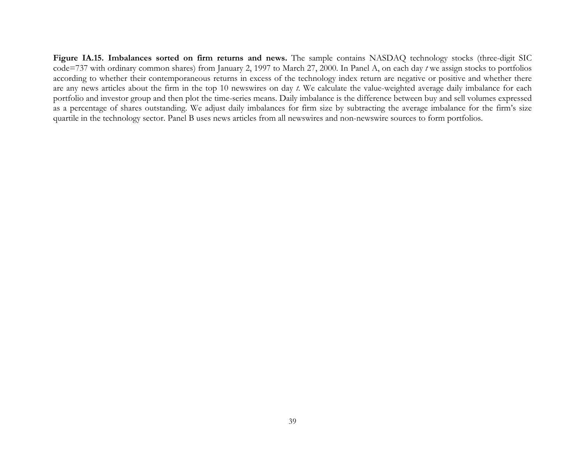**Figure IA.15. Imbalances sorted on firm returns and news.** The sample contains NASDAQ technology stocks (three-digit SIC code=737 with ordinary common shares) from January 2, 1997 to March 27, 2000. In Panel A, on each day *t* we assign stocks to portfolios according to whether their contemporaneous returns in excess of the technology index return are negative or positive and whether there are any news articles about the firm in the top 10 newswires on day *t*. We calculate the value-weighted average daily imbalance for each portfolio and investor group and then plot the time-series means. Daily imbalance is the difference between buy and sell volumes expressed as a percentage of shares outstanding. We adjust daily imbalances for firm size by subtracting the average imbalance for the firm's size quartile in the technology sector. Panel B uses news articles from all newswires and non-newswire sources to form portfolios.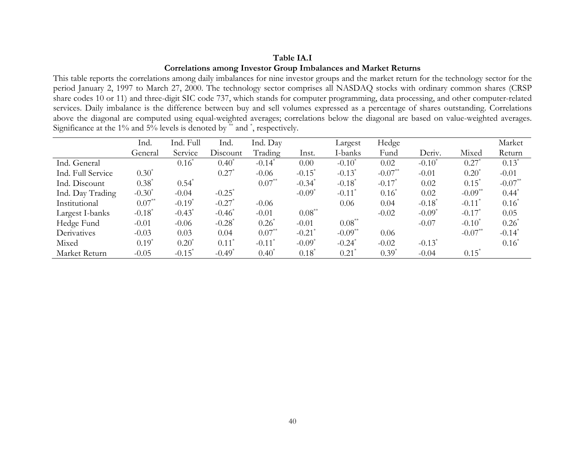# **Table IA.I Correlations among Investor Group Imbalances and Market Returns**

This table reports the correlations among daily imbalances for nine investor groups and the market return for the technology sector for the period January 2, 1997 to March 27, 2000. The technology sector comprises all NASDAQ stocks with ordinary common shares (CRSP share codes 10 or 11) and three-digit SIC code 737, which stands for computer programming, data processing, and other computer-related services. Daily imbalance is the difference between buy and sell volumes expressed as a percentage of shares outstanding. Correlations above the diagonal are computed using equal-weighted averages; correlations below the diagonal are based on value-weighted averages. Significance at the 1% and 5% levels is denoted by \*\* and \*, respectively.

|                   | Ind.                 | Ind. Full            | Ind.                 | Ind. Day             |                      | Largest              | Hedge                |                      |                       | Market               |
|-------------------|----------------------|----------------------|----------------------|----------------------|----------------------|----------------------|----------------------|----------------------|-----------------------|----------------------|
|                   | General              | Service              | Discount             | Trading              | Inst.                | I-banks              | Fund                 | Deriv.               | Mixed                 | Return               |
| Ind. General      |                      | $0.16^*$             | $0.40^*$             | $-0.14$ <sup>*</sup> | 0.00                 | $-0.10^*$            | 0.02                 | $-0.10^*$            | 0.27                  | $0.13^*$             |
| Ind. Full Service | $0.30^*$             |                      | $0.27$ <sup>*</sup>  | $-0.06$              | $-0.15$ <sup>*</sup> | $-0.13^*$            | $-0.07**$            | $-0.01$              | $0.20^*$              | $-0.01$              |
| Ind. Discount     | $0.38^*$             | $0.54^*$             |                      | $0.07^{**}$          | $-0.34$ <sup>*</sup> | $-0.18$ <sup>*</sup> | $-0.17$ <sup>*</sup> | 0.02                 | $0.15^*$              | $-0.07**$            |
| Ind. Day Trading  | $-0.30^*$            | $-0.04$              | $-0.25$ <sup>*</sup> |                      | $-0.09$ <sup>*</sup> | $-0.11$ <sup>*</sup> | $0.16^*$             | 0.02                 | $-0.09$ <sup>**</sup> | $0.44$ <sup>*</sup>  |
| Institutional     | $0.07**$             | $-0.19$ <sup>*</sup> | $-0.27$ <sup>*</sup> | $-0.06$              |                      | 0.06                 | 0.04                 | $-0.18$ <sup>*</sup> | $-0.11$ <sup>*</sup>  | $0.16^*$             |
| Largest I-banks   | $-0.18$ <sup>*</sup> | $-0.43$ <sup>*</sup> | $-0.46^*$            | $-0.01$              | $0.08***$            |                      | $-0.02$              | $-0.09^*$            | $-0.17$ <sup>*</sup>  | 0.05                 |
| Hedge Fund        | $-0.01$              | $-0.06$              | $-0.28$ <sup>*</sup> | $0.26^*$             | $-0.01$              | $0.08^{**}$          |                      | $-0.07$              | $-0.10^*$             | $0.26^*$             |
| Derivatives       | $-0.03$              | 0.03                 | 0.04                 | $0.07^{**}$          | $-0.21$ <sup>*</sup> | $-0.09**$            | 0.06                 |                      | $-0.07**$             | $-0.14$ <sup>*</sup> |
| Mixed             | $0.19^*$             | $0.20^*$             | $0.11$ <sup>*</sup>  | $-0.11$ <sup>*</sup> | $-0.09$ <sup>*</sup> | $-0.24$ <sup>*</sup> | $-0.02$              | $-0.13^*$            |                       | $0.16^*$             |
| Market Return     | $-0.05$              | $-0.15$ <sup>*</sup> | $-0.49$ <sup>*</sup> | $0.40^{\degree}$     | $0.18^*$             | 0.21                 | $0.39^*$             | $-0.04$              | $0.15^*$              |                      |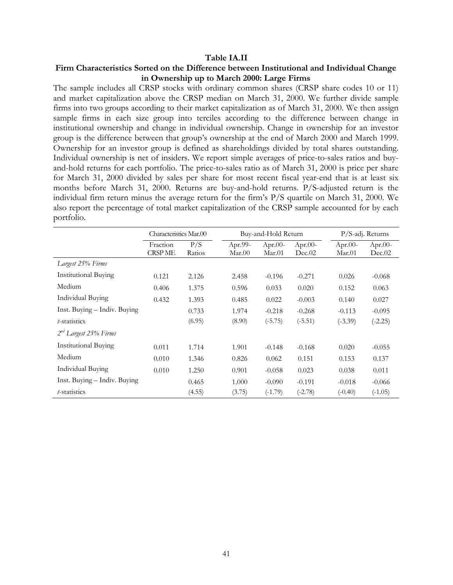#### **Table IA.II**

# **Firm Characteristics Sorted on the Difference between Institutional and Individual Change in Ownership up to March 2000: Large Firms**

The sample includes all CRSP stocks with ordinary common shares (CRSP share codes 10 or 11) and market capitalization above the CRSP median on March 31, 2000. We further divide sample firms into two groups according to their market capitalization as of March 31, 2000. We then assign sample firms in each size group into terciles according to the difference between change in institutional ownership and change in individual ownership. Change in ownership for an investor group is the difference between that group's ownership at the end of March 2000 and March 1999. Ownership for an investor group is defined as shareholdings divided by total shares outstanding. Individual ownership is net of insiders. We report simple averages of price-to-sales ratios and buyand-hold returns for each portfolio. The price-to-sales ratio as of March 31, 2000 is price per share for March 31, 2000 divided by sales per share for most recent fiscal year-end that is at least six months before March 31, 2000. Returns are buy-and-hold returns. P/S-adjusted return is the individual firm return minus the average return for the firm's P/S quartile on March 31, 2000. We also report the percentage of total market capitalization of the CRSP sample accounted for by each portfolio.

|                              | Characteristics Mar.00     |               |                   | Buy-and-Hold Return  |                      |                      | P/S-adj. Returns     |
|------------------------------|----------------------------|---------------|-------------------|----------------------|----------------------|----------------------|----------------------|
|                              | Fraction<br><b>CRSP ME</b> | P/S<br>Ratios | Apr.99-<br>Mar.00 | Apr. $00-$<br>Mar.01 | Apr. $00-$<br>Dec.02 | Apr. $00-$<br>Mar.01 | Apr. $00-$<br>Dec.02 |
| Largest 25% Firms            |                            |               |                   |                      |                      |                      |                      |
| <b>Institutional Buying</b>  | 0.121                      | 2.126         | 2.458             | $-0.196$             | $-0.271$             | 0.026                | $-0.068$             |
| Medium                       | 0.406                      | 1.375         | 0.596             | 0.033                | 0.020                | 0.152                | 0.063                |
| Individual Buying            | 0.432                      | 1.393         | 0.485             | 0.022                | $-0.003$             | 0.140                | 0.027                |
| Inst. Buying – Indiv. Buying |                            | 0.733         | 1.974             | $-0.218$             | $-0.268$             | $-0.113$             | $-0.095$             |
| <i>t</i> -statistics         |                            | (6.95)        | (8.90)            | $(-5.75)$            | $(-5.51)$            | $(-3.39)$            | $(-2.25)$            |
| $2nd$ Largest 25% Firms      |                            |               |                   |                      |                      |                      |                      |
| <b>Institutional Buying</b>  | 0.011                      | 1.714         | 1.901             | $-0.148$             | $-0.168$             | 0.020                | $-0.055$             |
| Medium                       | 0.010                      | 1.346         | 0.826             | 0.062                | 0.151                | 0.153                | 0.137                |
| <b>Individual Buying</b>     | 0.010                      | 1.250         | 0.901             | $-0.058$             | 0.023                | 0.038                | 0.011                |
| Inst. Buying - Indiv. Buying |                            | 0.465         | 1.000             | $-0.090$             | $-0.191$             | $-0.018$             | $-0.066$             |
| t-statistics                 |                            | (4.55)        | (3.75)            | $(-1.79)$            | $(-2.78)$            | $(-0.40)$            | $(-1.05)$            |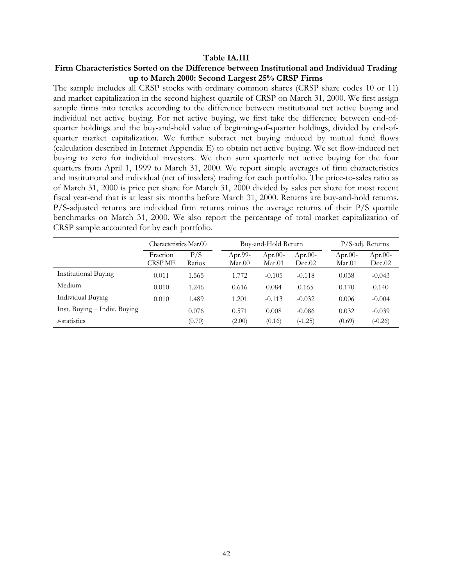#### **Table IA.III**

# **Firm Characteristics Sorted on the Difference between Institutional and Individual Trading up to March 2000: Second Largest 25% CRSP Firms**

The sample includes all CRSP stocks with ordinary common shares (CRSP share codes 10 or 11) and market capitalization in the second highest quartile of CRSP on March 31, 2000. We first assign sample firms into terciles according to the difference between institutional net active buying and individual net active buying. For net active buying, we first take the difference between end-ofquarter holdings and the buy-and-hold value of beginning-of-quarter holdings, divided by end-ofquarter market capitalization. We further subtract net buying induced by mutual fund flows (calculation described in Internet Appendix E) to obtain net active buying. We set flow-induced net buying to zero for individual investors. We then sum quarterly net active buying for the four quarters from April 1, 1999 to March 31, 2000. We report simple averages of firm characteristics and institutional and individual (net of insiders) trading for each portfolio. The price-to-sales ratio as of March 31, 2000 is price per share for March 31, 2000 divided by sales per share for most recent fiscal year-end that is at least six months before March 31, 2000. Returns are buy-and-hold returns. P/S-adjusted returns are individual firm returns minus the average returns of their P/S quartile benchmarks on March 31, 2000. We also report the percentage of total market capitalization of CRSP sample accounted for by each portfolio.

|                              | Characteristics Mar.00 |               |                   | Buy-and-Hold Return  |                      | $P/S$ -adj. Returns  |                   |  |
|------------------------------|------------------------|---------------|-------------------|----------------------|----------------------|----------------------|-------------------|--|
|                              | Fraction<br>CRSP ME    | P/S<br>Ratios | Apr.99-<br>Mar.00 | Apr. $00-$<br>Mar.01 | Apr. $00-$<br>Dec.02 | Apr. $00-$<br>Mar.01 | Apr.00-<br>Dec.02 |  |
| <b>Institutional Buying</b>  | 0.011                  | 1.565         | 1.772             | $-0.105$             | $-0.118$             | 0.038                | $-0.043$          |  |
| Medium                       | 0.010                  | 1.246         | 0.616             | 0.084                | 0.165                | 0.170                | 0.140             |  |
| Individual Buying            | 0.010                  | 1.489         | 1.201             | $-0.113$             | $-0.032$             | 0.006                | $-0.004$          |  |
| Inst. Buying - Indiv. Buying |                        | 0.076         | 0.571             | 0.008                | $-0.086$             | 0.032                | $-0.039$          |  |
| t-statistics                 |                        | (0.70)        | (2.00)            | (0.16)               | $(-1.25)$            | (0.69)               | $(-0.26)$         |  |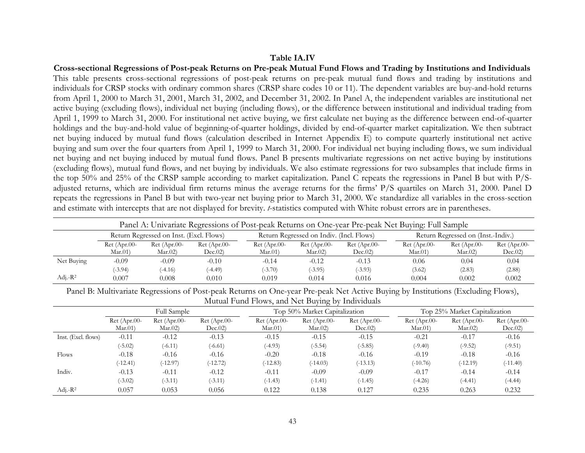### **Table IA.IV**

**Cross-sectional Regressions of Post-peak Returns on Pre-peak Mutual Fund Flows and Trading by Institutions and Individuals**  This table presents cross-sectional regressions of post-peak returns on pre-peak mutual fund flows and trading by institutions and individuals for CRSP stocks with ordinary common shares (CRSP share codes 10 or 11). The dependent variables are buy-and-hold returns from April 1, 2000 to March 31, 2001, March 31, 2002, and December 31, 2002. In Panel A, the independent variables are institutional net active buying (excluding flows), individual net buying (including flows), or the difference between institutional and individual trading from April 1, 1999 to March 31, 2000. For institutional net active buying, we first calculate net buying as the difference between end-of-quarter holdings and the buy-and-hold value of beginning-of-quarter holdings, divided by end-of-quarter market capitalization. We then subtract net buying induced by mutual fund flows (calculation described in Internet Appendix E) to compute quarterly institutional net active buying and sum over the four quarters from April 1, 1999 to March 31, 2000. For individual net buying including flows, we sum individual net buying and net buying induced by mutual fund flows. Panel B presents multivariate regressions on net active buying by institutions (excluding flows), mutual fund flows, and net buying by individuals. We also estimate regressions for two subsamples that include firms in the top 50% and 25% of the CRSP sample according to market capitalization. Panel C repeats the regressions in Panel B but with P/Sadjusted returns, which are individual firm returns minus the average returns for the firms' P/S quartiles on March 31, 2000. Panel D repeats the regressions in Panel B but with two-year net buying prior to March 31, 2000. We standardize all variables in the cross-section and estimate with intercepts that are not displayed for brevity. *t*-statistics computed with White robust errors are in parentheses.

|                                                                                                                           | Panel A: Univariate Regressions of Post-peak Returns on One-year Pre-peak Net Buying: Full Sample |                         |                          |                          |                          |                          |                         |                          |                           |  |  |
|---------------------------------------------------------------------------------------------------------------------------|---------------------------------------------------------------------------------------------------|-------------------------|--------------------------|--------------------------|--------------------------|--------------------------|-------------------------|--------------------------|---------------------------|--|--|
| Return Regressed on Indiv. (Incl. Flows)<br>Return Regressed on Inst. (Excl. Flows)<br>Return Regressed on (Inst.-Indiv.) |                                                                                                   |                         |                          |                          |                          |                          |                         |                          |                           |  |  |
|                                                                                                                           | $Ret$ (Apr.00-<br>Mar.01                                                                          | $Ret(Apr.00-$<br>Mar.02 | $Ret$ (Apr.00-<br>Dec.02 | $Ret (Apr.00-$<br>Mar.01 | $Ret$ (Apr.00-<br>Mar.02 | $Ret$ (Apr.00-<br>Dec.02 | $Ret(Apr.00-$<br>Mar.01 | $Ret$ (Apr.00-<br>Mar.02 | $Ret$ (Apr.00-<br>Dec.02) |  |  |
| Net Buying                                                                                                                | $-0.09$                                                                                           | -0.09                   | $-0.10$                  | $-0.14$                  | $-0.12$                  | $-0.13$                  | 0.06                    | 0.04                     | 0.04                      |  |  |
|                                                                                                                           | $(-3.94)$                                                                                         | $(-4.16)$               | $(-4.49)$                | $(-3.70)$                | $(-3.95)$                | $(-3.93)$                | (3.62)                  | (2.83)                   | (2.88)                    |  |  |
| Adj.- $R^2$                                                                                                               | 0.007                                                                                             | 0.008                   | 0.010                    | 0.019                    | 0.014                    | 0.016                    | 0.004                   | 0.002                    | 0.002                     |  |  |

Panel B: Multivariate Regressions of Post-peak Returns on One-year Pre-peak Net Active Buying by Institutions (Excluding Flows), Mutual Fund Flows, and Net Buying by Individuals

|                     |                           | Full Sample               |                           |                           | Top 50% Market Capitalization |                           |                           | Top 25% Market Capitalization |                           |  |
|---------------------|---------------------------|---------------------------|---------------------------|---------------------------|-------------------------------|---------------------------|---------------------------|-------------------------------|---------------------------|--|
|                     | $Ret (Apr.00-$<br>Mar.01) | $Ret (Apr.00-$<br>Mar.02) | $Ret (Apr.00-$<br>Dec.02) | $Ret (Apr.00-$<br>Mar.01) | $Ret (Apr.00-$<br>Mar.02)     | $Ret (Apr.00-$<br>Dec.02) | $Ret (Apr.00-$<br>Mar.01) | $Ret (Apr.00-$<br>Mar.02)     | $Ret$ (Apr.00-<br>Dec.02) |  |
| Inst. (Excl. flows) | $-0.11$                   | $-0.12$                   | $-0.13$                   | $-0.15$                   | $-0.15$                       | $-0.15$                   | $-0.21$                   | $-0.17$                       | $-0.16$                   |  |
|                     | $(-5.02)$                 | $(-6.11)$                 | $(-6.61)$                 | $(-4.93)$                 | $(-5.54)$                     | $(-5.85)$                 | $(-9.40)$                 | $(-9.52)$                     | $(-9.51)$                 |  |
| Flows               | $-0.18$                   | $-0.16$                   | $-0.16$                   | $-0.20$                   | $-0.18$                       | $-0.16$                   | $-0.19$                   | $-0.18$                       | $-0.16$                   |  |
|                     | $(-12.41)$                | $(-12.97)$                | $(-12.72)$                | $(-12.83)$                | $(-14.03)$                    | $(-13.13)$                | $(-10.76)$                | $(-12.19)$                    | $(-11.40)$                |  |
| Indiv.              | $-0.13$                   | $-0.11$                   | $-0.12$                   | $-0.11$                   | $-0.09$                       | $-0.09$                   | $-0.17$                   | $-0.14$                       | $-0.14$                   |  |
|                     | $(-3.02)$                 | $(-3.11)$                 | $(-3.11)$                 | $(-1.43)$                 | $(-1.41)$                     | $(-1.45)$                 | $(-4.26)$                 | $(-4.41)$                     | $(-4.44)$                 |  |
| Adj.- $R^2$         | 0.057                     | 0.053                     | 0.056                     | 0.122                     | 0.138                         | 0.127                     | 0.235                     | 0.263                         | 0.232                     |  |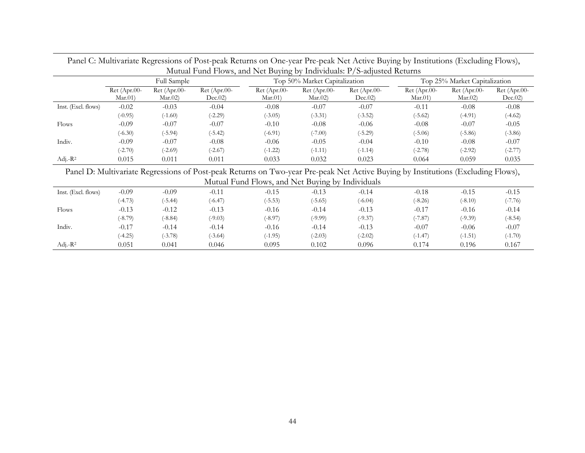|                     |                          | $\cdot$                  |                           | Mutual Fund Flows, and Net Buying by Individuals: P/S-adjusted Returns |                          |                           |                               |                          | $\sqrt{2}$<br>$\cdot$ $\cdot$ |
|---------------------|--------------------------|--------------------------|---------------------------|------------------------------------------------------------------------|--------------------------|---------------------------|-------------------------------|--------------------------|-------------------------------|
|                     |                          | Full Sample              |                           | Top 50% Market Capitalization                                          |                          |                           | Top 25% Market Capitalization |                          |                               |
|                     | $Ret (Apr.00-$<br>Mar.01 | $Ret (Apr.00-$<br>Mar.02 | $Ret (Apr.00-$<br>Dec.02) | $Ret (Apr.00-$<br>Mar.01                                               | $Ret (Apr.00-$<br>Mar.02 | $Ret$ (Apr.00-<br>Dec.02) | $Ret (Apr.00-$<br>Mar.01)     | $Ret (Apr.00-$<br>Mar.02 | $Ret (Apr.00-$<br>Dec.02)     |
| Inst. (Excl. flows) | $-0.02$                  | $-0.03$                  | $-0.04$                   | $-0.08$                                                                | $-0.07$                  | $-0.07$                   | $-0.11$                       | $-0.08$                  | $-0.08$                       |
|                     | $(-0.95)$                | $(-1.60)$                | $(-2.29)$                 | $(-3.05)$                                                              | $(-3.31)$                | $(-3.52)$                 | $(-5.62)$                     | $(-4.91)$                | $(-4.62)$                     |
| Flows               | $-0.09$                  | $-0.07$                  | $-0.07$                   | $-0.10$                                                                | $-0.08$                  | $-0.06$                   | $-0.08$                       | $-0.07$                  | $-0.05$                       |
|                     | $(-6.30)$                | $(-5.94)$                | $(-5.42)$                 | $(-6.91)$                                                              | $(-7.00)$                | $(-5.29)$                 | $(-5.06)$                     | $(-5.86)$                | $(-3.86)$                     |
| Indiv.              | $-0.09$                  | $-0.07$                  | $-0.08$                   | $-0.06$                                                                | $-0.05$                  | $-0.04$                   | $-0.10$                       | $-0.08$                  | $-0.07$                       |
|                     | $(-2.70)$                | $(-2.69)$                | $(-2.67)$                 | $(-1.22)$                                                              | $(-1.11)$                | $(-1.14)$                 | $(-2.78)$                     | $(-2.92)$                | $(-2.77)$                     |
| Adj.- $R^2$         | 0.015                    | 0.011                    | 0.011                     | 0.033                                                                  | 0.032                    | 0.023                     | 0.064                         | 0.059                    | 0.035                         |

Panel C: Multivariate Regressions of Post-peak Returns on One-year Pre-peak Net Active Buying by Institutions (Excluding Flows),

Panel D: Multivariate Regressions of Post-peak Returns on Two-year Pre-peak Net Active Buying by Institutions (Excluding Flows), Mutual Fund Flows, and Net Buying by Individuals

|                     |           |           |           | $     -$  | ----      |           |           |           |           |
|---------------------|-----------|-----------|-----------|-----------|-----------|-----------|-----------|-----------|-----------|
| Inst. (Excl. flows) | $-0.09$   | $-0.09$   | $-0.11$   | $-0.15$   | $-0.13$   | $-0.14$   | $-0.18$   | $-0.15$   | $-0.15$   |
|                     | $(-4.73)$ | $(-5.44)$ | $(-6.47)$ | $(-5.53)$ | $(-5.65)$ | $(-6.04)$ | $(-8.26)$ | $(-8.10)$ | $(-7.76)$ |
| Flows               | $-0.13$   | $-0.12$   | $-0.13$   | $-0.16$   | $-0.14$   | $-0.13$   | $-0.17$   | $-0.16$   | $-0.14$   |
|                     | $(-8.79)$ | $(-8.84)$ | $(-9.03)$ | $(-8.97)$ | $(-9.99)$ | $(-9.37)$ | $(-7.87)$ | $(-9.39)$ | $(-8.54)$ |
| Indiv.              | $-0.17$   | $-0.14$   | $-0.14$   | $-0.16$   | $-0.14$   | $-0.13$   | $-0.07$   | $-0.06$   | $-0.07$   |
|                     | $(-4.25)$ | $(-3.78)$ | $(-3.64)$ | $(-1.95)$ | $(-2.03)$ | $(-2.02)$ | $(-1.47)$ | $(-1.51)$ | $(-1.70)$ |
| Adj.- $R^2$         | 0.051     | 0.041     | 0.046     | 0.095     | 0.102     | 0.096     | 0.174     | 0.196     | 0.167     |
|                     |           |           |           |           |           |           |           |           |           |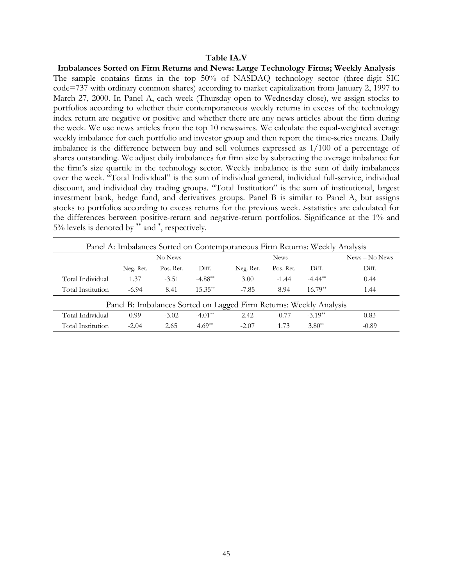### **Table IA.V**

**Imbalances Sorted on Firm Returns and News: Large Technology Firms; Weekly Analysis**  The sample contains firms in the top 50% of NASDAQ technology sector (three-digit SIC code=737 with ordinary common shares) according to market capitalization from January 2, 1997 to March 27, 2000. In Panel A, each week (Thursday open to Wednesday close), we assign stocks to portfolios according to whether their contemporaneous weekly returns in excess of the technology index return are negative or positive and whether there are any news articles about the firm during the week. We use news articles from the top 10 newswires. We calculate the equal-weighted average weekly imbalance for each portfolio and investor group and then report the time-series means. Daily imbalance is the difference between buy and sell volumes expressed as 1/100 of a percentage of shares outstanding. We adjust daily imbalances for firm size by subtracting the average imbalance for the firm's size quartile in the technology sector. Weekly imbalance is the sum of daily imbalances over the week. "Total Individual" is the sum of individual general, individual full-service, individual discount, and individual day trading groups. "Total Institution" is the sum of institutional, largest investment bank, hedge fund, and derivatives groups. Panel B is similar to Panel A, but assigns stocks to portfolios according to excess returns for the previous week. *t*-statistics are calculated for the differences between positive-return and negative-return portfolios. Significance at the 1% and 5% levels is denoted by **\*\*** and **\*** , respectively.

|                   | Panel A: Imbalances Sorted on Contemporaneous Firm Returns: Weekly Analysis |           |           |                                                                    |             |           |                |  |  |  |  |
|-------------------|-----------------------------------------------------------------------------|-----------|-----------|--------------------------------------------------------------------|-------------|-----------|----------------|--|--|--|--|
|                   |                                                                             | No News   |           |                                                                    | <b>News</b> |           | News – No News |  |  |  |  |
|                   | Neg. Ret.                                                                   | Pos. Ret. | Diff.     | Neg. Ret.                                                          | Pos. Ret.   | Diff.     | Diff.          |  |  |  |  |
| Total Individual  | 1.37                                                                        | $-3.51$   | $-4.88**$ | 3.00                                                               | $-1.44$     | $-4.44**$ | 0.44           |  |  |  |  |
| Total Institution | $-6.94$                                                                     | 8.41      | $15.35**$ | $-7.85$                                                            | 8.94        | $16.79**$ | 1.44           |  |  |  |  |
|                   |                                                                             |           |           | Panel B: Imbalances Sorted on Lagged Firm Returns: Weekly Analysis |             |           |                |  |  |  |  |
| Total Individual  | 0.99                                                                        | $-3.02$   | $-4.01**$ | 2.42                                                               | $-0.77$     | $-3.19**$ | 0.83           |  |  |  |  |
| Total Institution | $-2.04$                                                                     | 2.65      | $4.69**$  | $-2.07$                                                            | 1.73        | $3.80**$  | $-0.89$        |  |  |  |  |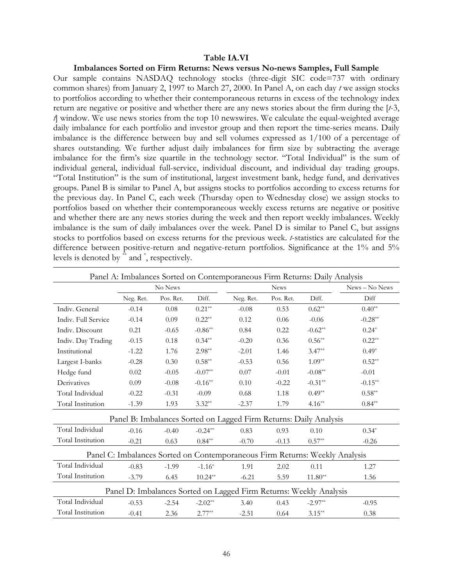#### **Table IA.VI**

#### **Imbalances Sorted on Firm Returns: News versus No-news Samples, Full Sample**

Our sample contains NASDAQ technology stocks (three-digit SIC code=737 with ordinary common shares) from January 2, 1997 to March 27, 2000. In Panel A, on each day *t* we assign stocks to portfolios according to whether their contemporaneous returns in excess of the technology index return are negative or positive and whether there are any news stories about the firm during the [*t*-3, *t*] window. We use news stories from the top 10 newswires. We calculate the equal-weighted average daily imbalance for each portfolio and investor group and then report the time-series means. Daily imbalance is the difference between buy and sell volumes expressed as 1/100 of a percentage of shares outstanding. We further adjust daily imbalances for firm size by subtracting the average imbalance for the firm's size quartile in the technology sector. "Total Individual" is the sum of individual general, individual full-service, individual discount, and individual day trading groups. "Total Institution" is the sum of institutional, largest investment bank, hedge fund, and derivatives groups. Panel B is similar to Panel A, but assigns stocks to portfolios according to excess returns for the previous day. In Panel C, each week (Thursday open to Wednesday close) we assign stocks to portfolios based on whether their contemporaneous weekly excess returns are negative or positive and whether there are any news stories during the week and then report weekly imbalances. Weekly imbalance is the sum of daily imbalances over the week. Panel D is similar to Panel C, but assigns stocks to portfolios based on excess returns for the previous week. *t*-statistics are calculated for the difference between positive-return and negative-return portfolios. Significance at the 1% and 5% levels is denoted by <sup>\*\*</sup> and <sup>\*</sup>, respectively.

|                          |           |           |           | Panel A: Imbalances Sorted on Contemporaneous Firm Returns: Daily Analysis  |             |           |                |
|--------------------------|-----------|-----------|-----------|-----------------------------------------------------------------------------|-------------|-----------|----------------|
|                          |           | No News   |           |                                                                             | <b>News</b> |           | News - No News |
|                          | Neg. Ret. | Pos. Ret. | Diff.     | Neg. Ret.                                                                   | Pos. Ret.   | Diff.     | Diff           |
| Indiv. General           | $-0.14$   | 0.08      | $0.21**$  | $-0.08$                                                                     | 0.53        | $0.62**$  | $0.40**$       |
| Indiv. Full Service      | $-0.14$   | 0.09      | $0.22**$  | 0.12                                                                        | 0.06        | $-0.06$   | $-0.28**$      |
| Indiv. Discount          | 0.21      | $-0.65$   | $-0.86**$ | 0.84                                                                        | 0.22        | $-0.62**$ | $0.24*$        |
| Indiv. Day Trading       | $-0.15$   | 0.18      | $0.34**$  | $-0.20$                                                                     | 0.36        | $0.56**$  | $0.22**$       |
| Institutional            | $-1.22$   | 1.76      | $2.98**$  | $-2.01$                                                                     | 1.46        | $3.47**$  | $0.49*$        |
| Largest I-banks          | $-0.28$   | 0.30      | $0.58**$  | $-0.53$                                                                     | 0.56        | $1.09**$  | $0.52**$       |
| Hedge fund               | 0.02      | $-0.05$   | $-0.07**$ | 0.07                                                                        | $-0.01$     | $-0.08**$ | $-0.01$        |
| Derivatives              | 0.09      | $-0.08$   | $-0.16**$ | 0.10                                                                        | $-0.22$     | $-0.31**$ | $-0.15**$      |
| Total Individual         | $-0.22$   | $-0.31$   | $-0.09$   | 0.68                                                                        | 1.18        | $0.49**$  | $0.58**$       |
| <b>Total Institution</b> | $-1.39$   | 1.93      | $3.32**$  | $-2.37$                                                                     | 1.79        | $4.16**$  | $0.84**$       |
|                          |           |           |           | Panel B: Imbalances Sorted on Lagged Firm Returns: Daily Analysis           |             |           |                |
| Total Individual         | $-0.16$   | $-0.40$   | $-0.24**$ | 0.83                                                                        | 0.93        | 0.10      | $0.34*$        |
| Total Institution        | $-0.21$   | 0.63      | $0.84**$  | $-0.70$                                                                     | $-0.13$     | $0.57**$  | $-0.26$        |
|                          |           |           |           | Panel C: Imbalances Sorted on Contemporaneous Firm Returns: Weekly Analysis |             |           |                |
| Total Individual         | $-0.83$   | $-1.99$   | $-1.16*$  | 1.91                                                                        | 2.02        | 0.11      | 1.27           |
| Total Institution        | $-3.79$   | 6.45      | $10.24**$ | $-6.21$                                                                     | 5.59        | $11.80**$ | 1.56           |
|                          |           |           |           | Panel D: Imbalances Sorted on Lagged Firm Returns: Weekly Analysis          |             |           |                |
| Total Individual         | $-0.53$   | $-2.54$   | $-2.02**$ | 3.40                                                                        | 0.43        | $-2.97**$ | $-0.95$        |
| Total Institution        | $-0.41$   | 2.36      | $2.77**$  | $-2.51$                                                                     | 0.64        | $3.15**$  | 0.38           |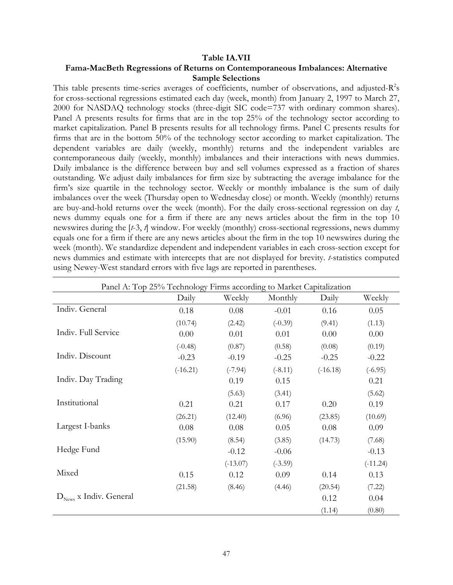#### **Table IA.VII**

# **Fama-MacBeth Regressions of Returns on Contemporaneous Imbalances: Alternative Sample Selections**

This table presents time-series averages of coefficients, number of observations, and adjusted- $R^2s$ for cross-sectional regressions estimated each day (week, month) from January 2, 1997 to March 27, 2000 for NASDAQ technology stocks (three-digit SIC code=737 with ordinary common shares). Panel A presents results for firms that are in the top 25% of the technology sector according to market capitalization. Panel B presents results for all technology firms. Panel C presents results for firms that are in the bottom 50% of the technology sector according to market capitalization. The dependent variables are daily (weekly, monthly) returns and the independent variables are contemporaneous daily (weekly, monthly) imbalances and their interactions with news dummies. Daily imbalance is the difference between buy and sell volumes expressed as a fraction of shares outstanding. We adjust daily imbalances for firm size by subtracting the average imbalance for the firm's size quartile in the technology sector. Weekly or monthly imbalance is the sum of daily imbalances over the week (Thursday open to Wednesday close) or month. Weekly (monthly) returns are buy-and-hold returns over the week (month). For the daily cross-sectional regression on day *t*, news dummy equals one for a firm if there are any news articles about the firm in the top 10 newswires during the [*t*-3, *t*] window. For weekly (monthly) cross-sectional regressions, news dummy equals one for a firm if there are any news articles about the firm in the top 10 newswires during the week (month). We standardize dependent and independent variables in each cross-section except for news dummies and estimate with intercepts that are not displayed for brevity. *t*-statistics computed using Newey-West standard errors with five lags are reported in parentheses.

|                                    | Panel A: Top 25% Technology Firms according to Market Capitalization |            |           |            |            |
|------------------------------------|----------------------------------------------------------------------|------------|-----------|------------|------------|
|                                    | Daily                                                                | Weekly     | Monthly   | Daily      | Weekly     |
| Indiv. General                     | 0.18                                                                 | 0.08       | $-0.01$   | 0.16       | 0.05       |
|                                    | (10.74)                                                              | (2.42)     | $(-0.39)$ | (9.41)     | (1.13)     |
| Indiv. Full Service                | 0.00                                                                 | 0.01       | 0.01      | 0.00       | 0.00       |
|                                    | $(-0.48)$                                                            | (0.87)     | (0.58)    | (0.08)     | (0.19)     |
| Indiv. Discount                    | $-0.23$                                                              | $-0.19$    | $-0.25$   | $-0.25$    | $-0.22$    |
|                                    | $(-16.21)$                                                           | $(-7.94)$  | $(-8.11)$ | $(-16.18)$ | $(-6.95)$  |
| Indiv. Day Trading                 |                                                                      | 0.19       | 0.15      |            | 0.21       |
|                                    |                                                                      | (5.63)     | (3.41)    |            | (5.62)     |
| Institutional                      | 0.21                                                                 | 0.21       | 0.17      | 0.20       | 0.19       |
|                                    | (26.21)                                                              | (12.40)    | (6.96)    | (23.85)    | (10.69)    |
| Largest I-banks                    | 0.08                                                                 | 0.08       | 0.05      | 0.08       | 0.09       |
|                                    | (15.90)                                                              | (8.54)     | (3.85)    | (14.73)    | (7.68)     |
| Hedge Fund                         |                                                                      | $-0.12$    | $-0.06$   |            | $-0.13$    |
|                                    |                                                                      | $(-13.07)$ | $(-3.59)$ |            | $(-11.24)$ |
| Mixed                              | 0.15                                                                 | 0.12       | 0.09      | 0.14       | 0.13       |
|                                    | (21.58)                                                              | (8.46)     | (4.46)    | (20.54)    | (7.22)     |
| $D_{\text{News}}$ x Indiv. General |                                                                      |            |           | 0.12       | 0.04       |
|                                    |                                                                      |            |           | (1.14)     | (0.80)     |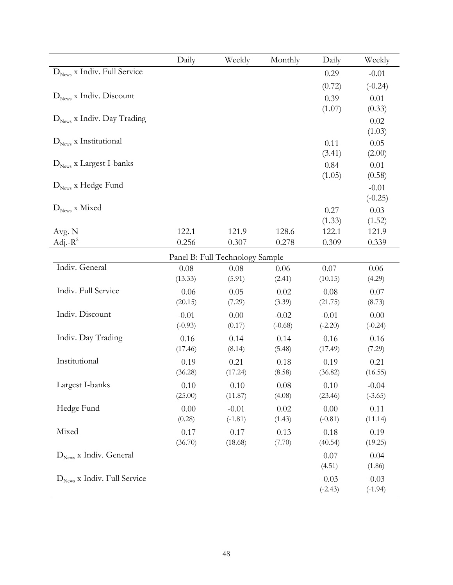|                                         | Daily                | Weekly                          | Monthly              | Daily                | Weekly                   |
|-----------------------------------------|----------------------|---------------------------------|----------------------|----------------------|--------------------------|
| $D_{\text{News}}$ x Indiv. Full Service |                      |                                 |                      | 0.29                 | $-0.01$                  |
|                                         |                      |                                 |                      | (0.72)               | $(-0.24)$                |
| $D_{\text{News}}$ x Indiv. Discount     |                      |                                 |                      | 0.39                 | 0.01                     |
| $D_{\text{News}}$ x Indiv. Day Trading  |                      |                                 |                      | (1.07)               | (0.33)<br>0.02           |
| $D_{\text{News}}$ x Institutional       |                      |                                 |                      | 0.11<br>(3.41)       | (1.03)<br>0.05<br>(2.00) |
| $D_{\text{News}}$ x Largest I-banks     |                      |                                 |                      | 0.84<br>(1.05)       | 0.01<br>(0.58)           |
| $D_{\text{News}}$ x Hedge Fund          |                      |                                 |                      |                      | $-0.01$<br>$(-0.25)$     |
| $D_{\text{News}}$ x Mixed               |                      |                                 |                      | 0.27<br>(1.33)       | 0.03<br>(1.52)           |
| Avg. N                                  | 122.1                | 121.9                           | 128.6                | 122.1                | 121.9                    |
| Adj.- $R^2$                             | 0.256                | 0.307                           | 0.278                | 0.309                | 0.339                    |
|                                         |                      | Panel B: Full Technology Sample |                      |                      |                          |
| Indiv. General                          | 0.08<br>(13.33)      | 0.08<br>(5.91)                  | 0.06<br>(2.41)       | 0.07<br>(10.15)      | 0.06<br>(4.29)           |
| Indiv. Full Service                     | 0.06<br>(20.15)      | 0.05<br>(7.29)                  | 0.02<br>(3.39)       | 0.08<br>(21.75)      | 0.07<br>(8.73)           |
| Indiv. Discount                         | $-0.01$<br>$(-0.93)$ | 0.00<br>(0.17)                  | $-0.02$<br>$(-0.68)$ | $-0.01$<br>$(-2.20)$ | 0.00<br>$(-0.24)$        |
| Indiv. Day Trading                      | 0.16<br>(17.46)      | 0.14<br>(8.14)                  | 0.14<br>(5.48)       | 0.16<br>(17.49)      | 0.16<br>(7.29)           |
| Institutional                           | 0.19<br>(36.28)      | 0.21<br>(17.24)                 | 0.18<br>(8.58)       | 0.19<br>(36.82)      | 0.21<br>(16.55)          |
| Largest I-banks                         | 0.10<br>(25.00)      | 0.10<br>(11.87)                 | $0.08\,$<br>(4.08)   | 0.10<br>(23.46)      | $-0.04$<br>$(-3.65)$     |
| Hedge Fund                              | 0.00<br>(0.28)       | $-0.01$<br>$(-1.81)$            | 0.02<br>(1.43)       | 0.00<br>$(-0.81)$    | 0.11<br>(11.14)          |
| Mixed                                   | 0.17<br>(36.70)      | 0.17<br>(18.68)                 | 0.13<br>(7.70)       | 0.18<br>(40.54)      | 0.19<br>(19.25)          |
| $D_{\text{News}}$ x Indiv. General      |                      |                                 |                      | 0.07<br>(4.51)       | 0.04<br>(1.86)           |
| $D_{\text{News}}$ x Indiv. Full Service |                      |                                 |                      | $-0.03$<br>$(-2.43)$ | $-0.03$<br>$(-1.94)$     |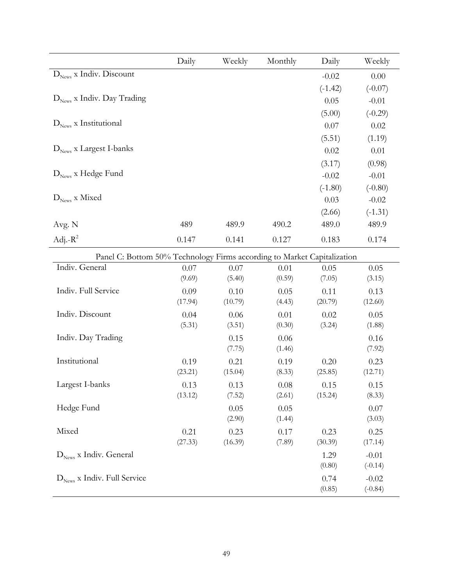|                                                                         | Daily          | Weekly         | Monthly        | Daily          | Weekly         |
|-------------------------------------------------------------------------|----------------|----------------|----------------|----------------|----------------|
| $D_{\text{News}}$ x Indiv. Discount                                     |                |                |                | $-0.02$        | 0.00           |
|                                                                         |                |                |                | $(-1.42)$      | $(-0.07)$      |
| $D_{\text{News}}$ x Indiv. Day Trading                                  |                |                |                | 0.05           | $-0.01$        |
|                                                                         |                |                |                | (5.00)         | $(-0.29)$      |
| $DNews$ x Institutional                                                 |                |                |                | 0.07           | 0.02           |
|                                                                         |                |                |                | (5.51)         | (1.19)         |
| $D_{\text{News}}$ x Largest I-banks                                     |                |                |                | 0.02           | 0.01           |
|                                                                         |                |                |                | (3.17)         | (0.98)         |
| $D_{\text{News}}$ x Hedge Fund                                          |                |                |                | $-0.02$        | $-0.01$        |
|                                                                         |                |                |                | $(-1.80)$      | $(-0.80)$      |
| $\mathbf{D}_\text{News}$ x Mixed                                        |                |                |                | 0.03           | $-0.02$        |
|                                                                         |                |                |                | (2.66)         | $(-1.31)$      |
| Avg. N                                                                  | 489            | 489.9          | 490.2          | 489.0          | 489.9          |
| Adj.- $R^2$                                                             | 0.147          | 0.141          | 0.127          | 0.183          | 0.174          |
| Panel C: Bottom 50% Technology Firms according to Market Capitalization |                |                |                |                |                |
| Indiv. General                                                          | 0.07           | 0.07           | 0.01           | 0.05           | 0.05           |
|                                                                         | (9.69)         | (5.40)         | (0.59)         | (7.05)         | (3.15)         |
| Indiv. Full Service                                                     | 0.09           | 0.10           | 0.05           | 0.11           | 0.13           |
|                                                                         | (17.94)        | (10.79)        | (4.43)         | (20.79)        | (12.60)        |
| Indiv. Discount                                                         | 0.04<br>(5.31) | 0.06<br>(3.51) | 0.01<br>(0.30) | 0.02<br>(3.24) | 0.05<br>(1.88) |
| Indiv. Day Trading                                                      |                | 0.15           | 0.06           |                | 0.16           |
|                                                                         |                | (7.75)         | (1.46)         |                | (7.92)         |
| Institutional                                                           | 0.19           | 0.21           | 0.19           | 0.20           | 0.23           |
|                                                                         | (23.21)        | (15.04)        | (8.33)         | (25.85)        | (12.71)        |
| Largest I-banks                                                         | 0.13           | 0.13           | 0.08           | 0.15           | 0.15           |
|                                                                         | (13.12)        | (7.52)         | (2.61)         | (15.24)        | (8.33)         |
| Hedge Fund                                                              |                | 0.05           | 0.05           |                | 0.07           |
|                                                                         |                | (2.90)         | (1.44)         |                | (3.03)         |
| Mixed                                                                   | 0.21           | 0.23           | 0.17           | 0.23           | 0.25           |
|                                                                         | (27.33)        | (16.39)        | (7.89)         | (30.39)        | (17.14)        |
| $D_{\text{News}}$ x Indiv. General                                      |                |                |                | 1.29           | $-0.01$        |
|                                                                         |                |                |                | (0.80)         | $(-0.14)$      |
| $D_{\text{News}}$ x Indiv. Full Service                                 |                |                |                | 0.74           | $-0.02$        |
|                                                                         |                |                |                | (0.85)         | $(-0.84)$      |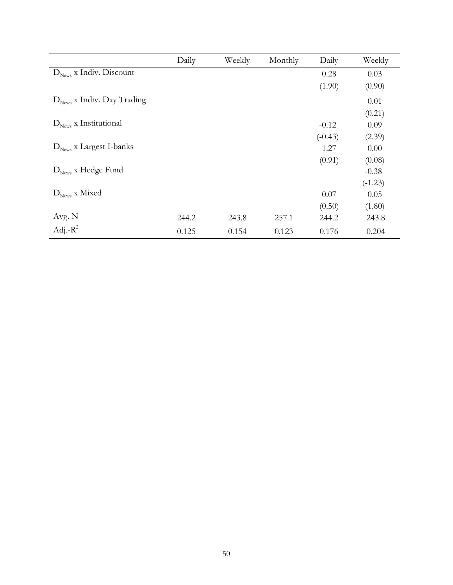|                                        | Daily | Weekly | Monthly | Daily     | Weekly    |
|----------------------------------------|-------|--------|---------|-----------|-----------|
| $D_{\text{News}}$ x Indiv. Discount    |       |        |         | 0.28      | 0.03      |
|                                        |       |        |         | (1.90)    | (0.90)    |
| $D_{\text{News}}$ x Indiv. Day Trading |       |        |         |           | 0.01      |
|                                        |       |        |         |           | (0.21)    |
| $D_{\text{News}}$ x Institutional      |       |        |         | $-0.12$   | 0.09      |
|                                        |       |        |         | $(-0.43)$ | (2.39)    |
| $D_{\text{News}}$ x Largest I-banks    |       |        |         | 1.27      | 0.00      |
|                                        |       |        |         | (0.91)    | (0.08)    |
| $D_{\text{News}}$ x Hedge Fund         |       |        |         |           | $-0.38$   |
|                                        |       |        |         |           | $(-1.23)$ |
| $D_{\text{News}}$ x Mixed              |       |        |         | 0.07      | 0.05      |
|                                        |       |        |         | (0.50)    | (1.80)    |
| Avg. N                                 | 244.2 | 243.8  | 257.1   | 244.2     | 243.8     |
| Adj.- $R^2$                            | 0.125 | 0.154  | 0.123   | 0.176     | 0.204     |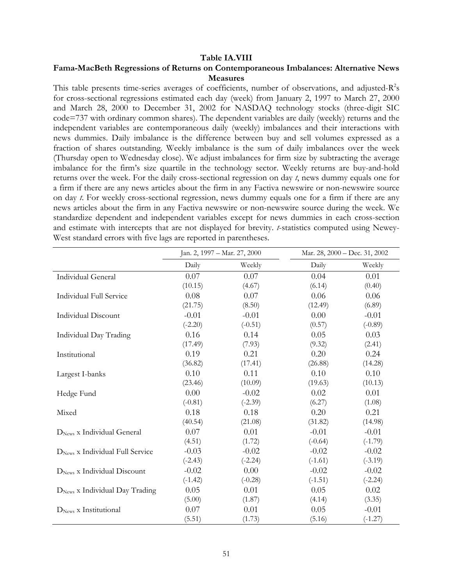## **Table IA.VIII**

# **Fama-MacBeth Regressions of Returns on Contemporaneous Imbalances: Alternative News Measures**

This table presents time-series averages of coefficients, number of observations, and adjusted- $R^2$ s for cross-sectional regressions estimated each day (week) from January 2, 1997 to March 27, 2000 and March 28, 2000 to December 31, 2002 for NASDAQ technology stocks (three-digit SIC code=737 with ordinary common shares). The dependent variables are daily (weekly) returns and the independent variables are contemporaneous daily (weekly) imbalances and their interactions with news dummies. Daily imbalance is the difference between buy and sell volumes expressed as a fraction of shares outstanding. Weekly imbalance is the sum of daily imbalances over the week (Thursday open to Wednesday close). We adjust imbalances for firm size by subtracting the average imbalance for the firm's size quartile in the technology sector. Weekly returns are buy-and-hold returns over the week. For the daily cross-sectional regression on day *t*, news dummy equals one for a firm if there are any news articles about the firm in any Factiva newswire or non-newswire source on day *t*. For weekly cross-sectional regression, news dummy equals one for a firm if there are any news articles about the firm in any Factiva newswire or non-newswire source during the week. We standardize dependent and independent variables except for news dummies in each cross-section and estimate with intercepts that are not displayed for brevity. *t*-statistics computed using Newey-West standard errors with five lags are reported in parentheses.

|                                             | Jan. 2, 1997 - Mar. 27, 2000 |           | Mar. 28, 2000 - Dec. 31, 2002 |           |
|---------------------------------------------|------------------------------|-----------|-------------------------------|-----------|
|                                             | Daily                        | Weekly    | Daily                         | Weekly    |
| Individual General                          | 0.07                         | 0.07      | 0.04                          | 0.01      |
|                                             | (10.15)                      | (4.67)    | (6.14)                        | (0.40)    |
| Individual Full Service                     | 0.08                         | 0.07      | 0.06                          | 0.06      |
|                                             | (21.75)                      | (8.50)    | (12.49)                       | (6.89)    |
| <b>Individual Discount</b>                  | $-0.01$                      | $-0.01$   | 0.00                          | $-0.01$   |
|                                             | $(-2.20)$                    | $(-0.51)$ | (0.57)                        | $(-0.89)$ |
| Individual Day Trading                      | 0.16                         | 0.14      | 0.05                          | 0.03      |
|                                             | (17.49)                      | (7.93)    | (9.32)                        | (2.41)    |
| Institutional                               | 0.19                         | 0.21      | 0.20                          | 0.24      |
|                                             | (36.82)                      | (17.41)   | (26.88)                       | (14.28)   |
| Largest I-banks                             | 0.10                         | 0.11      | 0.10                          | 0.10      |
|                                             | (23.46)                      | (10.09)   | (19.63)                       | (10.13)   |
| Hedge Fund                                  | 0.00                         | $-0.02$   | 0.02                          | 0.01      |
|                                             | $(-0.81)$                    | $(-2.39)$ | (6.27)                        | (1.08)    |
| Mixed                                       | 0.18                         | 0.18      | 0.20                          | 0.21      |
|                                             | (40.54)                      | (21.08)   | (31.82)                       | (14.98)   |
| $DNews$ x Individual General                | 0.07                         | 0.01      | $-0.01$                       | $-0.01$   |
|                                             | (4.51)                       | (1.72)    | $(-0.64)$                     | $(-1.79)$ |
| D <sub>News</sub> x Individual Full Service | $-0.03$                      | $-0.02$   | $-0.02$                       | $-0.02$   |
|                                             | $(-2.43)$                    | $(-2.24)$ | $(-1.61)$                     | $(-3.19)$ |
| D <sub>News</sub> x Individual Discount     | $-0.02$                      | 0.00      | $-0.02$                       | $-0.02$   |
|                                             | $(-1.42)$                    | $(-0.28)$ | $(-1.51)$                     | $(-2.24)$ |
| D <sub>News</sub> x Individual Day Trading  | 0.05                         | 0.01      | 0.05                          | 0.02      |
|                                             | (5.00)                       | (1.87)    | (4.14)                        | (3.35)    |
| $DNews$ x Institutional                     | 0.07                         | 0.01      | 0.05                          | $-0.01$   |
|                                             | (5.51)                       | (1.73)    | (5.16)                        | $(-1.27)$ |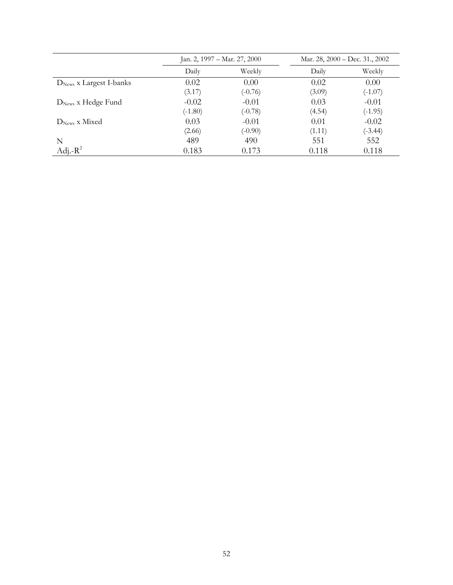|                           | Jan. 2, 1997 – Mar. 27, 2000 |           | Mar. 28, 2000 – Dec. 31., 2002 |           |
|---------------------------|------------------------------|-----------|--------------------------------|-----------|
|                           | Daily                        | Weekly    | Daily                          | Weekly    |
| $DNews$ x Largest I-banks | 0.02                         | 0.00      | 0.02                           | 0.00      |
|                           | (3.17)                       | $(-0.76)$ | (3.09)                         | $(-1.07)$ |
| $DNews$ x Hedge Fund      | $-0.02$                      | $-0.01$   | 0.03                           | $-0.01$   |
|                           | $(-1.80)$                    | $(-0.78)$ | (4.54)                         | $(-1.95)$ |
| $DNews$ x Mixed           | 0.03                         | $-0.01$   | 0.01                           | $-0.02$   |
|                           | (2.66)                       | $(-0.90)$ | (1.11)                         | $(-3.44)$ |
| N                         | 489                          | 490       | 551                            | 552       |
| Adj.- $R^2$               | 0.183                        | 0.173     | 0.118                          | 0.118     |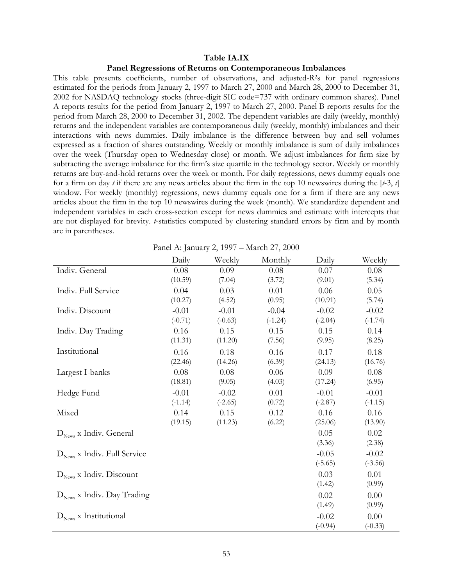#### **Table IA.IX**

#### **Panel Regressions of Returns on Contemporaneous Imbalances**

This table presents coefficients, number of observations, and adjusted-R2s for panel regressions estimated for the periods from January 2, 1997 to March 27, 2000 and March 28, 2000 to December 31, 2002 for NASDAQ technology stocks (three-digit SIC code=737 with ordinary common shares). Panel A reports results for the period from January 2, 1997 to March 27, 2000. Panel B reports results for the period from March 28, 2000 to December 31, 2002. The dependent variables are daily (weekly, monthly) returns and the independent variables are contemporaneous daily (weekly, monthly) imbalances and their interactions with news dummies. Daily imbalance is the difference between buy and sell volumes expressed as a fraction of shares outstanding. Weekly or monthly imbalance is sum of daily imbalances over the week (Thursday open to Wednesday close) or month. We adjust imbalances for firm size by subtracting the average imbalance for the firm's size quartile in the technology sector. Weekly or monthly returns are buy-and-hold returns over the week or month. For daily regressions, news dummy equals one for a firm on day *t* if there are any news articles about the firm in the top 10 newswires during the [*t*-3, *t*] window. For weekly (monthly) regressions, news dummy equals one for a firm if there are any news articles about the firm in the top 10 newswires during the week (month). We standardize dependent and independent variables in each cross-section except for news dummies and estimate with intercepts that are not displayed for brevity. *t*-statistics computed by clustering standard errors by firm and by month are in parentheses.

| Panel A: January 2, 1997 - March 27, 2000 |           |           |           |           |           |
|-------------------------------------------|-----------|-----------|-----------|-----------|-----------|
|                                           | Daily     | Weekly    | Monthly   | Daily     | Weekly    |
| Indiv. General                            | 0.08      | 0.09      | 0.08      | 0.07      | 0.08      |
|                                           | (10.59)   | (7.04)    | (3.72)    | (9.01)    | (5.34)    |
| Indiv. Full Service                       | 0.04      | 0.03      | 0.01      | 0.06      | 0.05      |
|                                           | (10.27)   | (4.52)    | (0.95)    | (10.91)   | (5.74)    |
| Indiv. Discount                           | $-0.01$   | $-0.01$   | $-0.04$   | $-0.02$   | $-0.02$   |
|                                           | $(-0.71)$ | $(-0.63)$ | $(-1.24)$ | $(-2.04)$ | $(-1.74)$ |
| Indiv. Day Trading                        | 0.16      | 0.15      | 0.15      | 0.15      | 0.14      |
|                                           | (11.31)   | (11.20)   | (7.56)    | (9.95)    | (8.25)    |
| Institutional                             | 0.16      | 0.18      | 0.16      | 0.17      | 0.18      |
|                                           | (22.46)   | (14.26)   | (6.39)    | (24.13)   | (16.76)   |
| Largest I-banks                           | 0.08      | 0.08      | 0.06      | 0.09      | 0.08      |
|                                           | (18.81)   | (9.05)    | (4.03)    | (17.24)   | (6.95)    |
| Hedge Fund                                | $-0.01$   | $-0.02$   | 0.01      | $-0.01$   | $-0.01$   |
|                                           | $(-1.14)$ | $(-2.65)$ | (0.72)    | $(-2.87)$ | $(-1.15)$ |
| Mixed                                     | 0.14      | 0.15      | 0.12      | 0.16      | 0.16      |
|                                           | (19.15)   | (11.23)   | (6.22)    | (25.06)   | (13.90)   |
| $D_{\text{News}}$ x Indiv. General        |           |           |           | 0.05      | 0.02      |
|                                           |           |           |           | (3.36)    | (2.38)    |
| $D_{\text{News}}$ x Indiv. Full Service   |           |           |           | $-0.05$   | $-0.02$   |
|                                           |           |           |           | $(-5.65)$ | $(-3.56)$ |
| $D_{\text{News}}$ x Indiv. Discount       |           |           |           | 0.03      | 0.01      |
|                                           |           |           |           | (1.42)    | (0.99)    |
| $D_{\text{News}}$ x Indiv. Day Trading    |           |           |           | 0.02      | 0.00      |
|                                           |           |           |           | (1.49)    | (0.99)    |
| $D_{\text{News}}$ x Institutional         |           |           |           | $-0.02$   | 0.00      |
|                                           |           |           |           | $(-0.94)$ | $(-0.33)$ |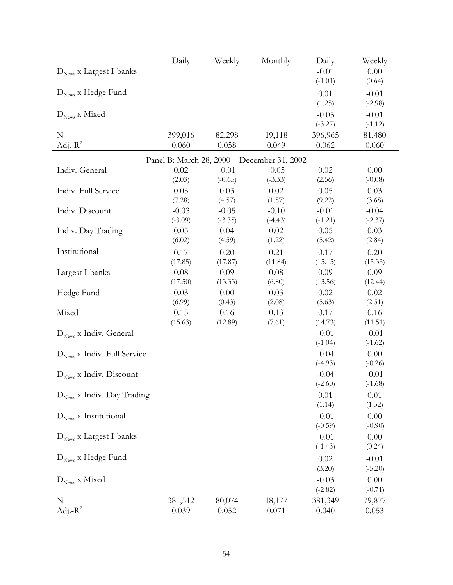|                                         | Daily     | Weekly    | Monthly                                     | Daily                | Weekly               |
|-----------------------------------------|-----------|-----------|---------------------------------------------|----------------------|----------------------|
| D <sub>News</sub> x Largest I-banks     |           |           |                                             | $-0.01$              | 0.00                 |
|                                         |           |           |                                             | $(-1.01)$            | (0.64)               |
| $D_{\text{News}}$ x Hedge Fund          |           |           |                                             | 0.01                 | $-0.01$              |
|                                         |           |           |                                             | (1.25)               | $(-2.98)$            |
| $D_{\text{News}}$ x Mixed               |           |           |                                             | $-0.05$<br>$(-3.27)$ | $-0.01$<br>$(-1.12)$ |
| N                                       | 399,016   | 82,298    | 19,118                                      | 396,965              | 81,480               |
| Adj.- $R^2$                             | 0.060     | 0.058     | 0.049                                       | 0.062                | 0.060                |
|                                         |           |           | Panel B: March 28, 2000 - December 31, 2002 |                      |                      |
| Indiv. General                          | 0.02      | $-0.01$   | $-0.05$                                     | 0.02                 | 0.00                 |
|                                         | (2.03)    | $(-0.65)$ | $(-3.33)$                                   | (2.56)               | $(-0.08)$            |
| Indiv. Full Service                     | 0.03      | 0.03      | 0.02                                        | 0.05                 | 0.03                 |
|                                         | (7.28)    | (4.57)    | (1.87)                                      | (9.22)               | (3.68)               |
| Indiv. Discount                         | $-0.03$   | $-0.05$   | $-0.10$                                     | $-0.01$              | $-0.04$              |
|                                         | $(-3.09)$ | $(-3.35)$ | $(-4.43)$                                   | $(-1.21)$            | $(-2.37)$            |
| Indiv. Day Trading                      | 0.05      | 0.04      | 0.02                                        | 0.05                 | 0.03                 |
|                                         | (6.02)    | (4.59)    | (1.22)                                      | (5.42)               | (2.84)               |
| Institutional                           | 0.17      | 0.20      | 0.21                                        | 0.17                 | 0.20                 |
|                                         | (17.85)   | (17.87)   | (11.84)                                     | (15.15)              | (15.33)              |
| Largest I-banks                         | 0.08      | 0.09      | 0.08                                        | 0.09                 | 0.09                 |
|                                         | (17.50)   | (13.33)   | (6.80)                                      | (13.56)              | (12.44)              |
| Hedge Fund                              | 0.03      | 0.00      | 0.03                                        | 0.02                 | 0.02                 |
|                                         | (6.99)    | (0.43)    | (2.08)                                      | (5.63)               | (2.51)               |
| Mixed                                   | 0.15      | 0.16      | 0.13                                        | 0.17                 | 0.16                 |
|                                         | (15.63)   | (12.89)   | (7.61)                                      | (14.73)              | (11.51)              |
| $D_{\text{News}}$ x Indiv. General      |           |           |                                             | $-0.01$              | $-0.01$              |
|                                         |           |           |                                             | $(-1.04)$            | $(-1.62)$            |
| $D_{\text{News}}$ x Indiv. Full Service |           |           |                                             | $-0.04$              | 0.00                 |
|                                         |           |           |                                             | $(-4.93)$            | $(-0.26)$            |
| $D_{\text{News}}$ x Indiv. Discount     |           |           |                                             | $-0.04$<br>$(-2.60)$ | $-0.01$<br>$(-1.68)$ |
| $D_{\text{News}}$ x Indiv. Day Trading  |           |           |                                             | 0.01                 | 0.01                 |
|                                         |           |           |                                             | (1.14)               | (1.52)               |
| $D_{\text{News}}$ x Institutional       |           |           |                                             | $-0.01$              | 0.00                 |
|                                         |           |           |                                             | $(-0.59)$            | $(-0.90)$            |
| $D_{\text{News}}$ x Largest I-banks     |           |           |                                             | $-0.01$              | 0.00                 |
|                                         |           |           |                                             | $(-1.43)$            | (0.24)               |
| $D_{\text{News}}$ x Hedge Fund          |           |           |                                             | 0.02                 | $-0.01$              |
|                                         |           |           |                                             | (3.20)               | $(-5.20)$            |
| $D_{\text{News}}$ x Mixed               |           |           |                                             | $-0.03$              | 0.00                 |
|                                         |           |           |                                             | $(-2.82)$            | $(-0.71)$            |
| N                                       | 381,512   | 80,074    | 18,177                                      | 381,349              | 79,877               |
| Adj.- $R^2$                             | 0.039     | 0.052     | 0.071                                       | 0.040                | 0.053                |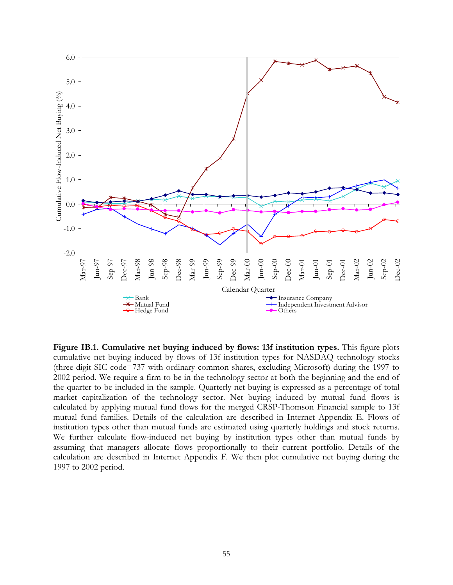

**Figure IB.1. Cumulative net buying induced by flows: 13f institution types.** This figure plots cumulative net buying induced by flows of 13f institution types for NASDAQ technology stocks (three-digit SIC code=737 with ordinary common shares, excluding Microsoft) during the 1997 to 2002 period. We require a firm to be in the technology sector at both the beginning and the end of the quarter to be included in the sample. Quarterly net buying is expressed as a percentage of total market capitalization of the technology sector. Net buying induced by mutual fund flows is calculated by applying mutual fund flows for the merged CRSP-Thomson Financial sample to 13f mutual fund families. Details of the calculation are described in Internet Appendix E. Flows of institution types other than mutual funds are estimated using quarterly holdings and stock returns. We further calculate flow-induced net buying by institution types other than mutual funds by assuming that managers allocate flows proportionally to their current portfolio. Details of the calculation are described in Internet Appendix F. We then plot cumulative net buying during the 1997 to 2002 period.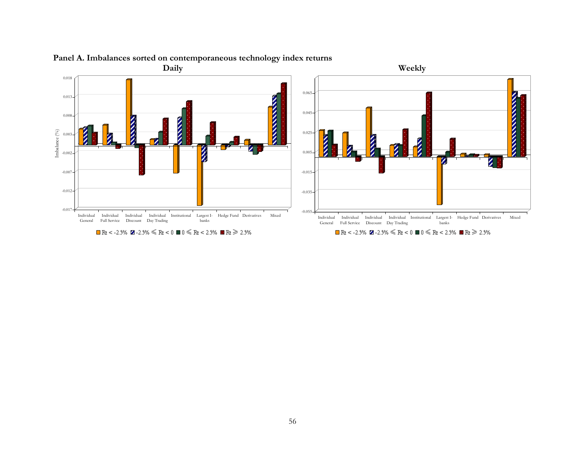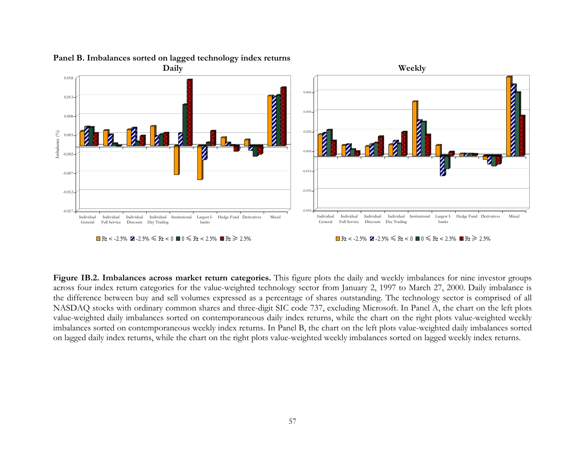

# **Panel B. Imbalances sorted on lagged technology index returns**

**Figure IB.2. Imbalances across market return categories.** This figure plots the daily and weekly imbalances for nine investor groups across four index return categories for the value-weighted technology sector from January 2, 1997 to March 27, 2000. Daily imbalance is the difference between buy and sell volumes expressed as a percentage of shares outstanding. The technology sector is comprised of all NASDAQ stocks with ordinary common shares and three-digit SIC code 737, excluding Microsoft. In Panel A, the chart on the left plots value-weighted daily imbalances sorted on contemporaneous daily index returns, while the chart on the right plots value-weighted weekly imbalances sorted on contemporaneous weekly index returns. In Panel B, the chart on the left plots value-weighted daily imbalances sorted on lagged daily index returns, while the chart on the right plots value-weighted weekly imbalances sorted on lagged weekly index returns.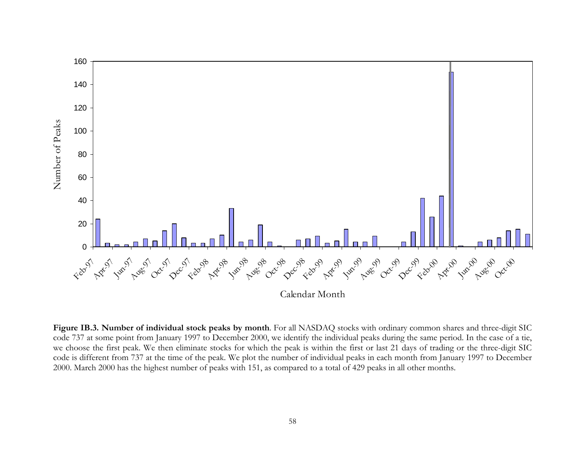

**Figure IB.3. Number of individual stock peaks by month**. For all NASDAQ stocks with ordinary common shares and three-digit SIC code 737 at some point from January 1997 to December 2000, we identify the individual peaks during the same period. In the case of a tie, we choose the first peak. We then eliminate stocks for which the peak is within the first or last 21 days of trading or the three-digit SIC code is different from 737 at the time of the peak. We plot the number of individual peaks in each month from January 1997 to December 2000. March 2000 has the highest number of peaks with 151, as compared to a total of 429 peaks in all other months.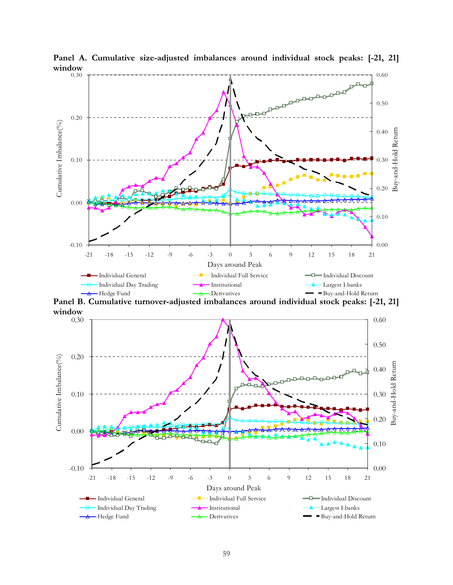

**Panel A. Cumulative size-adjusted imbalances around individual stock peaks: [-21, 21] window** 

**Panel B. Cumulative turnover-adjusted imbalances around individual stock peaks: [-21, 21] window** 

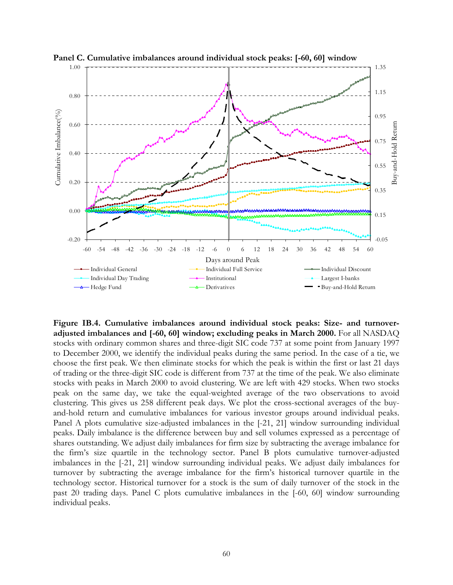

**Panel C. Cumulative imbalances around individual stock peaks: [-60, 60] window** 

**Figure IB.4. Cumulative imbalances around individual stock peaks: Size- and turnoveradjusted imbalances and [-60, 60] window; excluding peaks in March 2000.** For all NASDAQ stocks with ordinary common shares and three-digit SIC code 737 at some point from January 1997 to December 2000, we identify the individual peaks during the same period. In the case of a tie, we choose the first peak. We then eliminate stocks for which the peak is within the first or last 21 days of trading or the three-digit SIC code is different from 737 at the time of the peak. We also eliminate stocks with peaks in March 2000 to avoid clustering. We are left with 429 stocks. When two stocks peak on the same day, we take the equal-weighted average of the two observations to avoid clustering. This gives us 258 different peak days. We plot the cross-sectional averages of the buyand-hold return and cumulative imbalances for various investor groups around individual peaks. Panel A plots cumulative size-adjusted imbalances in the [-21, 21] window surrounding individual peaks. Daily imbalance is the difference between buy and sell volumes expressed as a percentage of shares outstanding. We adjust daily imbalances for firm size by subtracting the average imbalance for the firm's size quartile in the technology sector. Panel B plots cumulative turnover-adjusted imbalances in the [-21, 21] window surrounding individual peaks. We adjust daily imbalances for turnover by subtracting the average imbalance for the firm's historical turnover quartile in the technology sector. Historical turnover for a stock is the sum of daily turnover of the stock in the past 20 trading days. Panel C plots cumulative imbalances in the [-60, 60] window surrounding individual peaks.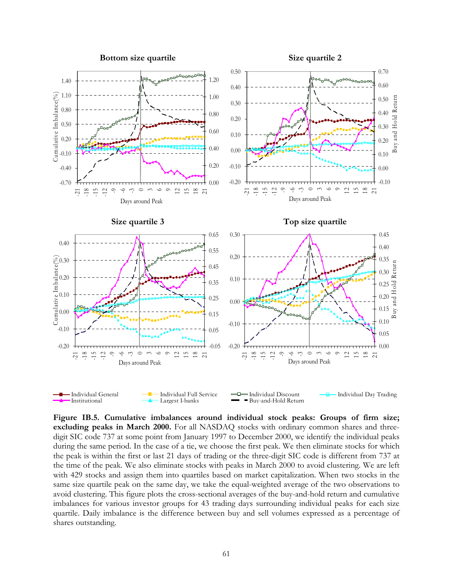

**Figure IB.5. Cumulative imbalances around individual stock peaks: Groups of firm size; excluding peaks in March 2000.** For all NASDAQ stocks with ordinary common shares and threedigit SIC code 737 at some point from January 1997 to December 2000, we identify the individual peaks during the same period. In the case of a tie, we choose the first peak. We then eliminate stocks for which the peak is within the first or last 21 days of trading or the three-digit SIC code is different from 737 at the time of the peak. We also eliminate stocks with peaks in March 2000 to avoid clustering. We are left with 429 stocks and assign them into quartiles based on market capitalization. When two stocks in the same size quartile peak on the same day, we take the equal-weighted average of the two observations to avoid clustering. This figure plots the cross-sectional averages of the buy-and-hold return and cumulative imbalances for various investor groups for 43 trading days surrounding individual peaks for each size quartile. Daily imbalance is the difference between buy and sell volumes expressed as a percentage of shares outstanding.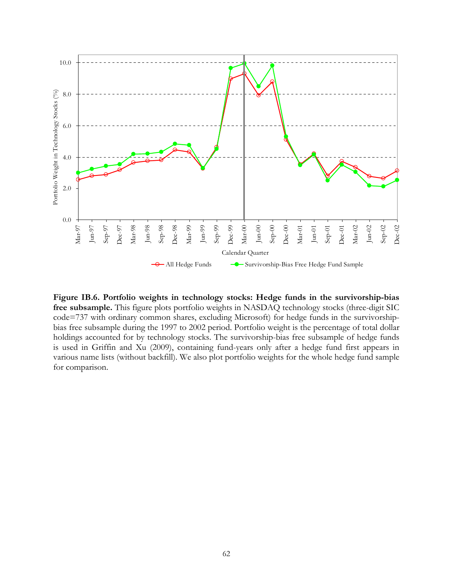

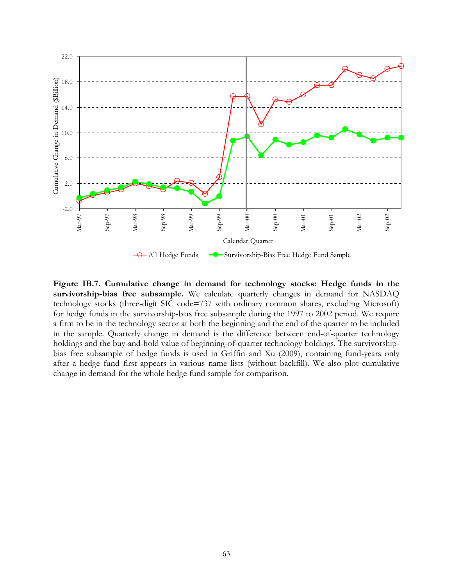

**Figure IB.7. Cumulative change in demand for technology stocks: Hedge funds in the survivorship-bias free subsample.** We calculate quarterly changes in demand for NASDAQ technology stocks (three-digit SIC code=737 with ordinary common shares, excluding Microsoft) for hedge funds in the survivorship-bias free subsample during the 1997 to 2002 period. We require a firm to be in the technology sector at both the beginning and the end of the quarter to be included in the sample. Quarterly change in demand is the difference between end-of-quarter technology holdings and the buy-and-hold value of beginning-of-quarter technology holdings. The survivorshipbias free subsample of hedge funds is used in Griffin and Xu (2009), containing fund-years only after a hedge fund first appears in various name lists (without backfill). We also plot cumulative change in demand for the whole hedge fund sample for comparison.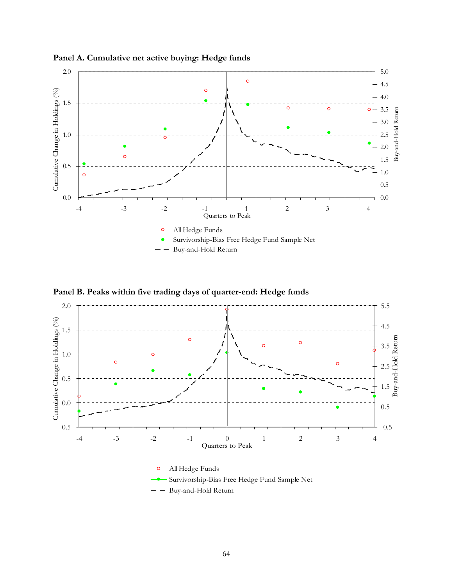

**Panel A. Cumulative net active buying: Hedge funds** 





Buy-and-Hold Return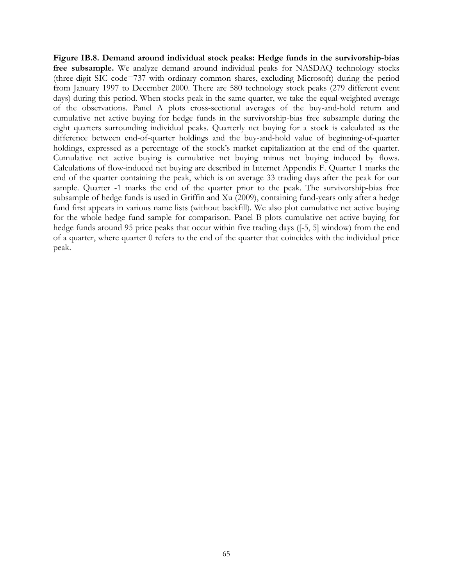**Figure IB.8. Demand around individual stock peaks: Hedge funds in the survivorship-bias free subsample.** We analyze demand around individual peaks for NASDAQ technology stocks (three-digit SIC code=737 with ordinary common shares, excluding Microsoft) during the period from January 1997 to December 2000. There are 580 technology stock peaks (279 different event days) during this period. When stocks peak in the same quarter, we take the equal-weighted average of the observations. Panel A plots cross-sectional averages of the buy-and-hold return and cumulative net active buying for hedge funds in the survivorship-bias free subsample during the eight quarters surrounding individual peaks. Quarterly net buying for a stock is calculated as the difference between end-of-quarter holdings and the buy-and-hold value of beginning-of-quarter holdings, expressed as a percentage of the stock's market capitalization at the end of the quarter. Cumulative net active buying is cumulative net buying minus net buying induced by flows. Calculations of flow-induced net buying are described in Internet Appendix F. Quarter 1 marks the end of the quarter containing the peak, which is on average 33 trading days after the peak for our sample. Quarter -1 marks the end of the quarter prior to the peak. The survivorship-bias free subsample of hedge funds is used in Griffin and Xu (2009), containing fund-years only after a hedge fund first appears in various name lists (without backfill). We also plot cumulative net active buying for the whole hedge fund sample for comparison. Panel B plots cumulative net active buying for hedge funds around 95 price peaks that occur within five trading days ([-5, 5] window) from the end of a quarter, where quarter 0 refers to the end of the quarter that coincides with the individual price peak.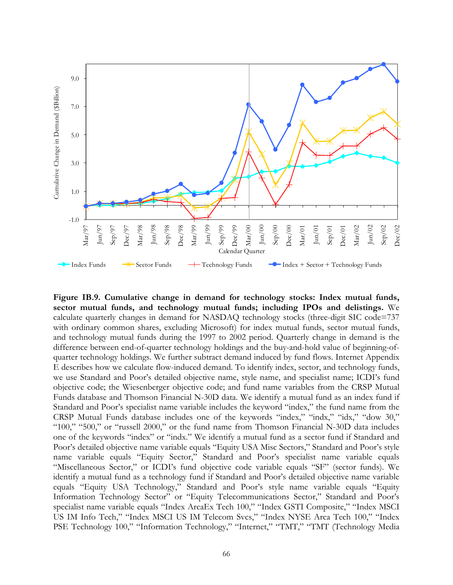

**Figure IB.9. Cumulative change in demand for technology stocks: Index mutual funds, sector mutual funds, and technology mutual funds; including IPOs and delistings.** We calculate quarterly changes in demand for NASDAQ technology stocks (three-digit SIC code=737 with ordinary common shares, excluding Microsoft) for index mutual funds, sector mutual funds, and technology mutual funds during the 1997 to 2002 period. Quarterly change in demand is the difference between end-of-quarter technology holdings and the buy-and-hold value of beginning-ofquarter technology holdings. We further subtract demand induced by fund flows. Internet Appendix E describes how we calculate flow-induced demand. To identify index, sector, and technology funds, we use Standard and Poor's detailed objective name, style name, and specialist name; ICDI's fund objective code; the Wiesenberger objective code; and fund name variables from the CRSP Mutual Funds database and Thomson Financial N-30D data. We identify a mutual fund as an index fund if Standard and Poor's specialist name variable includes the keyword "index," the fund name from the CRSP Mutual Funds database includes one of the keywords "index," "indx," "idx," "dow 30," "100," "500," or "russell 2000," or the fund name from Thomson Financial N-30D data includes one of the keywords "index" or "indx." We identify a mutual fund as a sector fund if Standard and Poor's detailed objective name variable equals "Equity USA Misc Sectors," Standard and Poor's style name variable equals "Equity Sector," Standard and Poor's specialist name variable equals "Miscellaneous Sector," or ICDI's fund objective code variable equals "SF" (sector funds). We identify a mutual fund as a technology fund if Standard and Poor's detailed objective name variable equals "Equity USA Technology," Standard and Poor's style name variable equals "Equity Information Technology Sector" or "Equity Telecommunications Sector," Standard and Poor's specialist name variable equals "Index ArcaEx Tech 100," "Index GSTI Composite," "Index MSCI US IM Info Tech," "Index MSCI US IM Telecom Svcs," "Index NYSE Arca Tech 100," "Index PSE Technology 100," "Information Technology," "Internet," "TMT," "TMT (Technology Media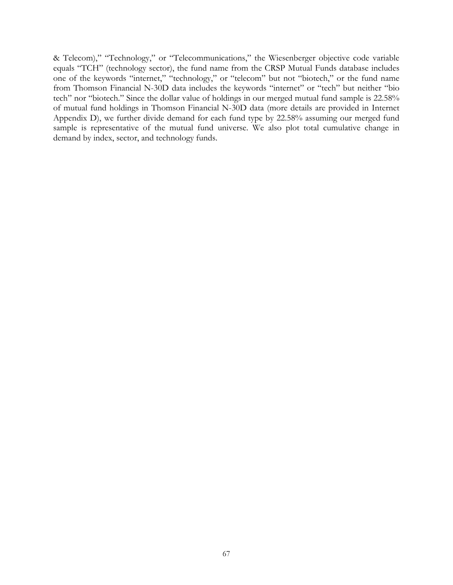& Telecom)," "Technology," or "Telecommunications," the Wiesenberger objective code variable equals "TCH" (technology sector), the fund name from the CRSP Mutual Funds database includes one of the keywords "internet," "technology," or "telecom" but not "biotech," or the fund name from Thomson Financial N-30D data includes the keywords "internet" or "tech" but neither "bio tech" nor "biotech." Since the dollar value of holdings in our merged mutual fund sample is 22.58% of mutual fund holdings in Thomson Financial N-30D data (more details are provided in Internet Appendix D), we further divide demand for each fund type by 22.58% assuming our merged fund sample is representative of the mutual fund universe. We also plot total cumulative change in demand by index, sector, and technology funds.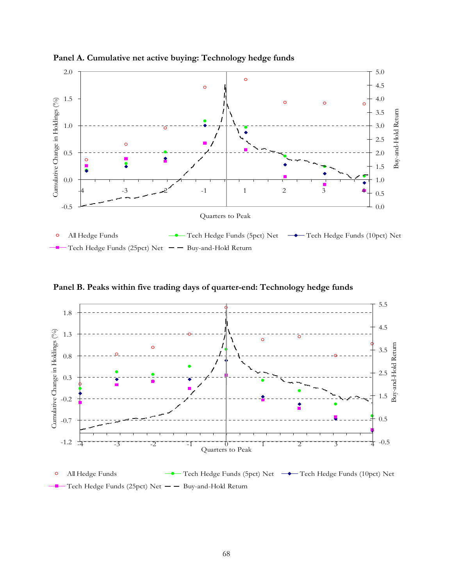

**Panel A. Cumulative net active buying: Technology hedge funds** 

**Panel B. Peaks within five trading days of quarter-end: Technology hedge funds** 



 $\circ$ All Hedge Funds **Tech Hedge Funds** (5pct) Net **Tech Hedge Funds** (10pct) Net Tech Hedge Funds (25pct) Net  $-$  Buy-and-Hold Return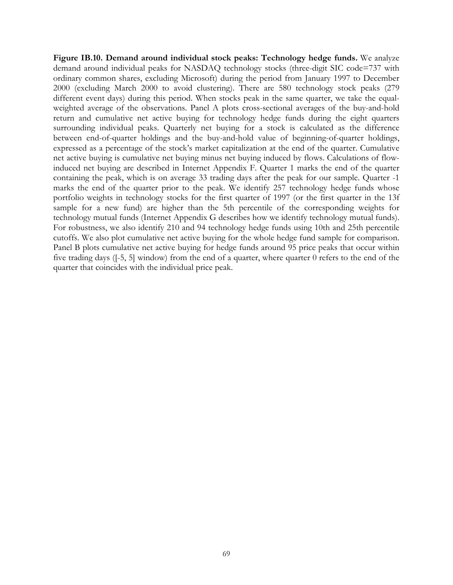**Figure IB.10. Demand around individual stock peaks: Technology hedge funds.** We analyze demand around individual peaks for NASDAQ technology stocks (three-digit SIC code=737 with ordinary common shares, excluding Microsoft) during the period from January 1997 to December 2000 (excluding March 2000 to avoid clustering). There are 580 technology stock peaks (279 different event days) during this period. When stocks peak in the same quarter, we take the equalweighted average of the observations. Panel A plots cross-sectional averages of the buy-and-hold return and cumulative net active buying for technology hedge funds during the eight quarters surrounding individual peaks. Quarterly net buying for a stock is calculated as the difference between end-of-quarter holdings and the buy-and-hold value of beginning-of-quarter holdings, expressed as a percentage of the stock's market capitalization at the end of the quarter. Cumulative net active buying is cumulative net buying minus net buying induced by flows. Calculations of flowinduced net buying are described in Internet Appendix F. Quarter 1 marks the end of the quarter containing the peak, which is on average 33 trading days after the peak for our sample. Quarter -1 marks the end of the quarter prior to the peak. We identify 257 technology hedge funds whose portfolio weights in technology stocks for the first quarter of 1997 (or the first quarter in the 13f sample for a new fund) are higher than the 5th percentile of the corresponding weights for technology mutual funds (Internet Appendix G describes how we identify technology mutual funds). For robustness, we also identify 210 and 94 technology hedge funds using 10th and 25th percentile cutoffs. We also plot cumulative net active buying for the whole hedge fund sample for comparison. Panel B plots cumulative net active buying for hedge funds around 95 price peaks that occur within five trading days ([-5, 5] window) from the end of a quarter, where quarter 0 refers to the end of the quarter that coincides with the individual price peak.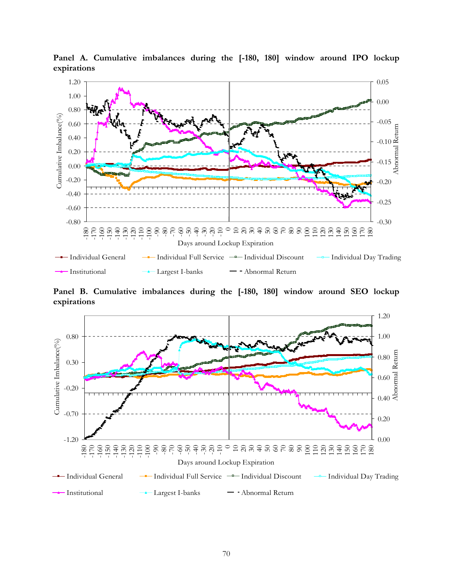

**Panel A. Cumulative imbalances during the [-180, 180] window around IPO lockup expirations** 

**Panel B. Cumulative imbalances during the [-180, 180] window around SEO lockup expirations** 

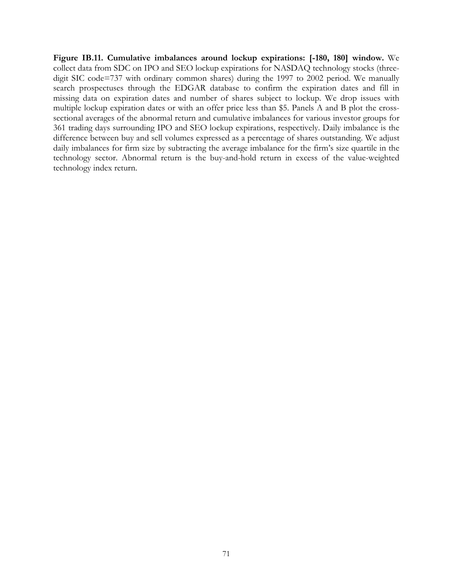**Figure IB.11. Cumulative imbalances around lockup expirations: [-180, 180] window.** We collect data from SDC on IPO and SEO lockup expirations for NASDAQ technology stocks (threedigit SIC code=737 with ordinary common shares) during the 1997 to 2002 period. We manually search prospectuses through the EDGAR database to confirm the expiration dates and fill in missing data on expiration dates and number of shares subject to lockup. We drop issues with multiple lockup expiration dates or with an offer price less than \$5. Panels A and B plot the crosssectional averages of the abnormal return and cumulative imbalances for various investor groups for 361 trading days surrounding IPO and SEO lockup expirations, respectively. Daily imbalance is the difference between buy and sell volumes expressed as a percentage of shares outstanding. We adjust daily imbalances for firm size by subtracting the average imbalance for the firm's size quartile in the technology sector. Abnormal return is the buy-and-hold return in excess of the value-weighted technology index return.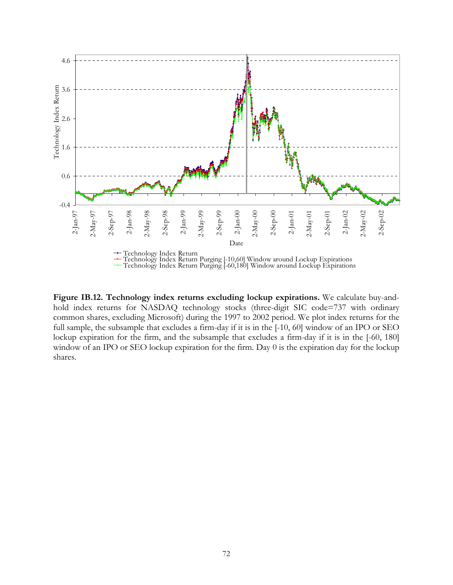

**Figure IB.12. Technology index returns excluding lockup expirations.** We calculate buy-andhold index returns for NASDAQ technology stocks (three-digit SIC code=737 with ordinary common shares, excluding Microsoft) during the 1997 to 2002 period. We plot index returns for the full sample, the subsample that excludes a firm-day if it is in the [-10, 60] window of an IPO or SEO lockup expiration for the firm, and the subsample that excludes a firm-day if it is in the [-60, 180] window of an IPO or SEO lockup expiration for the firm. Day 0 is the expiration day for the lockup shares.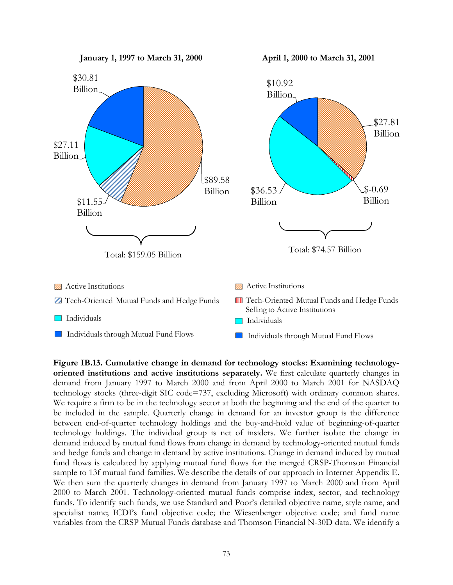

**Figure IB.13. Cumulative change in demand for technology stocks: Examining technologyoriented institutions and active institutions separately.** We first calculate quarterly changes in demand from January 1997 to March 2000 and from April 2000 to March 2001 for NASDAQ technology stocks (three-digit SIC code=737, excluding Microsoft) with ordinary common shares. We require a firm to be in the technology sector at both the beginning and the end of the quarter to be included in the sample. Quarterly change in demand for an investor group is the difference between end-of-quarter technology holdings and the buy-and-hold value of beginning-of-quarter technology holdings. The individual group is net of insiders. We further isolate the change in demand induced by mutual fund flows from change in demand by technology-oriented mutual funds and hedge funds and change in demand by active institutions. Change in demand induced by mutual fund flows is calculated by applying mutual fund flows for the merged CRSP-Thomson Financial sample to 13f mutual fund families. We describe the details of our approach in Internet Appendix E. We then sum the quarterly changes in demand from January 1997 to March 2000 and from April 2000 to March 2001. Technology-oriented mutual funds comprise index, sector, and technology funds. To identify such funds, we use Standard and Poor's detailed objective name, style name, and specialist name; ICDI's fund objective code; the Wiesenberger objective code; and fund name variables from the CRSP Mutual Funds database and Thomson Financial N-30D data. We identify a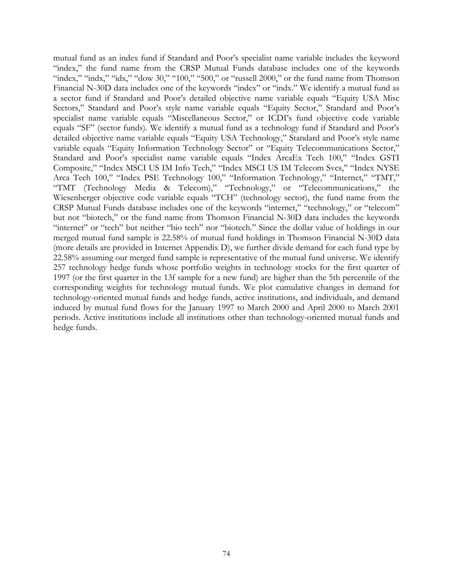mutual fund as an index fund if Standard and Poor's specialist name variable includes the keyword "index," the fund name from the CRSP Mutual Funds database includes one of the keywords "index," "indx," "idx," "dow 30," "100," "500," or "russell 2000," or the fund name from Thomson Financial N-30D data includes one of the keywords "index" or "indx." We identify a mutual fund as a sector fund if Standard and Poor's detailed objective name variable equals "Equity USA Misc Sectors," Standard and Poor's style name variable equals "Equity Sector," Standard and Poor's specialist name variable equals "Miscellaneous Sector," or ICDI's fund objective code variable equals "SF" (sector funds). We identify a mutual fund as a technology fund if Standard and Poor's detailed objective name variable equals "Equity USA Technology," Standard and Poor's style name variable equals "Equity Information Technology Sector" or "Equity Telecommunications Sector," Standard and Poor's specialist name variable equals "Index ArcaEx Tech 100," "Index GSTI Composite," "Index MSCI US IM Info Tech," "Index MSCI US IM Telecom Svcs," "Index NYSE Arca Tech 100," "Index PSE Technology 100," "Information Technology," "Internet," "TMT," "TMT (Technology Media & Telecom)," "Technology," or "Telecommunications," the Wiesenberger objective code variable equals "TCH" (technology sector), the fund name from the CRSP Mutual Funds database includes one of the keywords "internet," "technology," or "telecom" but not "biotech," or the fund name from Thomson Financial N-30D data includes the keywords "internet" or "tech" but neither "bio tech" nor "biotech." Since the dollar value of holdings in our merged mutual fund sample is 22.58% of mutual fund holdings in Thomson Financial N-30D data (more details are provided in Internet Appendix D), we further divide demand for each fund type by 22.58% assuming our merged fund sample is representative of the mutual fund universe. We identify 257 technology hedge funds whose portfolio weights in technology stocks for the first quarter of 1997 (or the first quarter in the 13f sample for a new fund) are higher than the 5th percentile of the corresponding weights for technology mutual funds. We plot cumulative changes in demand for technology-oriented mutual funds and hedge funds, active institutions, and individuals, and demand induced by mutual fund flows for the January 1997 to March 2000 and April 2000 to March 2001 periods. Active institutions include all institutions other than technology-oriented mutual funds and hedge funds.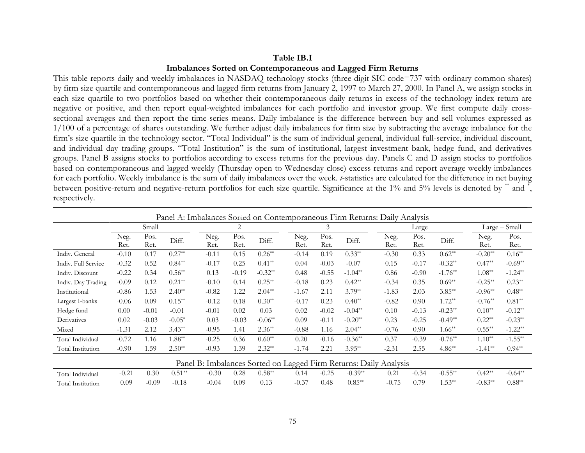#### **Table IB.I**

## **Imbalances Sorted on Contemporaneous and Lagged Firm Returns**

This table reports daily and weekly imbalances in NASDAQ technology stocks (three-digit SIC code=737 with ordinary common shares) by firm size quartile and contemporaneous and lagged firm returns from January 2, 1997 to March 27, 2000. In Panel A, we assign stocks in each size quartile to two portfolios based on whether their contemporaneous daily returns in excess of the technology index return are negative or positive, and then report equal-weighted imbalances for each portfolio and investor group. We first compute daily crosssectional averages and then report the time-series means. Daily imbalance is the difference between buy and sell volumes expressed as 1/100 of a percentage of shares outstanding. We further adjust daily imbalances for firm size by subtracting the average imbalance for the firm's size quartile in the technology sector. "Total Individual" is the sum of individual general, individual full-service, individual discount, and individual day trading groups. "Total Institution" is the sum of institutional, largest investment bank, hedge fund, and derivatives groups. Panel B assigns stocks to portfolios according to excess returns for the previous day. Panels C and D assign stocks to portfolios based on contemporaneous and lagged weekly (Thursday open to Wednesday close) excess returns and report average weekly imbalances for each portfolio. Weekly imbalance is the sum of daily imbalances over the week. *t*-statistics are calculated for the difference in net buying between positive-return and negative-return portfolios for each size quartile. Significance at the 1% and 5% levels is denoted by \*\* and \*, respectively.

|                     | Panel A: Imbalances Sorted on Contemporaneous Firm Returns: Daily Analysis |              |          |              |                |           |              |              |           |                                                                   |              |           |              |               |
|---------------------|----------------------------------------------------------------------------|--------------|----------|--------------|----------------|-----------|--------------|--------------|-----------|-------------------------------------------------------------------|--------------|-----------|--------------|---------------|
|                     |                                                                            | Small        |          |              | $\overline{2}$ |           |              | 3            |           |                                                                   | Large        |           |              | Large - Small |
|                     | Neg.<br>Ret.                                                               | Pos.<br>Ret. | Diff.    | Neg.<br>Ret. | Pos.<br>Ret.   | Diff.     | Neg.<br>Ret. | Pos.<br>Ret. | Diff.     | Neg.<br>Ret.                                                      | Pos.<br>Ret. | Diff.     | Neg.<br>Ret. | Pos.<br>Ret.  |
| Indiv. General      | $-0.10$                                                                    | 0.17         | $0.27**$ | $-0.11$      | 0.15           | $0.26**$  | $-0.14$      | 0.19         | $0.33**$  | $-0.30$                                                           | 0.33         | $0.62**$  | $-0.20**$    | $0.16**$      |
| Indiv. Full Service | $-0.32$                                                                    | 0.52         | $0.84**$ | $-0.17$      | 0.25           | $0.41**$  | 0.04         | $-0.03$      | $-0.07$   | 0.15                                                              | $-0.17$      | $-0.32**$ | $0.47**$     | $-0.69**$     |
| Indiv. Discount     | $-0.22$                                                                    | 0.34         | $0.56**$ | 0.13         | $-0.19$        | $-0.32**$ | 0.48         | $-0.55$      | $-1.04**$ | 0.86                                                              | $-0.90$      | $-1.76**$ | $1.08**$     | $-1.24**$     |
| Indiv. Day Trading  | $-0.09$                                                                    | 0.12         | $0.21**$ | $-0.10$      | 0.14           | $0.25**$  | $-0.18$      | 0.23         | $0.42**$  | $-0.34$                                                           | 0.35         | $0.69**$  | $-0.25**$    | $0.23**$      |
| Institutional       | $-0.86$                                                                    | 1.53         | $2.40**$ | $-0.82$      | 1.22           | $2.04**$  | $-1.67$      | 2.11         | $3.79**$  | $-1.83$                                                           | 2.03         | $3.85**$  | $-0.96**$    | $0.48**$      |
| Largest I-banks     | $-0.06$                                                                    | 0.09         | $0.15**$ | $-0.12$      | 0.18           | $0.30**$  | $-0.17$      | 0.23         | $0.40**$  | $-0.82$                                                           | 0.90         | $1.72**$  | $-0.76**$    | $0.81**$      |
| Hedge fund          | 0.00                                                                       | $-0.01$      | $-0.01$  | $-0.01$      | 0.02           | 0.03      | 0.02         | $-0.02$      | $-0.04**$ | 0.10                                                              | $-0.13$      | $-0.23**$ | $0.10**$     | $-0.12**$     |
| Derivatives         | 0.02                                                                       | $-0.03$      | $-0.05*$ | 0.03         | $-0.03$        | $-0.06**$ | 0.09         | $-0.11$      | $-0.20**$ | 0.23                                                              | $-0.25$      | $-0.49**$ | $0.22**$     | $-0.23**$     |
| Mixed               | $-1.31$                                                                    | 2.12         | $3.43**$ | $-0.95$      | 1.41           | $2.36**$  | $-0.88$      | 1.16         | $2.04**$  | $-0.76$                                                           | 0.90         | $1.66***$ | $0.55**$     | $-1.22**$     |
| Total Individual    | $-0.72$                                                                    | 1.16         | $1.88**$ | $-0.25$      | 0.36           | $0.60**$  | 0.20         | $-0.16$      | $-0.36**$ | 0.37                                                              | $-0.39$      | $-0.76**$ | $1.10**$     | $-1.55**$     |
| Total Institution   | $-0.90$                                                                    | 1.59         | $2.50**$ | $-0.93$      | 1.39           | $2.32**$  | $-1.74$      | 2.21         | $3.95**$  | $-2.31$                                                           | 2.55         | $4.86**$  | $-1.41**$    | $0.94**$      |
|                     |                                                                            |              |          |              |                |           |              |              |           | Panel B: Imbalances Sorted on Lagged Firm Returns: Daily Analysis |              |           |              |               |
| Total Individual    | $-0.21$                                                                    | 0.30         | $0.51**$ | $-0.30$      | 0.28           | $0.58**$  | 0.14         | $-0.25$      | $-0.39**$ | 0.21                                                              | $-0.34$      | $-0.55**$ | $0.42**$     | $-0.64**$     |
| Total Institution   | 0.09                                                                       | $-0.09$      | $-0.18$  | $-0.04$      | 0.09           | 0.13      | $-0.37$      | 0.48         | $0.85**$  | $-0.75$                                                           | 0.79         | $1.53***$ | $-0.83**$    | $0.88**$      |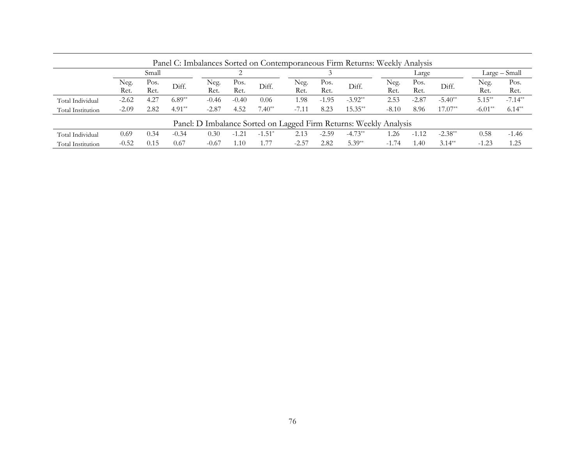| Panel C: Imbalances Sorted on Contemporaneous Firm Returns: Weekly Analysis |              |              |          |              |              |          |              |              |                                                                   |              |              |           |              |               |
|-----------------------------------------------------------------------------|--------------|--------------|----------|--------------|--------------|----------|--------------|--------------|-------------------------------------------------------------------|--------------|--------------|-----------|--------------|---------------|
|                                                                             |              | Small        |          |              | ⌒            |          |              |              |                                                                   |              | Large        |           |              | Large – Small |
|                                                                             | Neg.<br>Ret. | Pos.<br>Ret. | Diff.    | Neg.<br>Ret. | Pos.<br>Ret. | Diff.    | Neg.<br>Ret. | Pos.<br>Ret. | Diff.                                                             | Neg.<br>Ret. | Pos.<br>Ret. | Diff.     | Neg.<br>Ret. | Pos.<br>Ret.  |
| Total Individual                                                            | $-2.62$      | 4.27         | $6.89**$ | $-0.46$      | $-0.40$      | 0.06     | 1.98         | $-1.95$      | $-3.92**$                                                         | 2.53         | $-2.87$      | $-5.40**$ | $5.15***$    | $-7.14**$     |
| Total Institution                                                           | $-2.09$      | 2.82         | $4.91**$ | $-2.87$      | 4.52         | $7.40**$ | $-7.11$      | 8.23         | $15.35**$                                                         | $-8.10$      | 8.96         | $17.07**$ | $-6.01**$    | $6.14**$      |
|                                                                             |              |              |          |              |              |          |              |              | Panel: D Imbalance Sorted on Lagged Firm Returns: Weekly Analysis |              |              |           |              |               |
| Total Individual                                                            | 0.69         | 0.34         | $-0.34$  | 0.30         | $-1.21$      | $-1.51*$ | 2.13         | $-2.59$      | $-4.73**$                                                         | .26          | $-1.12$      | $-2.38**$ | 0.58         | $-1.46$       |
| Total Institution                                                           | $-0.52$      | 0.15         | 0.67     | $-0.67$      | 1.10         | . . 77   | $-2.57$      | 2.82         | $5.39**$                                                          | $-1.74$      | .40          | $3.14***$ | $-1.23$      | 1.25          |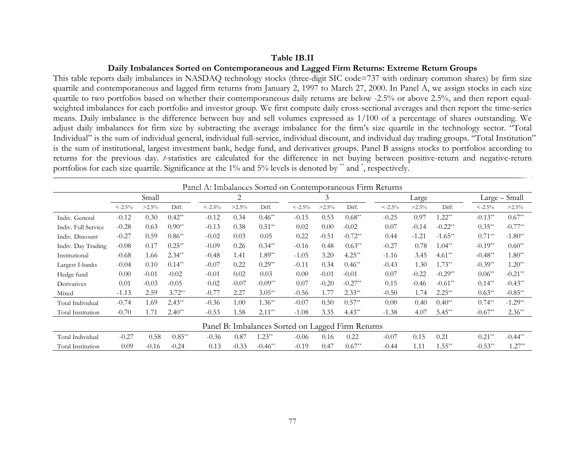#### **Table IB.II**

#### **Daily Imbalances Sorted on Contemporaneous and Lagged Firm Returns: Extreme Return Groups**

This table reports daily imbalances in NASDAQ technology stocks (three-digit SIC code=737 with ordinary common shares) by firm size quartile and contemporaneous and lagged firm returns from January 2, 1997 to March 27, 2000. In Panel A, we assign stocks in each size quartile to two portfolios based on whether their contemporaneous daily returns are below -2.5% or above 2.5%, and then report equalweighted imbalances for each portfolio and investor group. We first compute daily cross-sectional averages and then report the time-series means. Daily imbalance is the difference between buy and sell volumes expressed as 1/100 of a percentage of shares outstanding. We adjust daily imbalances for firm size by subtracting the average imbalance for the firm's size quartile in the technology sector. "Total Individual" is the sum of individual general, individual full-service, individual discount, and individual day trading groups. "Total Institution" is the sum of institutional, largest investment bank, hedge fund, and derivatives groups. Panel B assigns stocks to portfolios according to returns for the previous day. *t*-statistics are calculated for the difference in net buying between positive-return and negative-return portfolios for each size quartile. Significance at the 1% and 5% levels is denoted by \*\* and \*, respectively.

|                     |          |          |          |          |          |           |                                                   |          |           | Panel A: Imbalances Sorted on Contemporaneous Firm Returns |          |           |           |               |
|---------------------|----------|----------|----------|----------|----------|-----------|---------------------------------------------------|----------|-----------|------------------------------------------------------------|----------|-----------|-----------|---------------|
|                     |          | Small    |          |          | 2        |           |                                                   | 3        |           |                                                            | Large    |           |           | Large - Small |
|                     | $<-2.5%$ | $>2.5\%$ | Diff.    | $<-2.5%$ | $>2.5\%$ | Diff.     | $<-2.5%$                                          | $>2.5\%$ | Diff.     | $\leq -2.5\%$                                              | $>2.5\%$ | Diff.     | $<-2.5%$  | $>2.5\%$      |
| Indiv. General      | $-0.12$  | 0.30     | $0.42**$ | $-0.12$  | 0.34     | $0.46**$  | $-0.15$                                           | 0.53     | $0.68**$  | $-0.25$                                                    | 0.97     | $1.22**$  | $-0.13**$ | $0.67**$      |
| Indiv. Full Service | $-0.28$  | 0.63     | $0.90**$ | $-0.13$  | 0.38     | $0.51**$  | 0.02                                              | 0.00     | $-0.02$   | 0.07                                                       | $-0.14$  | $-0.22**$ | $0.35**$  | $-0.77**$     |
| Indiv. Discount     | $-0.27$  | 0.59     | $0.86**$ | $-0.02$  | 0.03     | 0.05      | 0.22                                              | $-0.51$  | $-0.72**$ | 0.44                                                       | $-1.21$  | $-1.65**$ | $0.71**$  | $-1.80**$     |
| Indiv. Day Trading  | $-0.08$  | 0.17     | $0.25**$ | $-0.09$  | 0.26     | $0.34**$  | $-0.16$                                           | 0.48     | $0.63**$  | $-0.27$                                                    | 0.78     | $1.04**$  | $-0.19**$ | $0.60**$      |
| Institutional       | $-0.68$  | 1.66     | $2.34**$ | $-0.48$  | 1.41     | $1.89**$  | $-1.05$                                           | 3.20     | $4.25**$  | $-1.16$                                                    | 3.45     | $4.61**$  | $-0.48**$ | $1.80**$      |
| Largest I-banks     | $-0.04$  | 0.10     | $0.14**$ | $-0.07$  | 0.22     | $0.29**$  | $-0.11$                                           | 0.34     | $0.46**$  | $-0.43$                                                    | 1.30     | $1.73**$  | $-0.39**$ | $1.20**$      |
| Hedge fund          | 0.00     | $-0.01$  | $-0.02$  | $-0.01$  | 0.02     | 0.03      | 0.00                                              | $-0.01$  | $-0.01$   | 0.07                                                       | $-0.22$  | $-0.29**$ | $0.06**$  | $-0.21**$     |
| Derivatives         | 0.01     | $-0.03$  | $-0.05$  | 0.02     | $-0.07$  | $-0.09**$ | 0.07                                              | $-0.20$  | $-0.27**$ | 0.15                                                       | $-0.46$  | $-0.61**$ | $0.14**$  | $-0.43**$     |
| Mixed               | $-1.13$  | 2.59     | $3.72**$ | $-0.77$  | 2.27     | $3.05**$  | $-0.56$                                           | 1.77     | $2.33**$  | $-0.50$                                                    | 1.74     | $2.25***$ | $0.63**$  | $-0.85**$     |
| Total Individual    | $-0.74$  | 1.69     | $2.43**$ | $-0.36$  | 1.00     | $1.36**$  | $-0.07$                                           | 0.50     | $0.57**$  | 0.00                                                       | 0.40     | $0.40**$  | $0.74**$  | $-1.29**$     |
| Total Institution   | $-0.70$  | 1.71     | $2.40**$ | $-0.53$  | 1.58     | $2.11**$  | $-1.08$                                           | 3.35     | $4.43**$  | $-1.38$                                                    | 4.07     | $5.45**$  | $-0.67**$ | $2.36**$      |
|                     |          |          |          |          |          |           | Panel B: Imbalances Sorted on Lagged Firm Returns |          |           |                                                            |          |           |           |               |
| Total Individual    | $-0.27$  | 0.58     | $0.85**$ | $-0.36$  | 0.87     | $1.23**$  | $-0.06$                                           | 0.16     | 0.22      | $-0.07$                                                    | 0.15     | 0.21      | $0.21**$  | $-0.44**$     |
| Total Institution   | 0.09     | $-0.16$  | $-0.24$  | 0.13     | $-0.33$  | $-0.46**$ | $-0.19$                                           | 0.47     | $0.67**$  | $-0.44$                                                    | 1.11     | $1.55**$  | $-0.53**$ | $1.27**$      |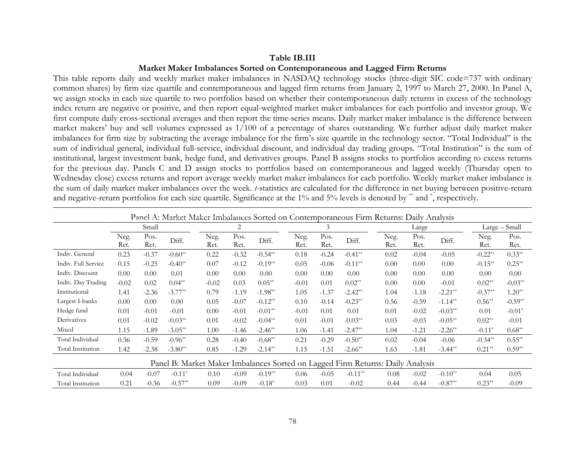#### **Table IB.III**

# **Market Maker Imbalances Sorted on Contemporaneous and Lagged Firm Returns**

This table reports daily and weekly market maker imbalances in NASDAQ technology stocks (three-digit SIC code=737 with ordinary common shares) by firm size quartile and contemporaneous and lagged firm returns from January 2, 1997 to March 27, 2000. In Panel A, we assign stocks in each size quartile to two portfolios based on whether their contemporaneous daily returns in excess of the technology index return are negative or positive, and then report equal-weighted market maker imbalances for each portfolio and investor group. We first compute daily cross-sectional averages and then report the time-series means. Daily market maker imbalance is the difference between market makers' buy and sell volumes expressed as 1/100 of a percentage of shares outstanding. We further adjust daily market maker imbalances for firm size by subtracting the average imbalance for the firm's size quartile in the technology sector. "Total Individual" is the sum of individual general, individual full-service, individual discount, and individual day trading groups. "Total Institution" is the sum of institutional, largest investment bank, hedge fund, and derivatives groups. Panel B assigns stocks to portfolios according to excess returns for the previous day. Panels C and D assign stocks to portfolios based on contemporaneous and lagged weekly (Thursday open to Wednesday close) excess returns and report average weekly market maker imbalances for each portfolio. Weekly market maker imbalance is the sum of daily market maker imbalances over the week. *t*-statistics are calculated for the difference in net buying between positive-return and negative-return portfolios for each size quartile. Significance at the 1% and 5% levels is denoted by \*\* and \*, respectively.

|                     | Panel A: Market Maker Imbalances Sorted on Contemporaneous Firm Returns: Daily Analysis |              |           |              |                |            |              |              |                                                                                |              |              |            |              |               |
|---------------------|-----------------------------------------------------------------------------------------|--------------|-----------|--------------|----------------|------------|--------------|--------------|--------------------------------------------------------------------------------|--------------|--------------|------------|--------------|---------------|
|                     |                                                                                         | Small        |           |              | 2              |            |              | 3            |                                                                                |              | Large        |            |              | Large - Small |
|                     | Neg.<br>Ret.                                                                            | Pos.<br>Ret. | Diff.     | Neg.<br>Ret. | Pos.<br>Ret.   | Diff.      | Neg.<br>Ret. | Pos.<br>Ret. | Diff.                                                                          | Neg.<br>Ret. | Pos.<br>Ret. | Diff.      | Neg.<br>Ret. | Pos.<br>Ret.  |
| Indiv. General      | 0.23                                                                                    | $-0.37$      | $-0.60**$ | 0.22         | $-0.32$        | $-0.54**$  | 0.18         | $-0.24$      | $-0.41**$                                                                      | 0.02         | $-0.04$      | $-0.05$    | $-0.22**$    | $0.33**$      |
| Indiv. Full Service | 0.15                                                                                    | $-0.25$      | $-0.40**$ | 0.07         | $-0.12$        | $-0.19**$  | 0.05         | $-0.06$      | $-0.11**$                                                                      | 0.00         | 0.00         | 0.00       | $-0.15**$    | $0.25**$      |
| Indiv. Discount     | $0.00^{\circ}$                                                                          | 0.00         | 0.01      | 0.00         | $0.00^{\circ}$ | 0.00       | 0.00         | 0.00         | 0.00                                                                           | 0.00         | 0.00         | 0.00       | 0.00         | 0.00          |
| Indiv. Day Trading  | $-0.02$                                                                                 | 0.02         | $0.04**$  | $-0.02$      | 0.03           | $0.05**$   | $-0.01$      | 0.01         | $0.02**$                                                                       | 0.00         | 0.00         | $-0.01$    | $0.02**$     | $-0.03**$     |
| Institutional       | 1.41                                                                                    | $-2.36$      | $-3.77**$ | 0.79         | $-1.19$        | $-1.98**$  | 1.05         | $-1.37$      | $-2.42**$                                                                      | 1.04         | $-1.18$      | $-2.21**$  | $-0.37**$    | $1.20**$      |
| Largest I-banks     | 0.00                                                                                    | 0.00         | 0.00      | 0.05         | $-0.07$        | $-0.12**$  | 0.10         | $-0.14$      | $-0.23**$                                                                      | 0.56         | $-0.59$      | $-1.14***$ | $0.56**$     | $-0.59**$     |
| Hedge fund          | 0.01                                                                                    | $-0.01$      | $-0.01$   | 0.00         | $-0.01$        | $-0.01**$  | $-0.01$      | 0.01         | 0.01                                                                           | 0.01         | $-0.02$      | $-0.03**$  | 0.01         | $-0.01*$      |
| Derivatives         | 0.01                                                                                    | $-0.02$      | $-0.03**$ | 0.01         | $-0.02$        | $-0.04**$  | 0.01         | $-0.01$      | $-0.03**$                                                                      | 0.03         | $-0.03$      | $-0.05**$  | $0.02**$     | $-0.01$       |
| Mixed               | 1.15                                                                                    | $-1.89$      | $-3.05**$ | 1.00         | $-1.46$        | $-2.46**$  | 1.06         | $-1.41$      | $-2.47**$                                                                      | 1.04         | $-1.21$      | $-2.26**$  | $-0.11*$     | $0.68**$      |
| Total Individual    | 0.36                                                                                    | $-0.59$      | $-0.96**$ | 0.28         | $-0.40$        | $-0.68**$  | 0.21         | $-0.29$      | $-0.50**$                                                                      | 0.02         | $-0.04$      | $-0.06$    | $-0.34**$    | $0.55***$     |
| Total Institution   | 1.42                                                                                    | $-2.38$      | $-3.80**$ | 0.85         | $-1.29$        | $-2.14***$ | 1.15         | $-1.51$      | $-2.66**$                                                                      | 1.63         | $-1.81$      | $-3.44**$  | $0.21**$     | $0.59**$      |
|                     |                                                                                         |              |           |              |                |            |              |              | Panel B: Market Maker Imbalances Sorted on Lagged Firm Returns: Daily Analysis |              |              |            |              |               |
| Total Individual    | 0.04                                                                                    | $-0.07$      | $-0.11*$  | 0.10         | $-0.09$        | $-0.19**$  | 0.06         | $-0.05$      | $-0.11**$                                                                      | 0.08         | $-0.02$      | $-0.10**$  | 0.04         | 0.05          |
| Total Institution   | 0.21                                                                                    | $-0.36$      | $-0.57**$ | 0.09         | $-0.09$        | $-0.18*$   | 0.03         | 0.01         | $-0.02$                                                                        | 0.44         | $-0.44$      | $-0.87**$  | $0.23**$     | $-0.09$       |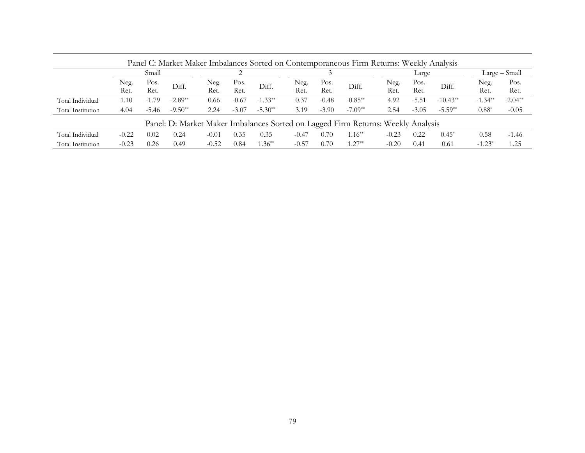| Panel C: Market Maker Imbalances Sorted on Contemporaneous Firm Returns: Weekly Analysis |              |              |           |              |              |           |              |              |                                                                                  |              |              |            |              |               |
|------------------------------------------------------------------------------------------|--------------|--------------|-----------|--------------|--------------|-----------|--------------|--------------|----------------------------------------------------------------------------------|--------------|--------------|------------|--------------|---------------|
|                                                                                          |              | Small        |           |              |              |           |              |              |                                                                                  |              | Large        |            |              | Large - Small |
|                                                                                          | Neg.<br>Ret. | Pos.<br>Ret. | Diff.     | Neg.<br>Ret. | Pos.<br>Ret. | Diff.     | Neg.<br>Ret. | Pos.<br>Ret. | Diff.                                                                            | Neg.<br>Ret. | Pos.<br>Ret. | Diff.      | Neg.<br>Ret. | Pos.<br>Ret.  |
| Total Individual                                                                         | 1.10         | $-1.79$      | $-2.89**$ | 0.66         | $-0.67$      | $-1.33**$ | 0.37         | $-0.48$      | $-0.85**$                                                                        | 4.92         | $-5.51$      | $-10.43**$ | $-1.34**$    | $2.04**$      |
| Total Institution                                                                        | 4.04         | $-5.46$      | $-9.50**$ | 2.24         | $-3.07$      | $-5.30**$ | 3.19         | $-3.90$      | $-7.09**$                                                                        | 2.54         | $-3.05$      | $-5.59**$  | $0.88*$      | $-0.05$       |
|                                                                                          |              |              |           |              |              |           |              |              | Panel: D: Market Maker Imbalances Sorted on Lagged Firm Returns: Weekly Analysis |              |              |            |              |               |
| Total Individual                                                                         | $-0.22$      | 0.02         | 0.24      | $-0.01$      | 0.35         | 0.35      | $-0.47$      | 0.70         | $1.16**$                                                                         | $-0.23$      | 0.22         | $0.45*$    | 0.58         | $-1.46$       |
| Total Institution                                                                        | $-0.23$      | 0.26         | 0.49      | $-0.52$      | 0.84         | $.36**$   | $-0.57$      | 0.70         | $1.27**$                                                                         | $-0.20$      | 0.41         | 0.61       | $-1.23^*$    | 1.25          |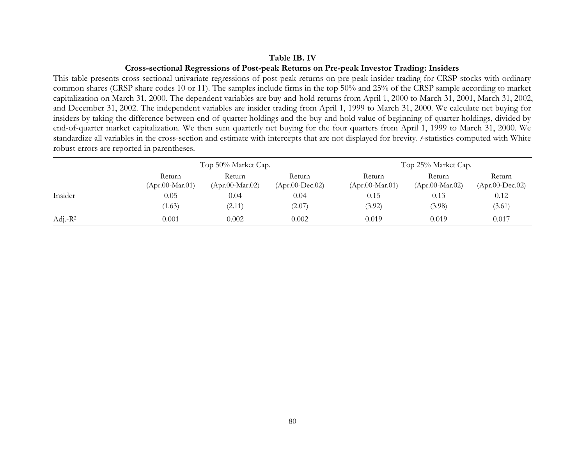# **Table IB. IV**

## **Cross-sectional Regressions of Post-peak Returns on Pre-peak Investor Trading: Insiders**

This table presents cross-sectional univariate regressions of post-peak returns on pre-peak insider trading for CRSP stocks with ordinary common shares (CRSP share codes 10 or 11). The samples include firms in the top 50% and 25% of the CRSP sample according to market capitalization on March 31, 2000. The dependent variables are buy-and-hold returns from April 1, 2000 to March 31, 2001, March 31, 2002, and December 31, 2002. The independent variables are insider trading from April 1, 1999 to March 31, 2000. We calculate net buying for insiders by taking the difference between end-of-quarter holdings and the buy-and-hold value of beginning-of-quarter holdings, divided by end-of-quarter market capitalization. We then sum quarterly net buying for the four quarters from April 1, 1999 to March 31, 2000. We standardize all variables in the cross-section and estimate with intercepts that are not displayed for brevity. *t*-statistics computed with White robust errors are reported in parentheses.

|             |                           | Top 50% Market Cap.       |                             |                           | Top 25% Market Cap.       |                                           |  |  |  |
|-------------|---------------------------|---------------------------|-----------------------------|---------------------------|---------------------------|-------------------------------------------|--|--|--|
|             | Return<br>(Apr.00-Mar.01) | Return<br>(Apr.00-Mar.02) | Return<br>$(Apr.00-Dec.02)$ | Return<br>(Apr.00-Mar.01) | Return<br>(Apr.00-Mar.02) | Return<br>$(Apr.00\text{-}\text{Dec}.02)$ |  |  |  |
| Insider     | 0.05                      | 0.04                      | 0.04                        | 0.15                      | 0.13                      | 0.12                                      |  |  |  |
|             | (1.63)                    | (2.11)                    | (2.07)                      | (3.92)                    | (3.98)                    | (3.61)                                    |  |  |  |
| Adj.- $R^2$ | 0.001                     | 0.002                     | 0.002                       | 0.019                     | 0.019                     | 0.017                                     |  |  |  |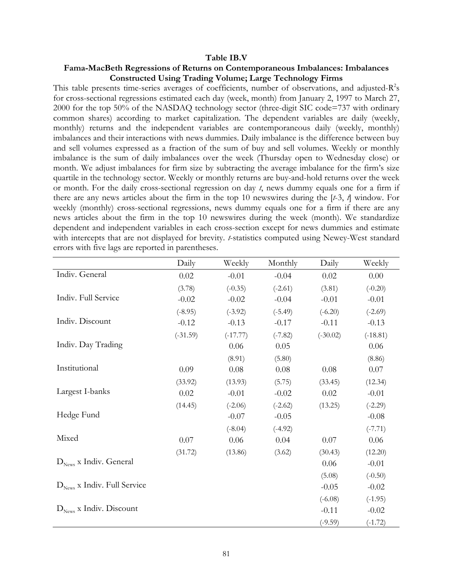#### **Table IB.V**

## **Fama-MacBeth Regressions of Returns on Contemporaneous Imbalances: Imbalances Constructed Using Trading Volume; Large Technology Firms**

This table presents time-series averages of coefficients, number of observations, and adjusted- $R^2$ s for cross-sectional regressions estimated each day (week, month) from January 2, 1997 to March 27, 2000 for the top 50% of the NASDAQ technology sector (three-digit SIC code=737 with ordinary common shares) according to market capitalization. The dependent variables are daily (weekly, monthly) returns and the independent variables are contemporaneous daily (weekly, monthly) imbalances and their interactions with news dummies. Daily imbalance is the difference between buy and sell volumes expressed as a fraction of the sum of buy and sell volumes. Weekly or monthly imbalance is the sum of daily imbalances over the week (Thursday open to Wednesday close) or month. We adjust imbalances for firm size by subtracting the average imbalance for the firm's size quartile in the technology sector. Weekly or monthly returns are buy-and-hold returns over the week or month. For the daily cross-sectional regression on day *t*, news dummy equals one for a firm if there are any news articles about the firm in the top 10 newswires during the [*t*-3, *t*] window. For weekly (monthly) cross-sectional regressions, news dummy equals one for a firm if there are any news articles about the firm in the top 10 newswires during the week (month). We standardize dependent and independent variables in each cross-section except for news dummies and estimate with intercepts that are not displayed for brevity. *t*-statistics computed using Newey-West standard errors with five lags are reported in parentheses.

|                                         | Daily      | Weekly     | Monthly   | Daily      | Weekly     |
|-----------------------------------------|------------|------------|-----------|------------|------------|
| Indiv. General                          | 0.02       | $-0.01$    | $-0.04$   | 0.02       | 0.00       |
|                                         | (3.78)     | $(-0.35)$  | $(-2.61)$ | (3.81)     | $(-0.20)$  |
| Indiv. Full Service                     | $-0.02$    | $-0.02$    | $-0.04$   | $-0.01$    | $-0.01$    |
|                                         | $(-8.95)$  | $(-3.92)$  | $(-5.49)$ | $(-6.20)$  | $(-2.69)$  |
| Indiv. Discount                         | $-0.12$    | $-0.13$    | $-0.17$   | $-0.11$    | $-0.13$    |
|                                         | $(-31.59)$ | $(-17.77)$ | $(-7.82)$ | $(-30.02)$ | $(-18.81)$ |
| Indiv. Day Trading                      |            | 0.06       | 0.05      |            | 0.06       |
|                                         |            | (8.91)     | (5.80)    |            | (8.86)     |
| Institutional                           | 0.09       | 0.08       | 0.08      | 0.08       | 0.07       |
|                                         | (33.92)    | (13.93)    | (5.75)    | (33.45)    | (12.34)    |
| Largest I-banks                         | 0.02       | $-0.01$    | $-0.02$   | 0.02       | $-0.01$    |
|                                         | (14.45)    | $(-2.06)$  | $(-2.62)$ | (13.25)    | $(-2.29)$  |
| Hedge Fund                              |            | $-0.07$    | $-0.05$   |            | $-0.08$    |
|                                         |            | $(-8.04)$  | $(-4.92)$ |            | $(-7.71)$  |
| Mixed                                   | 0.07       | 0.06       | 0.04      | 0.07       | 0.06       |
|                                         | (31.72)    | (13.86)    | (3.62)    | (30.43)    | (12.20)    |
| $D_{\text{News}}$ x Indiv. General      |            |            |           | 0.06       | $-0.01$    |
|                                         |            |            |           | (5.08)     | $(-0.50)$  |
| $D_{\text{News}}$ x Indiv. Full Service |            |            |           | $-0.05$    | $-0.02$    |
|                                         |            |            |           | $(-6.08)$  | $(-1.95)$  |
| $D_{\text{News}}$ x Indiv. Discount     |            |            |           | $-0.11$    | $-0.02$    |
|                                         |            |            |           | $(-9.59)$  | $(-1.72)$  |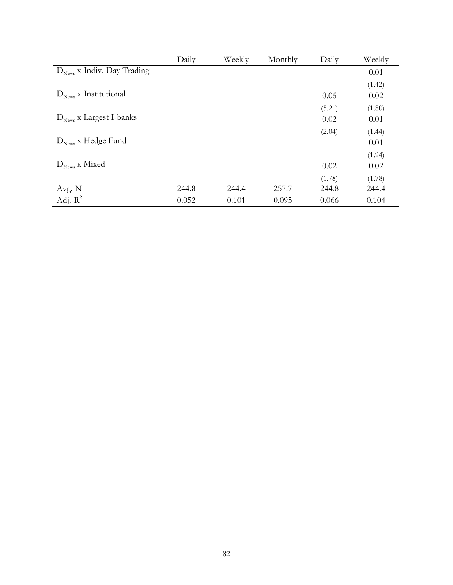|                                        | Daily | Weekly | Monthly | Daily  | Weekly |
|----------------------------------------|-------|--------|---------|--------|--------|
| $D_{\text{News}}$ x Indiv. Day Trading |       |        |         |        | 0.01   |
|                                        |       |        |         |        | (1.42) |
| $D_{\text{News}}$ x Institutional      |       |        |         | 0.05   | 0.02   |
|                                        |       |        |         | (5.21) | (1.80) |
| $D_{\text{News}}$ x Largest I-banks    |       |        |         | 0.02   | 0.01   |
|                                        |       |        |         | (2.04) | (1.44) |
| $D_{\text{News}}$ x Hedge Fund         |       |        |         |        | 0.01   |
|                                        |       |        |         |        | (1.94) |
| $D_{\text{News}}$ x Mixed              |       |        |         | 0.02   | 0.02   |
|                                        |       |        |         | (1.78) | (1.78) |
| Avg. N                                 | 244.8 | 244.4  | 257.7   | 244.8  | 244.4  |
| Adj.- $R^2$                            | 0.052 | 0.101  | 0.095   | 0.066  | 0.104  |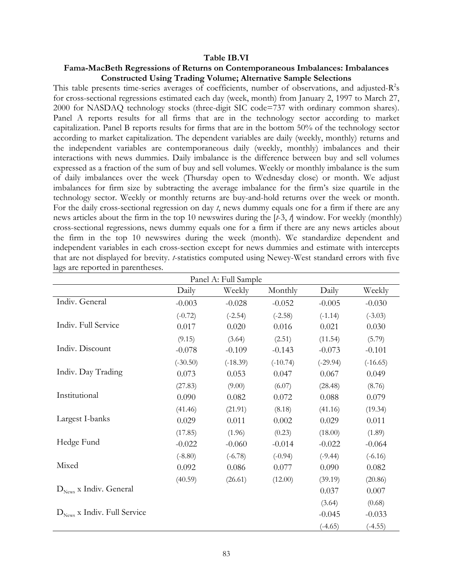#### **Table IB.VI**

# **Fama-MacBeth Regressions of Returns on Contemporaneous Imbalances: Imbalances Constructed Using Trading Volume; Alternative Sample Selections**

This table presents time-series averages of coefficients, number of observations, and adjusted- $R^2$ s for cross-sectional regressions estimated each day (week, month) from January 2, 1997 to March 27, 2000 for NASDAQ technology stocks (three-digit SIC code=737 with ordinary common shares). Panel A reports results for all firms that are in the technology sector according to market capitalization. Panel B reports results for firms that are in the bottom 50% of the technology sector according to market capitalization. The dependent variables are daily (weekly, monthly) returns and the independent variables are contemporaneous daily (weekly, monthly) imbalances and their interactions with news dummies. Daily imbalance is the difference between buy and sell volumes expressed as a fraction of the sum of buy and sell volumes. Weekly or monthly imbalance is the sum of daily imbalances over the week (Thursday open to Wednesday close) or month. We adjust imbalances for firm size by subtracting the average imbalance for the firm's size quartile in the technology sector. Weekly or monthly returns are buy-and-hold returns over the week or month. For the daily cross-sectional regression on day *t*, news dummy equals one for a firm if there are any news articles about the firm in the top 10 newswires during the [*t*-3, *t*] window. For weekly (monthly) cross-sectional regressions, news dummy equals one for a firm if there are any news articles about the firm in the top 10 newswires during the week (month). We standardize dependent and independent variables in each cross-section except for news dummies and estimate with intercepts that are not displayed for brevity. *t*-statistics computed using Newey-West standard errors with five lags are reported in parentheses.

| Panel A: Full Sample                    |            |            |            |            |            |  |  |  |  |  |
|-----------------------------------------|------------|------------|------------|------------|------------|--|--|--|--|--|
|                                         | Daily      | Weekly     | Monthly    | Daily      | Weekly     |  |  |  |  |  |
| Indiv. General                          | $-0.003$   | $-0.028$   | $-0.052$   | $-0.005$   | $-0.030$   |  |  |  |  |  |
|                                         | $(-0.72)$  | $(-2.54)$  | $(-2.58)$  | $(-1.14)$  | $(-3.03)$  |  |  |  |  |  |
| Indiv. Full Service                     | 0.017      | 0.020      | 0.016      | 0.021      | 0.030      |  |  |  |  |  |
|                                         | (9.15)     | (3.64)     | (2.51)     | (11.54)    | (5.79)     |  |  |  |  |  |
| Indiv. Discount                         | $-0.078$   | $-0.109$   | $-0.143$   | $-0.073$   | $-0.101$   |  |  |  |  |  |
|                                         | $(-30.50)$ | $(-18.39)$ | $(-10.74)$ | $(-29.94)$ | $(-16.65)$ |  |  |  |  |  |
| Indiv. Day Trading                      | 0.073      | 0.053      | 0.047      | 0.067      | 0.049      |  |  |  |  |  |
|                                         | (27.83)    | (9.00)     | (6.07)     | (28.48)    | (8.76)     |  |  |  |  |  |
| Institutional                           | 0.090      | 0.082      | 0.072      | 0.088      | 0.079      |  |  |  |  |  |
|                                         | (41.46)    | (21.91)    | (8.18)     | (41.16)    | (19.34)    |  |  |  |  |  |
| Largest I-banks                         | 0.029      | 0.011      | 0.002      | 0.029      | 0.011      |  |  |  |  |  |
|                                         | (17.85)    | (1.96)     | (0.23)     | (18.00)    | (1.89)     |  |  |  |  |  |
| Hedge Fund                              | $-0.022$   | $-0.060$   | $-0.014$   | $-0.022$   | $-0.064$   |  |  |  |  |  |
|                                         | $(-8.80)$  | $(-6.78)$  | $(-0.94)$  | $(-9.44)$  | $(-6.16)$  |  |  |  |  |  |
| Mixed                                   | 0.092      | 0.086      | 0.077      | 0.090      | 0.082      |  |  |  |  |  |
|                                         | (40.59)    | (26.61)    | (12.00)    | (39.19)    | (20.86)    |  |  |  |  |  |
| $D_{\text{News}}$ x Indiv. General      |            |            |            | 0.037      | 0.007      |  |  |  |  |  |
|                                         |            |            |            | (3.64)     | (0.68)     |  |  |  |  |  |
| $D_{\text{News}}$ x Indiv. Full Service |            |            |            | $-0.045$   | $-0.033$   |  |  |  |  |  |
|                                         |            |            |            | $(-4.65)$  | $(-4.55)$  |  |  |  |  |  |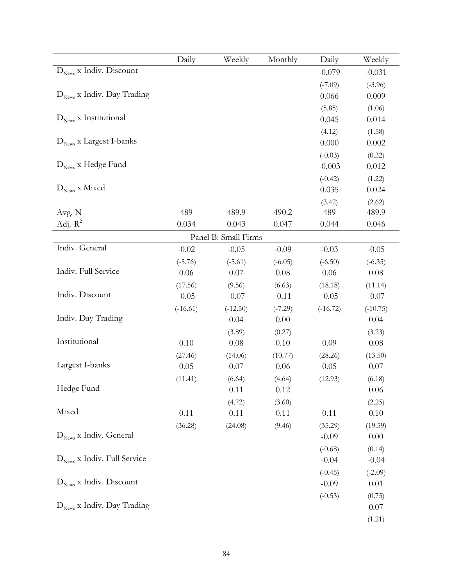|                                         | Daily      | Weekly               | Monthly        | Daily      | Weekly         |
|-----------------------------------------|------------|----------------------|----------------|------------|----------------|
| $D_{\text{News}}$ x Indiv. Discount     |            |                      |                | $-0.079$   | $-0.031$       |
|                                         |            |                      |                | $(-7.09)$  | $(-3.96)$      |
| $D_{\text{News}}$ x Indiv. Day Trading  |            |                      |                | 0.066      | 0.009          |
|                                         |            |                      |                | (5.85)     | (1.06)         |
| $D_{\text{News}}$ x Institutional       |            |                      |                | 0.045      | 0.014          |
|                                         |            |                      |                | (4.12)     | (1.58)         |
| $D_{\text{News}}$ x Largest I-banks     |            |                      |                | 0.000      | 0.002          |
|                                         |            |                      |                | $(-0.03)$  | (0.32)         |
| $D_{\text{News}}$ x Hedge Fund          |            |                      |                | $-0.003$   | 0.012          |
|                                         |            |                      |                | $(-0.42)$  | (1.22)         |
| $D_{\text{News}}$ x Mixed               |            |                      |                | 0.035      | 0.024          |
|                                         |            |                      |                | (3.42)     | (2.62)         |
| Avg. N                                  | 489        | 489.9                | 490.2          | 489        | 489.9          |
| Adj.- $R^2$                             | 0.034      | 0.043                | 0.047          | 0.044      | 0.046          |
|                                         |            | Panel B: Small Firms |                |            |                |
| Indiv. General                          | $-0.02$    | $-0.05$              | $-0.09$        | $-0.03$    | $-0.05$        |
|                                         | $(-5.76)$  | $(-5.61)$            | $(-6.05)$      | $(-6.50)$  | $(-6.35)$      |
| Indiv. Full Service                     | 0.06       | 0.07                 | 0.08           | 0.06       | 0.08           |
|                                         | (17.56)    | (9.56)               | (6.63)         | (18.18)    | (11.14)        |
| Indiv. Discount                         | $-0.05$    | $-0.07$              | $-0.11$        | $-0.05$    | $-0.07$        |
|                                         | $(-16.61)$ | $(-12.50)$           | $(-7.29)$      | $(-16.72)$ | $(-10.75)$     |
| Indiv. Day Trading                      |            | 0.04                 | 0.00           |            | 0.04           |
| Institutional                           |            | (3.89)               | (0.27)         |            | (3.23)         |
|                                         | 0.10       | $0.08\,$             | 0.10           | 0.09       | 0.08           |
| Largest I-banks                         | (27.46)    | (14.06)              | (10.77)        | (28.26)    | (13.50)        |
|                                         | 0.05       | 0.07                 | 0.06           | 0.05       | 0.07           |
| Hedge Fund                              | (11.41)    | (6.64)               | (4.64)         | (12.93)    | (6.18)         |
|                                         |            | 0.11                 | 0.12           |            | 0.06           |
| Mixed                                   | 0.11       | (4.72)<br>0.11       | (3.60)<br>0.11 | 0.11       | (2.25)<br>0.10 |
|                                         | (36.28)    | (24.08)              | (9.46)         | (35.29)    | (19.59)        |
| $D_{\text{News}}$ x Indiv. General      |            |                      |                | $-0.09$    | 0.00           |
|                                         |            |                      |                | $(-0.68)$  | (0.14)         |
| $D_{\text{News}}$ x Indiv. Full Service |            |                      |                | $-0.04$    | $-0.04$        |
|                                         |            |                      |                | $(-0.45)$  | $(-2.09)$      |
| $D_{\text{News}}$ x Indiv. Discount     |            |                      |                | $-0.09$    | 0.01           |
|                                         |            |                      |                | $(-0.53)$  | (0.75)         |
| $D_{\text{News}}$ x Indiv. Day Trading  |            |                      |                |            | 0.07           |
|                                         |            |                      |                |            | (1.21)         |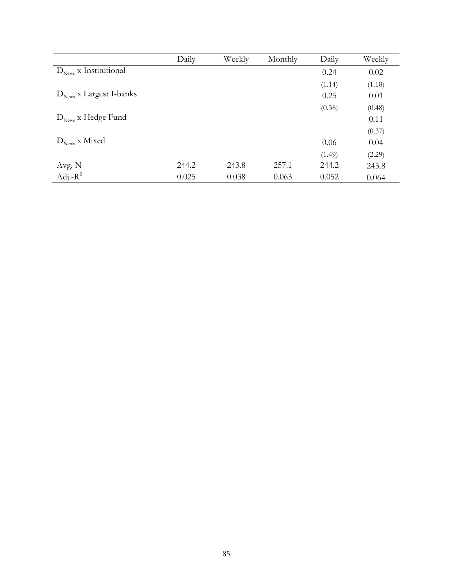|                                     | Daily | Weekly | Monthly | Daily  | Weekly |
|-------------------------------------|-------|--------|---------|--------|--------|
| $D_{\text{News}}$ x Institutional   |       |        |         | 0.24   | 0.02   |
|                                     |       |        |         | (1.14) | (1.18) |
| $D_{\text{News}}$ x Largest I-banks |       |        |         | 0.25   | 0.01   |
|                                     |       |        |         | (0.38) | (0.48) |
| $D_{\text{News}}$ x Hedge Fund      |       |        |         |        | 0.11   |
|                                     |       |        |         |        | (0.37) |
| $D_{\text{News}}$ x Mixed           |       |        |         | 0.06   | 0.04   |
|                                     |       |        |         | (1.49) | (2.29) |
| Avg. N                              | 244.2 | 243.8  | 257.1   | 244.2  | 243.8  |
| Adj.- $R^2$                         | 0.025 | 0.038  | 0.063   | 0.052  | 0.064  |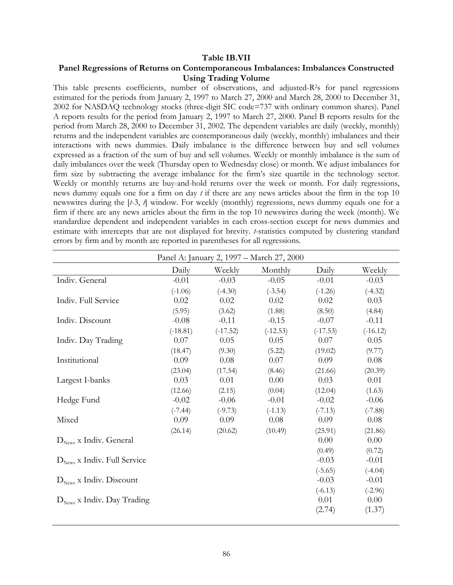#### **Table IB.VII**

### **Panel Regressions of Returns on Contemporaneous Imbalances: Imbalances Constructed Using Trading Volume**

This table presents coefficients, number of observations, and adjusted-R2s for panel regressions estimated for the periods from January 2, 1997 to March 27, 2000 and March 28, 2000 to December 31, 2002 for NASDAQ technology stocks (three-digit SIC code=737 with ordinary common shares). Panel A reports results for the period from January 2, 1997 to March 27, 2000. Panel B reports results for the period from March 28, 2000 to December 31, 2002. The dependent variables are daily (weekly, monthly) returns and the independent variables are contemporaneous daily (weekly, monthly) imbalances and their interactions with news dummies. Daily imbalance is the difference between buy and sell volumes expressed as a fraction of the sum of buy and sell volumes. Weekly or monthly imbalance is the sum of daily imbalances over the week (Thursday open to Wednesday close) or month. We adjust imbalances for firm size by subtracting the average imbalance for the firm's size quartile in the technology sector. Weekly or monthly returns are buy-and-hold returns over the week or month. For daily regressions, news dummy equals one for a firm on day *t* if there are any news articles about the firm in the top 10 newswires during the [*t*-3, *t*] window. For weekly (monthly) regressions, news dummy equals one for a firm if there are any news articles about the firm in the top 10 newswires during the week (month). We standardize dependent and independent variables in each cross-section except for news dummies and estimate with intercepts that are not displayed for brevity. *t*-statistics computed by clustering standard errors by firm and by month are reported in parentheses for all regressions.

|                                         |            |            | Panel A: January 2, 1997 – March 27, 2000 |            |            |
|-----------------------------------------|------------|------------|-------------------------------------------|------------|------------|
|                                         | Daily      | Weekly     | Monthly                                   | Daily      | Weekly     |
| Indiv. General                          | $-0.01$    | $-0.03$    | $-0.05$                                   | $-0.01$    | $-0.03$    |
|                                         | $(-1.06)$  | $(-4.30)$  | $(-3.54)$                                 | $(-1.26)$  | $(-4.32)$  |
| Indiv. Full Service                     | 0.02       | 0.02       | 0.02                                      | 0.02       | 0.03       |
|                                         | (5.95)     | (3.62)     | (1.88)                                    | (8.50)     | (4.84)     |
| Indiv. Discount                         | $-0.08$    | $-0.11$    | $-0.15$                                   | $-0.07$    | $-0.11$    |
|                                         | $(-18.81)$ | $(-17.52)$ | $(-12.53)$                                | $(-17.53)$ | $(-16.12)$ |
| Indiv. Day Trading                      | 0.07       | 0.05       | 0.05                                      | 0.07       | 0.05       |
|                                         | (18.47)    | (9.30)     | (5.22)                                    | (19.02)    | (9.77)     |
| Institutional                           | 0.09       | 0.08       | 0.07                                      | 0.09       | 0.08       |
|                                         | (23.04)    | (17.54)    | (8.46)                                    | (21.66)    | (20.39)    |
| Largest I-banks                         | 0.03       | 0.01       | 0.00                                      | 0.03       | 0.01       |
|                                         | (12.66)    | (2.15)     | (0.04)                                    | (12.04)    | (1.63)     |
| Hedge Fund                              | $-0.02$    | $-0.06$    | $-0.01$                                   | $-0.02$    | $-0.06$    |
|                                         | $(-7.44)$  | $(-9.73)$  | $(-1.13)$                                 | $(-7.13)$  | $(-7.88)$  |
| Mixed                                   | 0.09       | 0.09       | 0.08                                      | 0.09       | 0.08       |
|                                         | (26.14)    | (20.62)    | (10.49)                                   | (25.91)    | (21.86)    |
| $D_{\text{News}}$ x Indiv. General      |            |            |                                           | 0.00       | 0.00       |
|                                         |            |            |                                           | (0.49)     | (0.72)     |
| $D_{\text{News}}$ x Indiv. Full Service |            |            |                                           | $-0.03$    | $-0.01$    |
|                                         |            |            |                                           | $(-5.65)$  | $(-4.04)$  |
| $D_{\text{News}}$ x Indiv. Discount     |            |            |                                           | $-0.03$    | $-0.01$    |
|                                         |            |            |                                           | $(-6.13)$  | $(-2.96)$  |
| $D_{\text{News}}$ x Indiv. Day Trading  |            |            |                                           | 0.01       | 0.00       |
|                                         |            |            |                                           | (2.74)     | (1.37)     |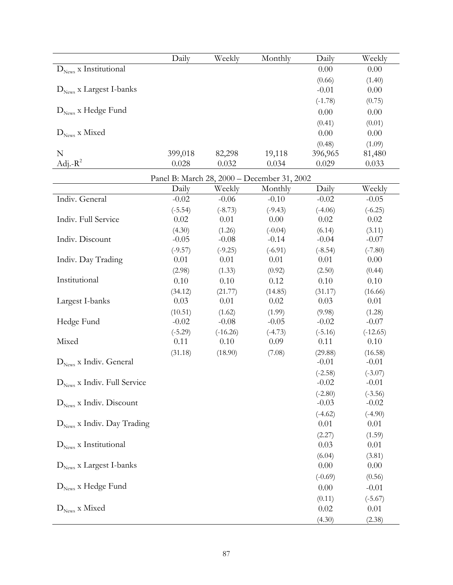|                                                | Daily                                       | Weekly     | Monthly   | Daily                | Weekly               |
|------------------------------------------------|---------------------------------------------|------------|-----------|----------------------|----------------------|
| $D_{\text{News}}$ x Institutional              |                                             |            |           | 0.00                 | 0.00                 |
|                                                |                                             |            |           | (0.66)               | (1.40)               |
| $D_{\text{News}}$ x Largest I-banks            |                                             |            |           | $-0.01$              | 0.00                 |
|                                                |                                             |            |           | $(-1.78)$            | (0.75)               |
| $D_{\text{News}}$ x Hedge Fund                 |                                             |            |           | 0.00                 | 0.00                 |
|                                                |                                             |            |           | (0.41)               | (0.01)               |
| $D_{\text{News}}$ x Mixed                      |                                             |            |           | 0.00                 | 0.00                 |
|                                                |                                             |            |           | (0.48)               | (1.09)               |
| $\mathbf N$                                    | 399,018                                     | 82,298     | 19,118    | 396,965              | 81,480               |
| Adj.- $R^2$                                    | 0.028                                       | 0.032      | 0.034     | 0.029                | 0.033                |
|                                                | Panel B: March 28, 2000 - December 31, 2002 |            |           |                      |                      |
|                                                | Daily                                       | Weekly     | Monthly   | Daily                | Weekly               |
| Indiv. General                                 | $-0.02$                                     | $-0.06$    | $-0.10$   | $-0.02$              | $-0.05$              |
|                                                | $(-5.54)$                                   | $(-8.73)$  | $(-9.43)$ | $(-4.06)$            | $(-6.25)$            |
| Indiv. Full Service                            | 0.02                                        | 0.01       | 0.00      | 0.02                 | 0.02                 |
|                                                | (4.30)                                      | (1.26)     | $(-0.04)$ | (6.14)               | (3.11)               |
| Indiv. Discount                                | $-0.05$                                     | $-0.08$    | $-0.14$   | $-0.04$              | $-0.07$              |
|                                                | $(-9.57)$                                   | $(-9.25)$  | $(-6.91)$ | $(-8.54)$            | $(-7.80)$            |
| Indiv. Day Trading                             | 0.01                                        | 0.01       | 0.01      | 0.01                 | 0.00                 |
|                                                | (2.98)                                      | (1.33)     | (0.92)    | (2.50)               | (0.44)               |
| Institutional                                  | 0.10                                        | 0.10       | 0.12      | 0.10                 | 0.10                 |
|                                                | (34.12)                                     | (21.77)    | (14.85)   | (31.17)              | (16.66)              |
| Largest I-banks                                | 0.03                                        | 0.01       | 0.02      | 0.03                 | 0.01                 |
|                                                | (10.51)                                     | (1.62)     | (1.99)    | (9.98)               | (1.28)               |
| Hedge Fund                                     | $-0.02$                                     | $-0.08$    | $-0.05$   | $-0.02$              | $-0.07$              |
|                                                | $(-5.29)$                                   | $(-16.26)$ | $(-4.73)$ | $(-5.16)$            | $(-12.65)$           |
| Mixed                                          | 0.11                                        | 0.10       | 0.09      | 0.11                 | 0.10                 |
|                                                | (31.18)                                     | (18.90)    | (7.08)    | (29.88)              | (16.58)              |
| $D_{\text{News}}$ x Indiv. General             |                                             |            |           | $-0.01$              | $-0.01$              |
|                                                |                                             |            |           | $(-2.58)$            | $(-3.07)$            |
| $\mathbf{D}_\text{News}$ x Indiv. Full Service |                                             |            |           | $-0.02$              | $-0.01$              |
| $D_{\text{News}}$ x Indiv. Discount            |                                             |            |           | $(-2.80)$<br>$-0.03$ | $(-3.56)$<br>$-0.02$ |
|                                                |                                             |            |           |                      |                      |
| $D_{\text{News}}$ x Indiv. Day Trading         |                                             |            |           | $(-4.62)$<br>0.01    | $(-4.90)$<br>0.01    |
|                                                |                                             |            |           | (2.27)               | (1.59)               |
| $D_{\text{News}}$ x Institutional              |                                             |            |           | 0.03                 | 0.01                 |
|                                                |                                             |            |           | (6.04)               | (3.81)               |
| $D_{\text{News}}$ x Largest I-banks            |                                             |            |           | 0.00                 | 0.00                 |
|                                                |                                             |            |           | $(-0.69)$            | (0.56)               |
| $D_{\text{News}}$ x Hedge Fund                 |                                             |            |           | 0.00                 | $-0.01$              |
|                                                |                                             |            |           |                      |                      |
| $D_{\text{News}}$ x Mixed                      |                                             |            |           | (0.11)<br>0.02       | $(-5.67)$<br>0.01    |
|                                                |                                             |            |           |                      |                      |
|                                                |                                             |            |           | (4.30)               | (2.38)               |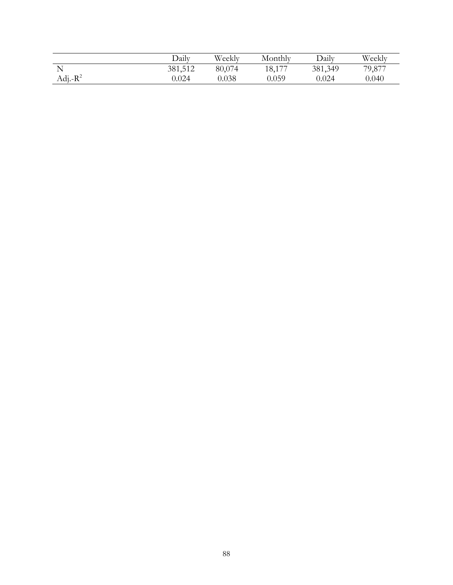|             | Daily   | Weekly | Monthly | Daily   | Weekly |
|-------------|---------|--------|---------|---------|--------|
|             | 381,512 | 80,074 | 18,177  | 381,349 | 79,877 |
| Adj.- $R^2$ | 0.024   | 0.038  | 0.059   | 0.024   | 0.040  |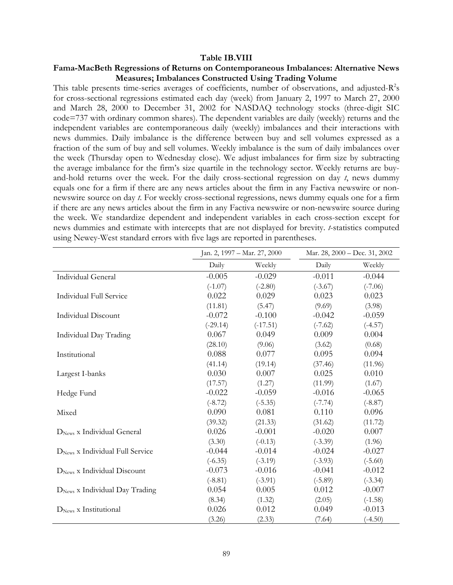#### **Table IB.VIII**

### **Fama-MacBeth Regressions of Returns on Contemporaneous Imbalances: Alternative News Measures; Imbalances Constructed Using Trading Volume**

This table presents time-series averages of coefficients, number of observations, and adjusted- $R^2$ s for cross-sectional regressions estimated each day (week) from January 2, 1997 to March 27, 2000 and March 28, 2000 to December 31, 2002 for NASDAQ technology stocks (three-digit SIC code=737 with ordinary common shares). The dependent variables are daily (weekly) returns and the independent variables are contemporaneous daily (weekly) imbalances and their interactions with news dummies. Daily imbalance is the difference between buy and sell volumes expressed as a fraction of the sum of buy and sell volumes. Weekly imbalance is the sum of daily imbalances over the week (Thursday open to Wednesday close). We adjust imbalances for firm size by subtracting the average imbalance for the firm's size quartile in the technology sector. Weekly returns are buyand-hold returns over the week. For the daily cross-sectional regression on day *t*, news dummy equals one for a firm if there are any news articles about the firm in any Factiva newswire or nonnewswire source on day *t*. For weekly cross-sectional regressions, news dummy equals one for a firm if there are any news articles about the firm in any Factiva newswire or non-newswire source during the week. We standardize dependent and independent variables in each cross-section except for news dummies and estimate with intercepts that are not displayed for brevity. *t*-statistics computed using Newey-West standard errors with five lags are reported in parentheses.

|                                            |            | Jan. 2, 1997 - Mar. 27, 2000 |           | Mar. 28, 2000 - Dec. 31, 2002 |  |
|--------------------------------------------|------------|------------------------------|-----------|-------------------------------|--|
|                                            | Daily      | Weekly                       | Daily     | Weekly                        |  |
| Individual General                         | $-0.005$   | $-0.029$                     | $-0.011$  | $-0.044$                      |  |
|                                            | $(-1.07)$  | $(-2.80)$                    | $(-3.67)$ | $(-7.06)$                     |  |
| <b>Individual Full Service</b>             | 0.022      | 0.029                        | 0.023     | 0.023                         |  |
|                                            | (11.81)    | (5.47)                       | (9.69)    | (3.98)                        |  |
| <b>Individual Discount</b>                 | $-0.072$   | $-0.100$                     | $-0.042$  | $-0.059$                      |  |
|                                            | $(-29.14)$ | $(-17.51)$                   | $(-7.62)$ | $(-4.57)$                     |  |
| Individual Day Trading                     | 0.067      | 0.049                        | 0.009     | 0.004                         |  |
|                                            | (28.10)    | (9.06)                       | (3.62)    | (0.68)                        |  |
| Institutional                              | 0.088      | 0.077                        | 0.095     | 0.094                         |  |
|                                            | (41.14)    | (19.14)                      | (37.46)   | (11.96)                       |  |
| Largest I-banks                            | 0.030      | 0.007                        | 0.025     | 0.010                         |  |
|                                            | (17.57)    | (1.27)                       | (11.99)   | (1.67)                        |  |
| Hedge Fund                                 | $-0.022$   | $-0.059$                     | $-0.016$  | $-0.065$                      |  |
|                                            | $(-8.72)$  | $(-5.35)$                    | $(-7.74)$ | $(-8.87)$                     |  |
| Mixed                                      | 0.090      | 0.081                        | 0.110     | 0.096                         |  |
|                                            | (39.32)    | (21.33)                      | (31.62)   | (11.72)                       |  |
| $DNews$ x Individual General               | 0.026      | $-0.001$                     | $-0.020$  | 0.007                         |  |
|                                            | (3.30)     | $(-0.13)$                    | $(-3.39)$ | (1.96)                        |  |
| $DNews$ x Individual Full Service          | $-0.044$   | $-0.014$                     | $-0.024$  | $-0.027$                      |  |
|                                            | $(-6.35)$  | $(-3.19)$                    | $(-3.93)$ | $(-5.60)$                     |  |
| $DNews$ x Individual Discount              | $-0.073$   | $-0.016$                     | $-0.041$  | $-0.012$                      |  |
|                                            | $(-8.81)$  | $(-3.91)$                    | $(-5.89)$ | $(-3.34)$                     |  |
| D <sub>News</sub> x Individual Day Trading | 0.054      | 0.005                        | 0.012     | $-0.007$                      |  |
|                                            | (8.34)     | (1.32)                       | (2.05)    | $(-1.58)$                     |  |
| $DNews$ x Institutional                    | 0.026      | 0.012                        | 0.049     | $-0.013$                      |  |
|                                            | (3.26)     | (2.33)                       | (7.64)    | $(-4.50)$                     |  |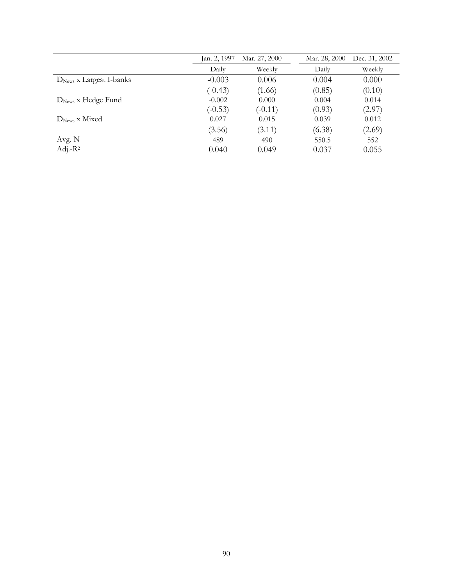|                           | Jan. 2, 1997 – Mar. 27, 2000 |           | Mar. 28, 2000 – Dec. 31, 2002 |        |
|---------------------------|------------------------------|-----------|-------------------------------|--------|
|                           | Daily                        | Weekly    | Daily                         | Weekly |
| $DNews$ x Largest I-banks | $-0.003$                     | 0.006     | 0.004                         | 0.000  |
|                           | $(-0.43)$                    | (1.66)    | (0.85)                        | (0.10) |
| $DNews$ x Hedge Fund      | $-0.002$                     | 0.000     | 0.004                         | 0.014  |
|                           | $(-0.53)$                    | $(-0.11)$ | (0.93)                        | (2.97) |
| $DNews$ x Mixed           | 0.027                        | 0.015     | 0.039                         | 0.012  |
|                           | (3.56)                       | (3.11)    | (6.38)                        | (2.69) |
| Avg. N                    | 489                          | 490       | 550.5                         | 552    |
| Adj.- $R^2$               | 0.040                        | 0.049     | 0.037                         | 0.055  |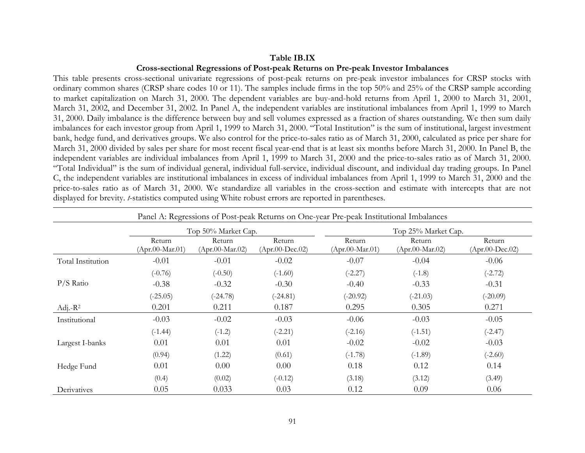#### **Table IB.IX**

# **Cross-sectional Regressions of Post-peak Returns on Pre-peak Investor Imbalances**

This table presents cross-sectional univariate regressions of post-peak returns on pre-peak investor imbalances for CRSP stocks with ordinary common shares (CRSP share codes 10 or 11). The samples include firms in the top 50% and 25% of the CRSP sample according to market capitalization on March 31, 2000. The dependent variables are buy-and-hold returns from April 1, 2000 to March 31, 2001, March 31, 2002, and December 31, 2002. In Panel A, the independent variables are institutional imbalances from April 1, 1999 to March 31, 2000. Daily imbalance is the difference between buy and sell volumes expressed as a fraction of shares outstanding. We then sum daily imbalances for each investor group from April 1, 1999 to March 31, 2000. "Total Institution" is the sum of institutional, largest investment bank, hedge fund, and derivatives groups. We also control for the price-to-sales ratio as of March 31, 2000, calculated as price per share for March 31, 2000 divided by sales per share for most recent fiscal year-end that is at least six months before March 31, 2000. In Panel B, the independent variables are individual imbalances from April 1, 1999 to March 31, 2000 and the price-to-sales ratio as of March 31, 2000. "Total Individual" is the sum of individual general, individual full-service, individual discount, and individual day trading groups. In Panel C, the independent variables are institutional imbalances in excess of individual imbalances from April 1, 1999 to March 31, 2000 and the price-to-sales ratio as of March 31, 2000. We standardize all variables in the cross-section and estimate with intercepts that are not displayed for brevity. *t*-statistics computed using White robust errors are reported in parentheses.

| Panel A: Regressions of Post-peak Returns on One-year Pre-peak Institutional Imbalances |                             |                             |                                           |                             |                             |                                           |  |
|-----------------------------------------------------------------------------------------|-----------------------------|-----------------------------|-------------------------------------------|-----------------------------|-----------------------------|-------------------------------------------|--|
|                                                                                         | Top 50% Market Cap.         |                             |                                           | Top 25% Market Cap.         |                             |                                           |  |
|                                                                                         | Return<br>$(Apr.00-Mar.01)$ | Return<br>$(Apr.00-Mar.02)$ | Return<br>$(Apr.00\text{-}\text{Dec}.02)$ | Return<br>$(Apr.00-Mar.01)$ | Return<br>$(Apr.00-Mar.02)$ | Return<br>$(Apr.00\text{-}\text{Dec}.02)$ |  |
| Total Institution                                                                       | $-0.01$                     | $-0.01$                     | $-0.02$                                   | $-0.07$                     | $-0.04$                     | $-0.06$                                   |  |
|                                                                                         | $(-0.76)$                   | $(-0.50)$                   | $(-1.60)$                                 | $(-2.27)$                   | $(-1.8)$                    | $(-2.72)$                                 |  |
| $P/S$ Ratio                                                                             | $-0.38$                     | $-0.32$                     | $-0.30$                                   | $-0.40$                     | $-0.33$                     | $-0.31$                                   |  |
|                                                                                         | $(-25.05)$                  | $(-24.78)$                  | $(-24.81)$                                | $(-20.92)$                  | $(-21.03)$                  | $(-20.09)$                                |  |
| Adj.- $R^2$                                                                             | 0.201                       | 0.211                       | 0.187                                     | 0.295                       | 0.305                       | 0.271                                     |  |
| Institutional                                                                           | $-0.03$                     | $-0.02$                     | $-0.03$                                   | $-0.06$                     | $-0.03$                     | $-0.05$                                   |  |
|                                                                                         | $(-1.44)$                   | $(-1.2)$                    | $(-2.21)$                                 | $(-2.16)$                   | $(-1.51)$                   | $(-2.47)$                                 |  |
| Largest I-banks                                                                         | 0.01                        | 0.01                        | 0.01                                      | $-0.02$                     | $-0.02$                     | $-0.03$                                   |  |
|                                                                                         | (0.94)                      | (1.22)                      | (0.61)                                    | $(-1.78)$                   | $(-1.89)$                   | $(-2.60)$                                 |  |
| Hedge Fund                                                                              | 0.01                        | 0.00                        | 0.00                                      | 0.18                        | 0.12                        | 0.14                                      |  |
|                                                                                         | (0.4)                       | (0.02)                      | $(-0.12)$                                 | (3.18)                      | (3.12)                      | (3.49)                                    |  |
| Derivatives                                                                             | 0.05                        | 0.033                       | 0.03                                      | 0.12                        | 0.09                        | 0.06                                      |  |